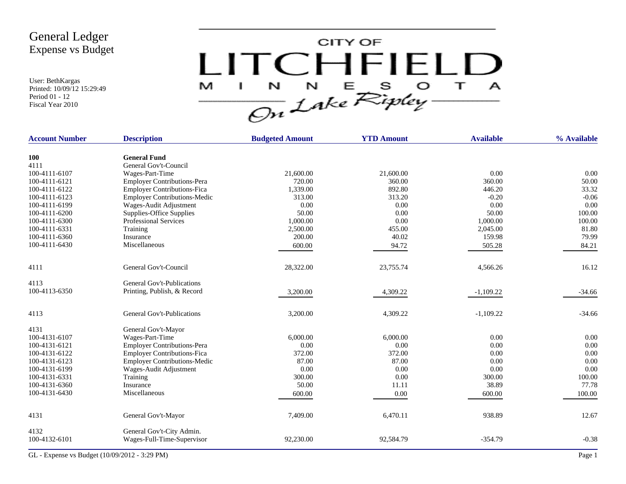User: BethKargas Printed: 10/09/12 15:29:49 Period 01 - 12 Fiscal Year 2010



| <b>Account Number</b> | <b>Description</b>                  | <b>Budgeted Amount</b> | <b>YTD Amount</b> | <b>Available</b> | % Available |
|-----------------------|-------------------------------------|------------------------|-------------------|------------------|-------------|
| <b>100</b>            | <b>General Fund</b>                 |                        |                   |                  |             |
| 4111                  | General Gov't-Council               |                        |                   |                  |             |
| 100-4111-6107         | Wages-Part-Time                     | 21,600.00              | 21,600.00         | 0.00             | 0.00        |
| 100-4111-6121         | <b>Employer Contributions-Pera</b>  | 720.00                 | 360.00            | 360.00           | 50.00       |
| 100-4111-6122         | <b>Employer Contributions-Fica</b>  | 1,339.00               | 892.80            | 446.20           | 33.32       |
| 100-4111-6123         | <b>Employer Contributions-Medic</b> | 313.00                 | 313.20            | $-0.20$          | $-0.06$     |
| 100-4111-6199         | Wages-Audit Adjustment              | 0.00                   | 0.00              | 0.00             | 0.00        |
| 100-4111-6200         | Supplies-Office Supplies            | 50.00                  | 0.00              | 50.00            | 100.00      |
| 100-4111-6300         | <b>Professional Services</b>        | 1,000.00               | 0.00              | 1,000.00         | 100.00      |
| 100-4111-6331         | Training                            | 2,500.00               | 455.00            | 2,045.00         | 81.80       |
| 100-4111-6360         | Insurance                           | 200.00                 | 40.02             | 159.98           | 79.99       |
| 100-4111-6430         | Miscellaneous                       | 600.00                 | 94.72             | 505.28           | 84.21       |
| 4111                  | General Gov't-Council               | 28,322.00              | 23,755.74         | 4,566.26         | 16.12       |
| 4113                  | General Gov't-Publications          |                        |                   |                  |             |
| 100-4113-6350         | Printing, Publish, & Record         | 3,200.00               | 4,309.22          | $-1,109.22$      | $-34.66$    |
| 4113                  | General Gov't-Publications          | 3,200.00               | 4,309.22          | $-1,109.22$      | $-34.66$    |
| 4131                  | General Gov't-Mayor                 |                        |                   |                  |             |
| 100-4131-6107         | Wages-Part-Time                     | 6,000.00               | 6,000.00          | 0.00             | 0.00        |
| 100-4131-6121         | <b>Employer Contributions-Pera</b>  | 0.00                   | 0.00              | 0.00             | 0.00        |
| 100-4131-6122         | <b>Employer Contributions-Fica</b>  | 372.00                 | 372.00            | 0.00             | 0.00        |
| 100-4131-6123         | <b>Employer Contributions-Medic</b> | 87.00                  | 87.00             | 0.00             | 0.00        |
| 100-4131-6199         | Wages-Audit Adjustment              | 0.00                   | 0.00              | 0.00             | 0.00        |
| 100-4131-6331         | Training                            | 300.00                 | 0.00              | 300.00           | 100.00      |
| 100-4131-6360         | Insurance                           | 50.00                  | 11.11             | 38.89            | 77.78       |
| 100-4131-6430         | Miscellaneous                       | 600.00                 | 0.00              | 600.00           | 100.00      |
| 4131                  | General Gov't-Mayor                 | 7,409.00               | 6,470.11          | 938.89           | 12.67       |
| 4132                  | General Gov't-City Admin.           |                        |                   |                  |             |
| 100-4132-6101         | Wages-Full-Time-Supervisor          | 92,230.00              | 92,584.79         | $-354.79$        | $-0.38$     |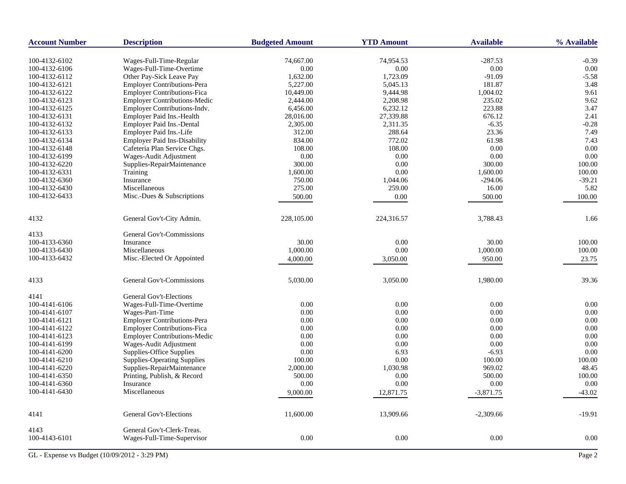| <b>Account Number</b> | <b>Description</b>                  | <b>Budgeted Amount</b> | <b>YTD Amount</b> | <b>Available</b> | % Available |
|-----------------------|-------------------------------------|------------------------|-------------------|------------------|-------------|
| 100-4132-6102         | Wages-Full-Time-Regular             | 74,667.00              | 74,954.53         | $-287.53$        | $-0.39$     |
| 100-4132-6106         | Wages-Full-Time-Overtime            | 0.00                   | 0.00              | $0.00\,$         | 0.00        |
| 100-4132-6112         | Other Pay-Sick Leave Pay            | 1,632.00               | 1,723.09          | $-91.09$         | $-5.58$     |
| 100-4132-6121         | <b>Employer Contributions-Pera</b>  | 5,227.00               | 5,045.13          | 181.87           | 3.48        |
| 100-4132-6122         | <b>Employer Contributions-Fica</b>  | 10,449.00              | 9,444.98          | 1,004.02         | 9.61        |
| 100-4132-6123         | <b>Employer Contributions-Medic</b> | 2,444.00               | 2,208.98          | 235.02           | 9.62        |
| 100-4132-6125         | Employer Contributions-Indv.        | 6,456.00               | 6,232.12          | 223.88           | 3.47        |
| 100-4132-6131         | Employer Paid Ins.-Health           | 28,016.00              | 27,339.88         | 676.12           | 2.41        |
| 100-4132-6132         | <b>Employer Paid Ins.-Dental</b>    | 2,305.00               | 2,311.35          | $-6.35$          | $-0.28$     |
| 100-4132-6133         | Employer Paid Ins.-Life             | 312.00                 | 288.64            | 23.36            | 7.49        |
| 100-4132-6134         | <b>Employer Paid Ins-Disability</b> | 834.00                 | 772.02            | 61.98            | 7.43        |
| 100-4132-6148         | Cafeteria Plan Service Chgs.        | 108.00                 | 108.00            | 0.00             | 0.00        |
| 100-4132-6199         | Wages-Audit Adjustment              | 0.00                   | 0.00              | 0.00             | 0.00        |
| 100-4132-6220         | Supplies-RepairMaintenance          | 300.00                 | 0.00              | 300.00           | 100.00      |
| 100-4132-6331         | Training                            | 1,600.00               | 0.00              | 1,600.00         | 100.00      |
| 100-4132-6360         | Insurance                           | 750.00                 | 1,044.06          | $-294.06$        | $-39.21$    |
| 100-4132-6430         | Miscellaneous                       | 275.00                 | 259.00            | 16.00            | 5.82        |
| 100-4132-6433         | Misc.-Dues & Subscriptions          | 500.00                 | 0.00              | 500.00           | 100.00      |
|                       |                                     |                        |                   |                  |             |
| 4132                  | General Gov't-City Admin.           | 228,105.00             | 224,316.57        | 3,788.43         | 1.66        |
| 4133                  | General Gov't-Commissions           |                        |                   |                  |             |
| 100-4133-6360         | Insurance                           | 30.00                  | 0.00              | 30.00            | 100.00      |
| 100-4133-6430         | Miscellaneous                       | 1,000.00               | 0.00              | 1,000.00         | 100.00      |
| 100-4133-6432         | Misc.-Elected Or Appointed          | 4,000.00               | 3,050.00          | 950.00           | 23.75       |
| 4133                  | General Gov't-Commissions           | 5,030.00               | 3,050.00          | 1,980.00         | 39.36       |
| 4141                  | <b>General Gov't-Elections</b>      |                        |                   |                  |             |
| 100-4141-6106         | Wages-Full-Time-Overtime            | 0.00                   | 0.00              | 0.00             | 0.00        |
| 100-4141-6107         | Wages-Part-Time                     | 0.00                   | 0.00              | 0.00             | 0.00        |
| 100-4141-6121         | <b>Employer Contributions-Pera</b>  | 0.00                   | 0.00              | 0.00             | 0.00        |
| 100-4141-6122         | Employer Contributions-Fica         | 0.00                   | 0.00              | $0.00\,$         | 0.00        |
| 100-4141-6123         | Employer Contributions-Medic        | 0.00                   | 0.00              | 0.00             | 0.00        |
| 100-4141-6199         | Wages-Audit Adjustment              | 0.00                   | 0.00              | 0.00             | 0.00        |
| 100-4141-6200         | Supplies-Office Supplies            | 0.00                   | 6.93              | $-6.93$          | 0.00        |
| 100-4141-6210         | <b>Supplies-Operating Supplies</b>  | 100.00                 | 0.00              | 100.00           | 100.00      |
| 100-4141-6220         | Supplies-RepairMaintenance          | 2,000.00               | 1,030.98          | 969.02           | 48.45       |
| 100-4141-6350         | Printing, Publish, & Record         | 500.00                 | 0.00              | 500.00           | 100.00      |
| 100-4141-6360         | Insurance                           | 0.00                   | 0.00              | 0.00             | 0.00        |
|                       | Miscellaneous                       |                        |                   |                  |             |
| 100-4141-6430         |                                     | 9,000.00               | 12,871.75         | $-3,871.75$      | $-43.02$    |
| 4141                  | General Gov't-Elections             | 11,600.00              | 13,909.66         | $-2,309.66$      | $-19.91$    |
| 4143                  | General Gov't-Clerk-Treas.          |                        |                   |                  |             |
| 100-4143-6101         | Wages-Full-Time-Supervisor          | 0.00                   | 0.00              | 0.00             | 0.00        |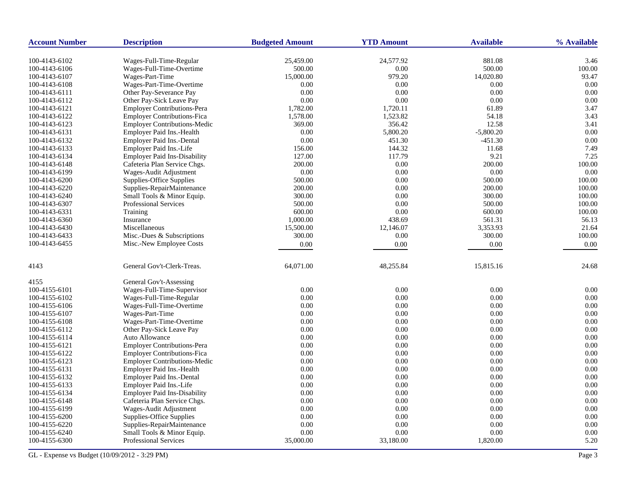| <b>Account Number</b> | <b>Description</b>                  | <b>Budgeted Amount</b> | <b>YTD Amount</b> | <b>Available</b> | % Available |
|-----------------------|-------------------------------------|------------------------|-------------------|------------------|-------------|
| 100-4143-6102         | Wages-Full-Time-Regular             | 25,459.00              | 24,577.92         | 881.08           | 3.46        |
| 100-4143-6106         | Wages-Full-Time-Overtime            | 500.00                 | 0.00              | 500.00           | 100.00      |
| 100-4143-6107         | Wages-Part-Time                     | 15,000.00              | 979.20            | 14,020.80        | 93.47       |
| 100-4143-6108         | Wages-Part-Time-Overtime            | 0.00                   | 0.00              | 0.00             | 0.00        |
| 100-4143-6111         | Other Pay-Severance Pay             | 0.00                   | 0.00              | 0.00             | 0.00        |
| 100-4143-6112         | Other Pay-Sick Leave Pay            | 0.00                   | 0.00              | 0.00             | 0.00        |
| 100-4143-6121         | <b>Employer Contributions-Pera</b>  | 1,782.00               | 1,720.11          | 61.89            | 3.47        |
| 100-4143-6122         | <b>Employer Contributions-Fica</b>  | 1,578.00               | 1,523.82          | 54.18            | 3.43        |
| 100-4143-6123         | <b>Employer Contributions-Medic</b> | 369.00                 | 356.42            | 12.58            | 3.41        |
| 100-4143-6131         | Employer Paid Ins.-Health           | 0.00                   | 5,800.20          | $-5,800.20$      | 0.00        |
| 100-4143-6132         | <b>Employer Paid Ins.-Dental</b>    | 0.00                   | 451.30            | $-451.30$        | 0.00        |
| 100-4143-6133         | Employer Paid Ins.-Life             | 156.00                 | 144.32            | 11.68            | 7.49        |
| 100-4143-6134         | <b>Employer Paid Ins-Disability</b> | 127.00                 | 117.79            | 9.21             | 7.25        |
| 100-4143-6148         | Cafeteria Plan Service Chgs.        | 200.00                 | 0.00              | 200.00           | 100.00      |
| 100-4143-6199         | Wages-Audit Adjustment              | 0.00                   | 0.00              | 0.00             | 0.00        |
| 100-4143-6200         | Supplies-Office Supplies            | 500.00                 | 0.00              | 500.00           | 100.00      |
| 100-4143-6220         | Supplies-RepairMaintenance          | 200.00                 | 0.00              | 200.00           | 100.00      |
| 100-4143-6240         | Small Tools & Minor Equip.          | 300.00                 | 0.00              | 300.00           | 100.00      |
| 100-4143-6307         | Professional Services               | 500.00                 | 0.00              | 500.00           | 100.00      |
| 100-4143-6331         | Training                            | 600.00                 | 0.00              | 600.00           | 100.00      |
| 100-4143-6360         | Insurance                           | 1,000.00               | 438.69            | 561.31           | 56.13       |
| 100-4143-6430         | Miscellaneous                       | 15,500.00              | 12,146.07         | 3,353.93         | 21.64       |
| 100-4143-6433         | Misc.-Dues & Subscriptions          | 300.00                 | 0.00              | 300.00           | 100.00      |
| 100-4143-6455         | Misc.-New Employee Costs            | 0.00                   | 0.00              | 0.00             | 0.00        |
| 4143                  | General Gov't-Clerk-Treas.          | 64,071.00              | 48,255.84         | 15,815.16        | 24.68       |
| 4155                  | General Gov't-Assessing             |                        |                   |                  |             |
| 100-4155-6101         | Wages-Full-Time-Supervisor          | 0.00                   | 0.00              | 0.00             | 0.00        |
| 100-4155-6102         | Wages-Full-Time-Regular             | 0.00                   | 0.00              | 0.00             | 0.00        |
| 100-4155-6106         | Wages-Full-Time-Overtime            | 0.00                   | 0.00              | 0.00             | 0.00        |
| 100-4155-6107         | Wages-Part-Time                     | 0.00                   | 0.00              | 0.00             | 0.00        |
| 100-4155-6108         | Wages-Part-Time-Overtime            | 0.00                   | 0.00              | 0.00             | 0.00        |
| 100-4155-6112         | Other Pay-Sick Leave Pay            | 0.00                   | 0.00              | 0.00             | 0.00        |
| 100-4155-6114         | Auto Allowance                      | 0.00                   | 0.00              | 0.00             | 0.00        |
| 100-4155-6121         | <b>Employer Contributions-Pera</b>  | 0.00                   | 0.00              | 0.00             | 0.00        |
| 100-4155-6122         | <b>Employer Contributions-Fica</b>  | 0.00                   | 0.00              | 0.00             | 0.00        |
| 100-4155-6123         | <b>Employer Contributions-Medic</b> | 0.00                   | 0.00              | 0.00             | 0.00        |
| 100-4155-6131         | Employer Paid Ins.-Health           | 0.00                   | 0.00              | 0.00             | 0.00        |
| 100-4155-6132         | Employer Paid Ins.-Dental           | 0.00                   | 0.00              | 0.00             | 0.00        |
| 100-4155-6133         | Employer Paid Ins.-Life             | 0.00                   | 0.00              | 0.00             | 0.00        |
| 100-4155-6134         | <b>Employer Paid Ins-Disability</b> | 0.00                   | 0.00              | 0.00             | 0.00        |
| 100-4155-6148         | Cafeteria Plan Service Chgs.        | 0.00                   | 0.00              | 0.00             | 0.00        |
| 100-4155-6199         | Wages-Audit Adjustment              | 0.00                   | 0.00              | $0.00\,$         | 0.00        |
| 100-4155-6200         | Supplies-Office Supplies            | 0.00                   | 0.00              | 0.00             | 0.00        |
| 100-4155-6220         | Supplies-RepairMaintenance          | 0.00                   | 0.00              | 0.00             | 0.00        |
| 100-4155-6240         | Small Tools & Minor Equip.          | 0.00                   | 0.00              | 0.00             | 0.00        |
| 100-4155-6300         | <b>Professional Services</b>        | 35,000.00              | 33,180.00         | 1,820.00         | 5.20        |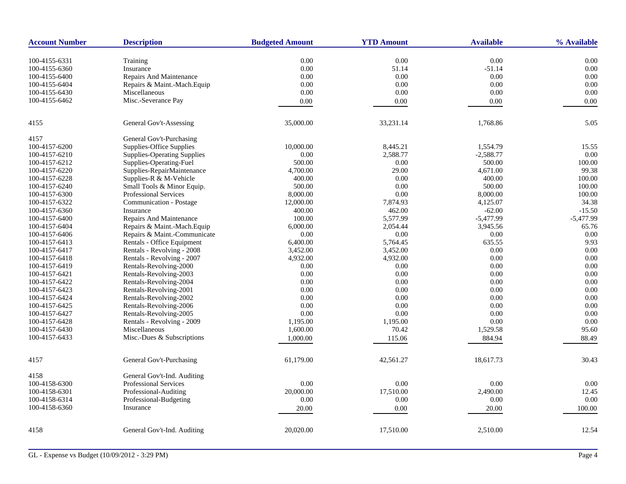| <b>Account Number</b> | <b>Description</b>                                   | <b>Budgeted Amount</b> | <b>YTD Amount</b> | <b>Available</b> | % Available |
|-----------------------|------------------------------------------------------|------------------------|-------------------|------------------|-------------|
| 100-4155-6331         | Training                                             | 0.00                   | 0.00              | 0.00             | 0.00        |
| 100-4155-6360         | Insurance                                            | 0.00                   | 51.14             | $-51.14$         | 0.00        |
| 100-4155-6400         | Repairs And Maintenance                              | 0.00                   | 0.00              | 0.00             | 0.00        |
|                       | Repairs & Maint.-Mach.Equip                          | 0.00                   | 0.00              | 0.00             | 0.00        |
| 100-4155-6404         |                                                      |                        |                   |                  |             |
| 100-4155-6430         | Miscellaneous                                        | 0.00                   | 0.00              | 0.00             | 0.00        |
| 100-4155-6462         | Misc.-Severance Pay                                  | $0.00\,$               | 0.00              | 0.00             | 0.00        |
| 4155                  | General Gov't-Assessing                              | 35,000.00              | 33,231.14         | 1,768.86         | 5.05        |
| 4157                  | General Gov't-Purchasing                             |                        |                   |                  |             |
| 100-4157-6200         | Supplies-Office Supplies                             | 10,000.00              | 8,445.21          | 1,554.79         | 15.55       |
| 100-4157-6210         | <b>Supplies-Operating Supplies</b>                   | 0.00                   | 2,588.77          | $-2,588.77$      | 0.00        |
| 100-4157-6212         | Supplies-Operating-Fuel                              | 500.00                 | 0.00              | 500.00           | 100.00      |
| 100-4157-6220         | Supplies-RepairMaintenance                           | 4,700.00               | 29.00             | 4,671.00         | 99.38       |
| 100-4157-6228         | Supplies-R & M-Vehicle                               | 400.00                 | 0.00              | 400.00           | 100.00      |
| 100-4157-6240         | Small Tools & Minor Equip.                           | 500.00                 | 0.00              | 500.00           | 100.00      |
| 100-4157-6300         | <b>Professional Services</b>                         | 8,000.00               | 0.00              | 8,000.00         | 100.00      |
| 100-4157-6322         | Communication - Postage                              | 12,000.00              | 7,874.93          | 4,125.07         | 34.38       |
| 100-4157-6360         | Insurance                                            | 400.00                 | 462.00            | $-62.00$         | $-15.50$    |
| 100-4157-6400         | Repairs And Maintenance                              | 100.00                 | 5,577.99          | $-5,477.99$      | $-5,477.99$ |
| 100-4157-6404         | Repairs & Maint.-Mach.Equip                          | 6,000.00               | 2,054.44          | 3,945.56         | 65.76       |
| 100-4157-6406         | Repairs & Maint.-Communicate                         | 0.00                   | 0.00              | 0.00             | 0.00        |
| 100-4157-6413         | Rentals - Office Equipment                           | 6,400.00               | 5,764.45          | 635.55           | 9.93        |
| 100-4157-6417         | Rentals - Revolving - 2008                           | 3,452.00               | 3,452.00          | 0.00             | 0.00        |
| 100-4157-6418         | Rentals - Revolving - 2007                           | 4,932.00               | 4,932.00          | 0.00             | 0.00        |
| 100-4157-6419         | Rentals-Revolving-2000                               | 0.00                   | 0.00              | 0.00             | 0.00        |
| 100-4157-6421         | Rentals-Revolving-2003                               | 0.00                   | 0.00              | 0.00             | 0.00        |
| 100-4157-6422         | Rentals-Revolving-2004                               | 0.00                   | 0.00              | 0.00             | 0.00        |
| 100-4157-6423         | Rentals-Revolving-2001                               | 0.00                   | 0.00              | 0.00             | 0.00        |
| 100-4157-6424         | Rentals-Revolving-2002                               | 0.00                   | 0.00              | 0.00             | 0.00        |
| 100-4157-6425         | Rentals-Revolving-2006                               | 0.00                   | 0.00              | 0.00             | 0.00        |
| 100-4157-6427         |                                                      | 0.00                   | 0.00              | 0.00             | 0.00        |
|                       | Rentals-Revolving-2005<br>Rentals - Revolving - 2009 |                        |                   | 0.00             |             |
| 100-4157-6428         |                                                      | 1,195.00               | 1,195.00          |                  | 0.00        |
| 100-4157-6430         | Miscellaneous                                        | 1,600.00               | 70.42             | 1,529.58         | 95.60       |
| 100-4157-6433         | Misc.-Dues & Subscriptions                           | 1,000.00               | 115.06            | 884.94           | 88.49       |
| 4157                  | General Gov't-Purchasing                             | 61,179.00              | 42,561.27         | 18,617.73        | 30.43       |
| 4158                  | General Gov't-Ind. Auditing                          |                        |                   |                  |             |
| 100-4158-6300         | <b>Professional Services</b>                         | 0.00                   | 0.00              | 0.00             | 0.00        |
| 100-4158-6301         | Professional-Auditing                                | 20,000.00              | 17,510.00         | 2,490.00         | 12.45       |
| 100-4158-6314         | Professional-Budgeting                               | 0.00                   | 0.00              | 0.00             | 0.00        |
| 100-4158-6360         | Insurance                                            | 20.00                  | 0.00              | 20.00            | 100.00      |
|                       |                                                      |                        |                   |                  |             |
| 4158                  | General Gov't-Ind. Auditing                          | 20,020.00              | 17,510.00         | 2,510.00         | 12.54       |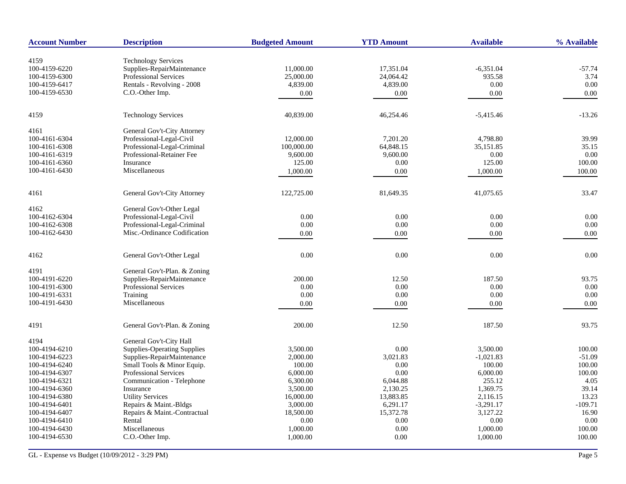| <b>Account Number</b> | <b>Description</b>                 | <b>Budgeted Amount</b> | <b>YTD Amount</b> | <b>Available</b> | % Available |
|-----------------------|------------------------------------|------------------------|-------------------|------------------|-------------|
|                       |                                    |                        |                   |                  |             |
| 4159                  | <b>Technology Services</b>         |                        |                   |                  |             |
| 100-4159-6220         | Supplies-RepairMaintenance         | 11,000.00              | 17,351.04         | $-6,351.04$      | $-57.74$    |
| 100-4159-6300         | <b>Professional Services</b>       | 25,000.00              | 24,064.42         | 935.58           | 3.74        |
| 100-4159-6417         | Rentals - Revolving - 2008         | 4,839.00               | 4,839.00          | 0.00             | $0.00\,$    |
| 100-4159-6530         | C.O.-Other Imp.                    | 0.00                   | 0.00              | $0.00\,$         | 0.00        |
| 4159                  | <b>Technology Services</b>         | 40,839.00              | 46,254.46         | $-5,415.46$      | $-13.26$    |
| 4161                  | General Gov't-City Attorney        |                        |                   |                  |             |
| 100-4161-6304         | Professional-Legal-Civil           | 12,000.00              | 7.201.20          | 4,798.80         | 39.99       |
| 100-4161-6308         | Professional-Legal-Criminal        | 100,000.00             | 64,848.15         | 35,151.85        | 35.15       |
| 100-4161-6319         | Professional-Retainer Fee          | 9,600.00               | 9,600.00          | 0.00             | 0.00        |
| 100-4161-6360         | Insurance                          | 125.00                 | 0.00              | 125.00           | 100.00      |
| 100-4161-6430         | Miscellaneous                      | 1,000.00               | 0.00              | 1,000.00         | 100.00      |
| 4161                  | General Gov't-City Attorney        | 122,725.00             | 81,649.35         | 41,075.65        | 33.47       |
|                       |                                    |                        |                   |                  |             |
| 4162                  | General Gov't-Other Legal          |                        |                   |                  |             |
| 100-4162-6304         | Professional-Legal-Civil           | 0.00                   | 0.00              | 0.00             | 0.00        |
| 100-4162-6308         | Professional-Legal-Criminal        | 0.00                   | 0.00              | 0.00             | 0.00        |
| 100-4162-6430         | Misc.-Ordinance Codification       | 0.00                   | 0.00              | 0.00             | 0.00        |
| 4162                  | General Gov't-Other Legal          | 0.00                   | 0.00              | 0.00             | 0.00        |
|                       |                                    |                        |                   |                  |             |
| 4191                  | General Gov't-Plan. & Zoning       |                        |                   |                  |             |
| 100-4191-6220         | Supplies-RepairMaintenance         | 200.00                 | 12.50             | 187.50           | 93.75       |
| 100-4191-6300         | <b>Professional Services</b>       | 0.00                   | 0.00              | 0.00             | 0.00        |
| 100-4191-6331         | Training                           | 0.00                   | 0.00              | 0.00             | 0.00        |
| 100-4191-6430         | Miscellaneous                      | 0.00                   | 0.00              | 0.00             | 0.00        |
| 4191                  | General Gov't-Plan. & Zoning       | 200.00                 | 12.50             | 187.50           | 93.75       |
| 4194                  | General Gov't-City Hall            |                        |                   |                  |             |
| 100-4194-6210         | <b>Supplies-Operating Supplies</b> | 3,500.00               | 0.00              | 3,500.00         | 100.00      |
| 100-4194-6223         | Supplies-RepairMaintenance         | 2,000.00               | 3,021.83          | $-1,021.83$      | $-51.09$    |
| 100-4194-6240         | Small Tools & Minor Equip.         | 100.00                 | 0.00              | 100.00           | 100.00      |
| 100-4194-6307         | Professional Services              | 6,000.00               | 0.00              | 6,000.00         | 100.00      |
| 100-4194-6321         | Communication - Telephone          | 6,300.00               | 6,044.88          | 255.12           | 4.05        |
| 100-4194-6360         | Insurance                          | 3,500.00               | 2,130.25          | 1,369.75         | 39.14       |
| 100-4194-6380         | <b>Utility Services</b>            | 16,000.00              | 13,883.85         | 2,116.15         | 13.23       |
| 100-4194-6401         | Repairs & Maint.-Bldgs             | 3,000.00               | 6,291.17          | $-3,291.17$      | $-109.71$   |
| 100-4194-6407         | Repairs & Maint.-Contractual       | 18,500.00              | 15,372.78         | 3,127.22         | 16.90       |
| 100-4194-6410         | Rental                             | 0.00                   | 0.00              | 0.00             | 0.00        |
| 100-4194-6430         | Miscellaneous                      | 1,000.00               | 0.00              | 1,000.00         | 100.00      |
| 100-4194-6530         | C.O.-Other Imp.                    | 1,000.00               | 0.00              | 1,000.00         | 100.00      |
|                       |                                    |                        |                   |                  |             |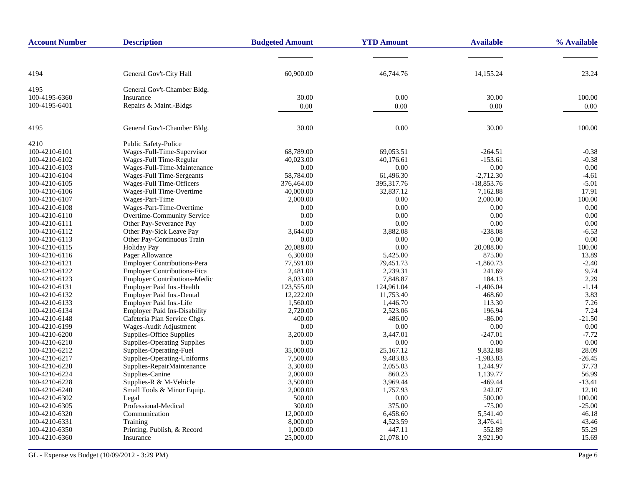| <b>Account Number</b> | <b>Description</b>                  | <b>Budgeted Amount</b> | <b>YTD Amount</b> | <b>Available</b> | % Available |
|-----------------------|-------------------------------------|------------------------|-------------------|------------------|-------------|
|                       |                                     |                        |                   |                  |             |
| 4194                  | General Gov't-City Hall             | 60,900.00              | 46,744.76         | 14,155.24        | 23.24       |
| 4195                  | General Gov't-Chamber Bldg.         |                        |                   |                  |             |
| 100-4195-6360         | Insurance                           | 30.00                  | 0.00              | 30.00            | 100.00      |
| 100-4195-6401         | Repairs & Maint.-Bldgs              | 0.00                   | $0.00\,$          | 0.00             | 0.00        |
| 4195                  | General Gov't-Chamber Bldg.         | 30.00                  | 0.00              | 30.00            | 100.00      |
| 4210                  | Public Safety-Police                |                        |                   |                  |             |
| 100-4210-6101         | Wages-Full-Time-Supervisor          | 68,789.00              | 69,053.51         | $-264.51$        | $-0.38$     |
| 100-4210-6102         | Wages-Full Time-Regular             | 40,023.00              | 40.176.61         | $-153.61$        | $-0.38$     |
| 100-4210-6103         | Wages-Full-Time-Maintenance         | 0.00                   | 0.00              | 0.00             | 0.00        |
| 100-4210-6104         | Wages-Full Time-Sergeants           | 58,784.00              | 61,496.30         | $-2,712.30$      | $-4.61$     |
| 100-4210-6105         | Wages-Full Time-Officers            | 376,464.00             | 395,317.76        | $-18,853.76$     | $-5.01$     |
| 100-4210-6106         | Wages-Full Time-Overtime            | 40,000.00              | 32,837.12         | 7,162.88         | 17.91       |
| 100-4210-6107         | Wages-Part-Time                     | 2,000.00               | 0.00              | 2,000.00         | 100.00      |
| 100-4210-6108         | Wages-Part-Time-Overtime            | 0.00                   | 0.00              | 0.00             | 0.00        |
| 100-4210-6110         | Overtime-Community Service          | 0.00                   | 0.00              | 0.00             | 0.00        |
| 100-4210-6111         | Other Pay-Severance Pay             | 0.00                   | 0.00              | 0.00             | 0.00        |
| 100-4210-6112         | Other Pay-Sick Leave Pay            | 3,644.00               | 3,882.08          | $-238.08$        | $-6.53$     |
| 100-4210-6113         | Other Pay-Continuous Train          | 0.00                   | 0.00              | 0.00             | 0.00        |
| 100-4210-6115         | <b>Holiday Pay</b>                  | 20,088.00              | 0.00              | 20,088.00        | 100.00      |
| 100-4210-6116         | Pager Allowance                     | 6,300.00               | 5,425.00          | 875.00           | 13.89       |
| 100-4210-6121         | <b>Employer Contributions-Pera</b>  | 77,591.00              | 79,451.73         | $-1,860.73$      | $-2.40$     |
| 100-4210-6122         | <b>Employer Contributions-Fica</b>  | 2,481.00               | 2,239.31          | 241.69           | 9.74        |
| 100-4210-6123         | <b>Employer Contributions-Medic</b> | 8,033.00               | 7,848.87          | 184.13           | 2.29        |
| 100-4210-6131         | Employer Paid Ins.-Health           | 123,555.00             | 124,961.04        | $-1,406.04$      | $-1.14$     |
| 100-4210-6132         | Employer Paid Ins.-Dental           | 12,222.00              | 11,753.40         | 468.60           | 3.83        |
| 100-4210-6133         | Employer Paid Ins.-Life             | 1,560.00               | 1,446.70          | 113.30           | 7.26        |
| 100-4210-6134         | <b>Employer Paid Ins-Disability</b> | 2,720.00               | 2,523.06          | 196.94           | 7.24        |
| 100-4210-6148         | Cafeteria Plan Service Chgs.        | 400.00                 | 486.00            | $-86.00$         | $-21.50$    |
| 100-4210-6199         | Wages-Audit Adjustment              | 0.00                   | 0.00              | 0.00             | 0.00        |
| 100-4210-6200         | Supplies-Office Supplies            | 3,200.00               | 3,447.01          | $-247.01$        | $-7.72$     |
| 100-4210-6210         | <b>Supplies-Operating Supplies</b>  | 0.00                   | 0.00              | 0.00             | 0.00        |
| 100-4210-6212         | Supplies-Operating-Fuel             | 35,000.00              | 25,167.12         | 9,832.88         | 28.09       |
| 100-4210-6217         | Supplies-Operating-Uniforms         | 7,500.00               | 9,483.83          | $-1,983.83$      | $-26.45$    |
| 100-4210-6220         | Supplies-RepairMaintenance          | 3,300.00               | 2,055.03          | 1,244.97         | 37.73       |
| 100-4210-6224         | Supplies-Canine                     | 2,000.00               | 860.23            | 1,139.77         | 56.99       |
| 100-4210-6228         | Supplies-R & M-Vehicle              | 3,500.00               | 3,969.44          | $-469.44$        | $-13.41$    |
| 100-4210-6240         | Small Tools & Minor Equip.          | 2,000.00               | 1,757.93          | 242.07           | 12.10       |
| 100-4210-6302         | Legal                               | 500.00                 | 0.00              | 500.00           | 100.00      |
| 100-4210-6305         | Professional-Medical                | 300.00                 | 375.00            | $-75.00$         | $-25.00$    |
| 100-4210-6320         | Communication                       | 12,000.00              | 6,458.60          | 5,541.40         | 46.18       |
| 100-4210-6331         | Training                            | 8,000.00               | 4,523.59          | 3,476.41         | 43.46       |
| 100-4210-6350         | Printing, Publish, & Record         | 1,000.00               | 447.11            | 552.89           | 55.29       |
| 100-4210-6360         | Insurance                           | 25,000.00              | 21,078.10         | 3,921.90         | 15.69       |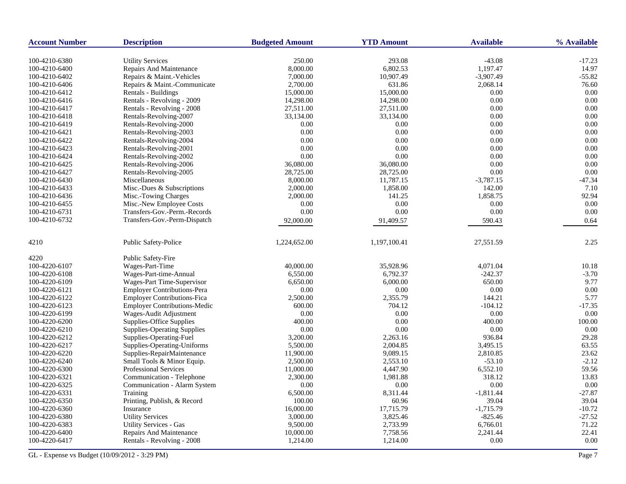| <b>Account Number</b> | <b>Description</b>                  | <b>Budgeted Amount</b> | <b>YTD Amount</b> | <b>Available</b> | % Available |
|-----------------------|-------------------------------------|------------------------|-------------------|------------------|-------------|
| 100-4210-6380         | <b>Utility Services</b>             | 250.00                 | 293.08            | $-43.08$         | $-17.23$    |
| 100-4210-6400         | Repairs And Maintenance             | 8,000.00               | 6,802.53          | 1,197.47         | 14.97       |
| 100-4210-6402         | Repairs & Maint.-Vehicles           | 7,000.00               | 10,907.49         | $-3,907.49$      | $-55.82$    |
| 100-4210-6406         | Repairs & Maint.-Communicate        | 2,700.00               | 631.86            | 2,068.14         | 76.60       |
| 100-4210-6412         | Rentals - Buildings                 | 15,000.00              | 15,000.00         | 0.00             | 0.00        |
| 100-4210-6416         | Rentals - Revolving - 2009          | 14,298.00              | 14,298.00         | 0.00             | 0.00        |
| 100-4210-6417         | Rentals - Revolving - 2008          | 27,511.00              | 27,511.00         | 0.00             | 0.00        |
| 100-4210-6418         | Rentals-Revolving-2007              | 33,134.00              | 33,134.00         | 0.00             | 0.00        |
| 100-4210-6419         | Rentals-Revolving-2000              | 0.00                   | 0.00              | 0.00             | 0.00        |
| 100-4210-6421         | Rentals-Revolving-2003              | 0.00                   | 0.00              | 0.00             | 0.00        |
| 100-4210-6422         | Rentals-Revolving-2004              | 0.00                   | 0.00              | 0.00             | 0.00        |
| 100-4210-6423         | Rentals-Revolving-2001              | 0.00                   | 0.00              | 0.00             | 0.00        |
| 100-4210-6424         | Rentals-Revolving-2002              | 0.00                   | 0.00              | 0.00             | 0.00        |
| 100-4210-6425         | Rentals-Revolving-2006              | 36,080.00              | 36,080.00         | 0.00             | 0.00        |
| 100-4210-6427         | Rentals-Revolving-2005              | 28,725.00              | 28,725.00         | 0.00             | 0.00        |
| 100-4210-6430         | Miscellaneous                       | 8,000.00               | 11,787.15         | $-3,787.15$      | $-47.34$    |
| 100-4210-6433         | Misc.-Dues & Subscriptions          | 2,000.00               | 1,858.00          | 142.00           | 7.10        |
| 100-4210-6436         | Misc.-Towing Charges                | 2,000.00               | 141.25            | 1,858.75         | 92.94       |
| 100-4210-6455         | Misc.-New Employee Costs            | 0.00                   | 0.00              | 0.00             | 0.00        |
| 100-4210-6731         | Transfers-Gov.-Perm.-Records        | 0.00                   | 0.00              | 0.00             | 0.00        |
| 100-4210-6732         | Transfers-Gov.-Perm-Dispatch        |                        |                   |                  |             |
|                       |                                     | 92,000.00              | 91,409.57         | 590.43           | 0.64        |
| 4210                  | <b>Public Safety-Police</b>         | 1,224,652.00           | 1,197,100.41      | 27,551.59        | 2.25        |
| 4220                  | Public Safety-Fire                  |                        |                   |                  |             |
| 100-4220-6107         | Wages-Part-Time                     | 40,000.00              | 35,928.96         | 4,071.04         | 10.18       |
| 100-4220-6108         | Wages-Part-time-Annual              | 6,550.00               | 6,792.37          | $-242.37$        | $-3.70$     |
| 100-4220-6109         | Wages-Part Time-Supervisor          | 6,650.00               | 6,000.00          | 650.00           | 9.77        |
| 100-4220-6121         | <b>Employer Contributions-Pera</b>  | 0.00                   | 0.00              | 0.00             | 0.00        |
| 100-4220-6122         | <b>Employer Contributions-Fica</b>  | 2,500.00               | 2,355.79          | 144.21           | 5.77        |
| 100-4220-6123         | <b>Employer Contributions-Medic</b> | 600.00                 | 704.12            | $-104.12$        | $-17.35$    |
| 100-4220-6199         | Wages-Audit Adjustment              | 0.00                   | 0.00              | 0.00             | 0.00        |
| 100-4220-6200         | Supplies-Office Supplies            | 400.00                 | 0.00              | 400.00           | 100.00      |
| 100-4220-6210         | <b>Supplies-Operating Supplies</b>  | 0.00                   | 0.00              | 0.00             | 0.00        |
| 100-4220-6212         | Supplies-Operating-Fuel             | 3,200.00               | 2,263.16          | 936.84           | 29.28       |
| 100-4220-6217         | Supplies-Operating-Uniforms         | 5,500.00               | 2,004.85          | 3,495.15         | 63.55       |
| 100-4220-6220         | Supplies-RepairMaintenance          | 11,900.00              | 9,089.15          | 2,810.85         | 23.62       |
| 100-4220-6240         | Small Tools & Minor Equip.          | 2,500.00               | 2,553.10          | $-53.10$         | $-2.12$     |
| 100-4220-6300         | <b>Professional Services</b>        | 11,000.00              | 4,447.90          | 6,552.10         | 59.56       |
| 100-4220-6321         | Communication - Telephone           | 2,300.00               | 1,981.88          | 318.12           | 13.83       |
| 100-4220-6325         | Communication - Alarm System        | 0.00                   | 0.00              | 0.00             | 0.00        |
| 100-4220-6331         | Training                            | 6,500.00               | 8,311.44          | $-1,811.44$      | $-27.87$    |
| 100-4220-6350         | Printing, Publish, & Record         | 100.00                 | 60.96             | 39.04            | 39.04       |
| 100-4220-6360         | Insurance                           | 16,000.00              | 17,715.79         | $-1,715.79$      | $-10.72$    |
| 100-4220-6380         | <b>Utility Services</b>             | 3,000.00               | 3,825.46          | $-825.46$        | $-27.52$    |
| 100-4220-6383         | <b>Utility Services - Gas</b>       | 9,500.00               | 2,733.99          | 6,766.01         | 71.22       |
| 100-4220-6400         | <b>Repairs And Maintenance</b>      | 10,000.00              | 7,758.56          | 2,241.44         | 22.41       |
| 100-4220-6417         | Rentals - Revolving - 2008          | 1,214.00               | 1,214.00          | 0.00             | 0.00        |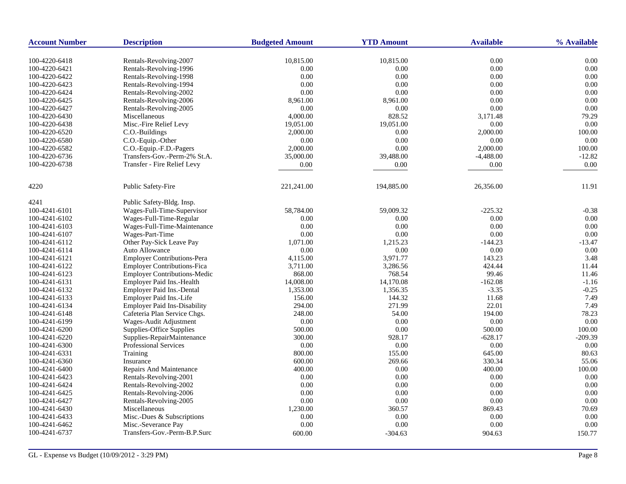| <b>Account Number</b>          | <b>Description</b>                               | <b>Budgeted Amount</b> | <b>YTD Amount</b> | <b>Available</b> | % Available  |
|--------------------------------|--------------------------------------------------|------------------------|-------------------|------------------|--------------|
|                                |                                                  |                        |                   |                  |              |
| 100-4220-6418                  | Rentals-Revolving-2007                           | 10,815.00              | 10,815.00         | 0.00<br>0.00     | 0.00<br>0.00 |
| 100-4220-6421                  | Rentals-Revolving-1996<br>Rentals-Revolving-1998 | 0.00                   | 0.00<br>0.00      |                  | 0.00         |
| 100-4220-6422                  |                                                  | 0.00                   |                   | 0.00             |              |
| 100-4220-6423                  | Rentals-Revolving-1994                           | 0.00                   | 0.00              | 0.00             | 0.00<br>0.00 |
| 100-4220-6424                  | Rentals-Revolving-2002                           | 0.00                   | 0.00              | 0.00<br>0.00     | 0.00         |
| 100-4220-6425                  | Rentals-Revolving-2006                           | 8,961.00               | 8,961.00          | 0.00             | 0.00         |
| 100-4220-6427                  | Rentals-Revolving-2005                           | 0.00                   | 0.00              |                  |              |
| 100-4220-6430                  | Miscellaneous                                    | 4,000.00               | 828.52            | 3,171.48         | 79.29        |
| 100-4220-6438                  | Misc.-Fire Relief Levy                           | 19,051.00              | 19,051.00         | 0.00             | 0.00         |
| 100-4220-6520                  | C.O.-Buildings                                   | 2,000.00               | 0.00              | 2,000.00         | 100.00       |
| 100-4220-6580                  | C.O.-Equip.-Other                                | 0.00                   | 0.00              | 0.00             | 0.00         |
| 100-4220-6582                  | C.O.-Equip.-F.D.-Pagers                          | 2,000.00               | 0.00              | 2,000.00         | 100.00       |
| 100-4220-6736                  | Transfers-Gov.-Perm-2% St.A.                     | 35,000.00              | 39,488.00         | $-4,488.00$      | $-12.82$     |
| 100-4220-6738                  | Transfer - Fire Relief Levy                      | $0.00\,$               | 0.00              | 0.00             | 0.00         |
| 4220                           | Public Safety-Fire                               | 221,241.00             | 194,885.00        | 26,356.00        | 11.91        |
| 4241                           | Public Safety-Bldg. Insp.                        |                        |                   |                  |              |
| 100-4241-6101                  | Wages-Full-Time-Supervisor                       | 58,784.00              | 59,009.32         | $-225.32$        | $-0.38$      |
| 100-4241-6102                  | Wages-Full-Time-Regular                          | 0.00                   | 0.00              | 0.00             | 0.00         |
| 100-4241-6103                  | Wages-Full-Time-Maintenance                      | 0.00                   | 0.00              | 0.00             | 0.00         |
| 100-4241-6107                  | Wages-Part-Time                                  | 0.00                   | 0.00              | 0.00             | 0.00         |
| 100-4241-6112                  | Other Pay-Sick Leave Pay                         | 1,071.00               | 1,215.23          | $-144.23$        | -13.47       |
| 100-4241-6114                  | Auto Allowance                                   | 0.00                   | 0.00              | 0.00             | 0.00         |
| 100-4241-6121                  | <b>Employer Contributions-Pera</b>               | 4,115.00               | 3,971.77          | 143.23           | 3.48         |
| 100-4241-6122                  | <b>Employer Contributions-Fica</b>               | 3,711.00               | 3,286.56          | 424.44           | 11.44        |
| 100-4241-6123                  | <b>Employer Contributions-Medic</b>              | 868.00                 | 768.54            | 99.46            | 11.46        |
| 100-4241-6131                  | <b>Employer Paid Ins.-Health</b>                 | 14,008.00              | 14,170.08         | $-162.08$        | $-1.16$      |
| 100-4241-6132                  | Employer Paid Ins.-Dental                        | 1,353.00               | 1,356.35          | $-3.35$          | $-0.25$      |
| 100-4241-6133                  | Employer Paid Ins.-Life                          | 156.00                 | 144.32            | 11.68            | 7.49         |
| 100-4241-6134                  | <b>Employer Paid Ins-Disability</b>              | 294.00                 | 271.99            | 22.01            | 7.49         |
| 100-4241-6148                  | Cafeteria Plan Service Chgs.                     | 248.00                 | 54.00             | 194.00           | 78.23        |
| 100-4241-6199                  | Wages-Audit Adjustment                           | 0.00                   | 0.00              | 0.00             | 0.00         |
| 100-4241-6200                  | Supplies-Office Supplies                         | 500.00                 | 0.00              | 500.00           | 100.00       |
| 100-4241-6220                  | Supplies-RepairMaintenance                       | 300.00                 | 928.17            | $-628.17$        | $-209.39$    |
| 100-4241-6300                  | Professional Services                            | 0.00                   | 0.00              | 0.00             | 0.00         |
| 100-4241-6331                  | Training                                         | 800.00                 | 155.00            | 645.00           | 80.63        |
| 100-4241-6360                  | Insurance                                        | 600.00                 | 269.66            | 330.34           | 55.06        |
| 100-4241-6400                  | <b>Repairs And Maintenance</b>                   | 400.00                 | 0.00              | 400.00           | 100.00       |
| 100-4241-6423                  | Rentals-Revolving-2001                           | 0.00                   | 0.00              | 0.00             | 0.00         |
| 100-4241-6424                  | Rentals-Revolving-2002                           | 0.00                   | 0.00              | $0.00\,$         | 0.00         |
| 100-4241-6425                  | Rentals-Revolving-2006                           | 0.00                   | 0.00              | 0.00             | 0.00         |
|                                | Rentals-Revolving-2005                           | 0.00                   | $0.00\,$          | 0.00             | 0.00         |
| 100-4241-6427<br>100-4241-6430 | Miscellaneous                                    | 1,230.00               | 360.57            | 869.43           | 70.69        |
| 100-4241-6433                  | Misc.-Dues & Subscriptions                       | 0.00                   | 0.00              | 0.00             | 0.00         |
| 100-4241-6462                  | Misc.-Severance Pay                              | 0.00                   | 0.00              | 0.00             | 0.00         |
|                                |                                                  |                        |                   |                  |              |
| 100-4241-6737                  | Transfers-Gov.-Perm-B.P.Surc                     | 600.00                 | $-304.63$         | 904.63           | 150.77       |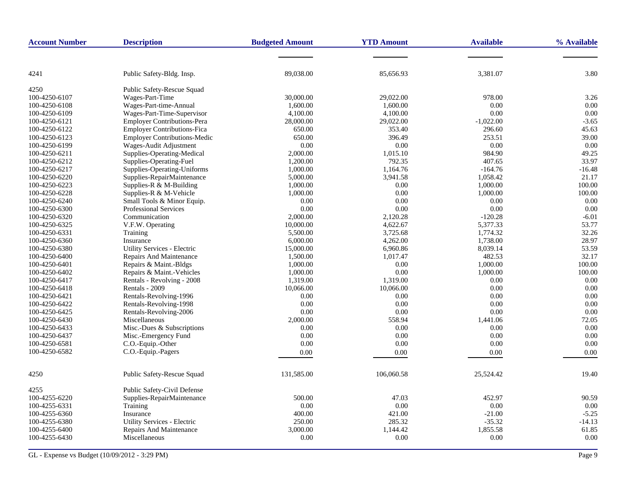| <b>Account Number</b> | <b>Description</b>                  | <b>Budgeted Amount</b> | <b>YTD Amount</b> | <b>Available</b> | % Available |
|-----------------------|-------------------------------------|------------------------|-------------------|------------------|-------------|
|                       |                                     |                        |                   |                  |             |
| 4241                  | Public Safety-Bldg. Insp.           | 89,038.00              | 85,656.93         | 3,381.07         | 3.80        |
| 4250                  | Public Safety-Rescue Squad          |                        |                   |                  |             |
| 100-4250-6107         | Wages-Part-Time                     | 30,000.00              | 29,022.00         | 978.00           | 3.26        |
| 100-4250-6108         | Wages-Part-time-Annual              | 1,600.00               | 1,600.00          | 0.00             | 0.00        |
| 100-4250-6109         | Wages-Part-Time-Supervisor          | 4,100.00               | 4,100.00          | 0.00             | 0.00        |
| 100-4250-6121         | <b>Employer Contributions-Pera</b>  | 28,000.00              | 29,022.00         | $-1,022.00$      | $-3.65$     |
| 100-4250-6122         | <b>Employer Contributions-Fica</b>  | 650.00                 | 353.40            | 296.60           | 45.63       |
| 100-4250-6123         | <b>Employer Contributions-Medic</b> | 650.00                 | 396.49            | 253.51           | 39.00       |
| 100-4250-6199         | Wages-Audit Adjustment              | 0.00                   | 0.00              | 0.00             | 0.00        |
| 100-4250-6211         | Supplies-Operating-Medical          | 2,000.00               | 1,015.10          | 984.90           | 49.25       |
| 100-4250-6212         | Supplies-Operating-Fuel             | 1,200.00               | 792.35            | 407.65           | 33.97       |
| 100-4250-6217         | Supplies-Operating-Uniforms         | 1,000.00               | 1.164.76          | $-164.76$        | $-16.48$    |
| 100-4250-6220         | Supplies-RepairMaintenance          | 5,000.00               | 3,941.58          | 1.058.42         | 21.17       |
| 100-4250-6223         | Supplies-R & M-Building             | 1,000.00               | 0.00              | 1,000.00         | 100.00      |
| 100-4250-6228         | Supplies-R & M-Vehicle              | 1,000.00               | 0.00              | 1,000.00         | 100.00      |
| 100-4250-6240         | Small Tools & Minor Equip.          | 0.00                   | 0.00              | 0.00             | 0.00        |
| 100-4250-6300         | <b>Professional Services</b>        | 0.00                   | 0.00              | 0.00             | 0.00        |
| 100-4250-6320         | Communication                       | 2,000.00               | 2,120.28          | $-120.28$        | $-6.01$     |
| 100-4250-6325         | V.F.W. Operating                    | 10,000.00              | 4,622.67          | 5,377.33         | 53.77       |
| 100-4250-6331         | Training                            | 5,500.00               | 3,725.68          | 1,774.32         | 32.26       |
| 100-4250-6360         | Insurance                           | 6,000.00               | 4,262.00          | 1,738.00         | 28.97       |
| 100-4250-6380         | Utility Services - Electric         | 15,000.00              | 6,960.86          | 8,039.14         | 53.59       |
| 100-4250-6400         | Repairs And Maintenance             | 1,500.00               | 1,017.47          | 482.53           | 32.17       |
| 100-4250-6401         | Repairs & Maint.-Bldgs              | 1,000.00               | 0.00              | 1,000.00         | 100.00      |
| 100-4250-6402         | Repairs & Maint.-Vehicles           | 1,000.00               | 0.00              | 1,000.00         | 100.00      |
| 100-4250-6417         | Rentals - Revolving - 2008          | 1,319.00               | 1,319.00          | 0.00             | 0.00        |
| 100-4250-6418         | Rentals - 2009                      | 10,066.00              | 10,066.00         | 0.00             | 0.00        |
| 100-4250-6421         | Rentals-Revolving-1996              | 0.00                   | 0.00              | 0.00             | 0.00        |
| 100-4250-6422         | Rentals-Revolving-1998              | 0.00                   | 0.00              | 0.00             | 0.00        |
| 100-4250-6425         | Rentals-Revolving-2006              | 0.00                   | 0.00              | 0.00             | 0.00        |
| 100-4250-6430         | Miscellaneous                       | 2,000.00               | 558.94            | 1,441.06         | 72.05       |
| 100-4250-6433         | Misc.-Dues & Subscriptions          | 0.00                   | 0.00              | 0.00             | 0.00        |
| 100-4250-6437         | Misc.-Emergency Fund                | 0.00                   | 0.00              | 0.00             | 0.00        |
| 100-4250-6581         | C.O.-Equip.-Other                   | 0.00                   | 0.00              | 0.00             | 0.00        |
| 100-4250-6582         | C.O.-Equip.-Pagers                  | 0.00                   | 0.00              | 0.00             | 0.00        |
| 4250                  | Public Safety-Rescue Squad          | 131,585.00             | 106,060.58        | 25,524.42        | 19.40       |
| 4255                  | Public Safety-Civil Defense         |                        |                   |                  |             |
| 100-4255-6220         | Supplies-RepairMaintenance          | 500.00                 | 47.03             | 452.97           | 90.59       |
| 100-4255-6331         | Training                            | 0.00                   | 0.00              | 0.00             | 0.00        |
| 100-4255-6360         | Insurance                           | 400.00                 | 421.00            | $-21.00$         | $-5.25$     |
| 100-4255-6380         | Utility Services - Electric         | 250.00                 | 285.32            | $-35.32$         | $-14.13$    |
| 100-4255-6400         | Repairs And Maintenance             | 3,000.00               | 1,144.42          | 1,855.58         | 61.85       |
| 100-4255-6430         | Miscellaneous                       | 0.00                   | 0.00              | 0.00             | 0.00        |
|                       |                                     |                        |                   |                  |             |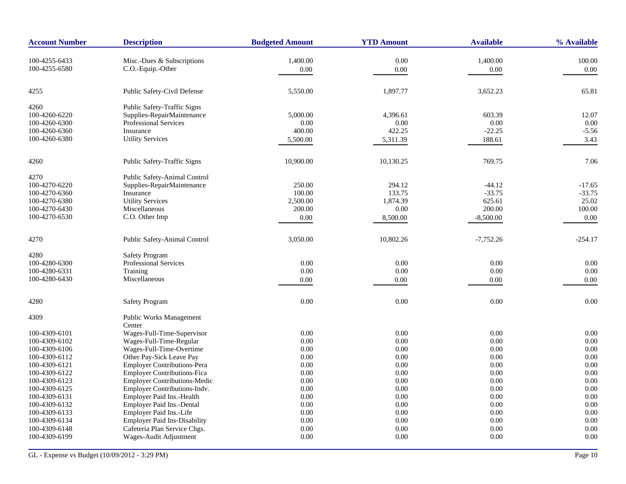| <b>Account Number</b>          | <b>Description</b>                                   | <b>Budgeted Amount</b> | <b>YTD Amount</b> | <b>Available</b> | % Available |
|--------------------------------|------------------------------------------------------|------------------------|-------------------|------------------|-------------|
| 100-4255-6433                  | Misc.-Dues & Subscriptions                           | 1,400.00               | 0.00              | 1,400.00         | 100.00      |
| 100-4255-6580                  | C.O.-Equip.-Other                                    | $0.00\,$               | 0.00              | 0.00             | 0.00        |
|                                |                                                      |                        |                   |                  |             |
| 4255                           | Public Safety-Civil Defense                          | 5,550.00               | 1,897.77          | 3,652.23         | 65.81       |
| 4260                           | Public Safety-Traffic Signs                          |                        |                   |                  |             |
| 100-4260-6220                  | Supplies-RepairMaintenance                           | 5,000.00               | 4,396.61          | 603.39           | 12.07       |
| 100-4260-6300                  | <b>Professional Services</b>                         | 0.00                   | 0.00              | 0.00             | 0.00        |
| 100-4260-6360                  | Insurance                                            | 400.00                 | 422.25            | $-22.25$         | $-5.56$     |
| 100-4260-6380                  | <b>Utility Services</b>                              | 5,500.00               | 5,311.39          | 188.61           | 3.43        |
| 4260                           | Public Safety-Traffic Signs                          | 10,900.00              | 10,130.25         | 769.75           | 7.06        |
| 4270                           | Public Safety-Animal Control                         |                        |                   |                  |             |
| 100-4270-6220                  | Supplies-RepairMaintenance                           | 250.00                 | 294.12            | $-44.12$         | $-17.65$    |
| 100-4270-6360                  | Insurance                                            | 100.00                 | 133.75            | $-33.75$         | $-33.75$    |
| 100-4270-6380                  | <b>Utility Services</b>                              | 2,500.00               | 1,874.39          | 625.61           | 25.02       |
| 100-4270-6430                  | Miscellaneous                                        | 200.00                 | 0.00              | 200.00           | 100.00      |
| 100-4270-6530                  | C.O. Other Imp                                       | 0.00                   | 8,500.00          | $-8,500.00$      | 0.00        |
| 4270                           | Public Safety-Animal Control                         | 3,050.00               | 10,802.26         | $-7,752.26$      | $-254.17$   |
| 4280                           | <b>Safety Program</b>                                |                        |                   |                  |             |
| 100-4280-6300                  | Professional Services                                | 0.00                   | 0.00              | 0.00             | 0.00        |
| 100-4280-6331                  | Training                                             | 0.00                   | 0.00              | 0.00             | 0.00        |
| 100-4280-6430                  | Miscellaneous                                        | 0.00                   | 0.00              | 0.00             | 0.00        |
|                                |                                                      |                        |                   |                  |             |
| 4280                           | <b>Safety Program</b>                                | 0.00                   | 0.00              | 0.00             | 0.00        |
| 4309                           | <b>Public Works Management</b>                       |                        |                   |                  |             |
|                                | Center<br>Wages-Full-Time-Supervisor                 |                        | $0.00\,$          |                  | 0.00        |
| 100-4309-6101<br>100-4309-6102 | Wages-Full-Time-Regular                              | 0.00<br>0.00           | 0.00              | 0.00<br>0.00     | 0.00        |
| 100-4309-6106                  |                                                      | 0.00                   | 0.00              | 0.00             | 0.00        |
| 100-4309-6112                  | Wages-Full-Time-Overtime<br>Other Pay-Sick Leave Pay | 0.00                   | 0.00              | 0.00             | 0.00        |
| 100-4309-6121                  | Employer Contributions-Pera                          | 0.00                   | 0.00              | 0.00             | 0.00        |
| 100-4309-6122                  | <b>Employer Contributions-Fica</b>                   | 0.00                   | 0.00              | 0.00             | 0.00        |
| 100-4309-6123                  | <b>Employer Contributions-Medic</b>                  | 0.00                   | 0.00              | 0.00             | 0.00        |
| 100-4309-6125                  | Employer Contributions-Indv.                         | 0.00                   | 0.00              | 0.00             | 0.00        |
| 100-4309-6131                  | Employer Paid Ins.-Health                            | 0.00                   | 0.00              | 0.00             | 0.00        |
| 100-4309-6132                  | Employer Paid Ins.-Dental                            | 0.00                   | 0.00              | 0.00             | 0.00        |
| 100-4309-6133                  | Employer Paid Ins.-Life                              | 0.00                   | 0.00              | 0.00             | 0.00        |
| 100-4309-6134                  | <b>Employer Paid Ins-Disability</b>                  | 0.00                   | 0.00              | 0.00             | 0.00        |
| 100-4309-6148                  | Cafeteria Plan Service Chgs.                         | 0.00                   | 0.00              | 0.00             | 0.00        |
| 100-4309-6199                  | Wages-Audit Adjustment                               | 0.00                   | 0.00              | 0.00             | 0.00        |
|                                |                                                      |                        |                   |                  |             |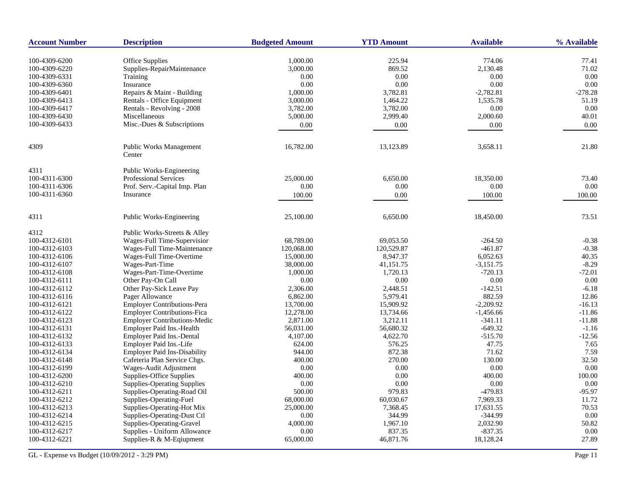| <b>Account Number</b> | <b>Description</b>                                   | <b>Budgeted Amount</b> | <b>YTD Amount</b> | <b>Available</b> | % Available    |
|-----------------------|------------------------------------------------------|------------------------|-------------------|------------------|----------------|
| 100-4309-6200         |                                                      |                        | 225.94            | 774.06           |                |
| 100-4309-6220         | <b>Office Supplies</b><br>Supplies-RepairMaintenance | 1,000.00<br>3,000.00   | 869.52            | 2,130.48         | 77.41<br>71.02 |
| 100-4309-6331         | Training                                             | 0.00                   | 0.00              | 0.00             | 0.00           |
| 100-4309-6360         | Insurance                                            | 0.00                   | 0.00              | 0.00             | 0.00           |
| 100-4309-6401         | Repairs & Maint - Building                           | 1,000.00               | 3,782.81          | $-2,782.81$      | $-278.28$      |
| 100-4309-6413         | Rentals - Office Equipment                           | 3,000.00               | 1,464.22          | 1,535.78         | 51.19          |
| 100-4309-6417         | Rentals - Revolving - 2008                           | 3,782.00               | 3,782.00          | 0.00             | 0.00           |
| 100-4309-6430         | Miscellaneous                                        | 5,000.00               | 2,999.40          | 2,000.60         | 40.01          |
| 100-4309-6433         | Misc.-Dues & Subscriptions                           |                        |                   |                  |                |
|                       |                                                      | 0.00                   | 0.00              | 0.00             | 0.00           |
| 4309                  | Public Works Management<br>Center                    | 16,782.00              | 13,123.89         | 3,658.11         | 21.80          |
| 4311                  | Public Works-Engineering                             |                        |                   |                  |                |
| 100-4311-6300         | <b>Professional Services</b>                         | 25,000.00              | 6,650.00          | 18,350.00        | 73.40          |
| 100-4311-6306         | Prof. Serv.-Capital Imp. Plan                        | 0.00                   | 0.00              | 0.00             | 0.00           |
| 100-4311-6360         | Insurance                                            | 100.00                 | 0.00              | 100.00           | 100.00         |
|                       |                                                      |                        |                   |                  |                |
| 4311                  | Public Works-Engineering                             | 25,100.00              | 6,650.00          | 18,450.00        | 73.51          |
| 4312                  | Public Works-Streets & Alley                         |                        |                   |                  |                |
| 100-4312-6101         | Wages-Full Time-Supervisior                          | 68,789.00              | 69,053.50         | $-264.50$        | $-0.38$        |
| 100-4312-6103         | Wages-Full Time-Maintenance                          | 120,068.00             | 120,529.87        | $-461.87$        | $-0.38$        |
| 100-4312-6106         | Wages-Full Time-Overtime                             | 15,000.00              | 8,947.37          | 6,052.63         | 40.35          |
| 100-4312-6107         | Wages-Part-Time                                      | 38,000.00              | 41,151.75         | $-3,151.75$      | $-8.29$        |
| 100-4312-6108         | Wages-Part-Time-Overtime                             | 1,000.00               | 1,720.13          | $-720.13$        | $-72.01$       |
| 100-4312-6111         | Other Pay-On Call                                    | 0.00                   | 0.00              | 0.00             | 0.00           |
| 100-4312-6112         | Other Pay-Sick Leave Pay                             | 2,306.00               | 2,448.51          | $-142.51$        | $-6.18$        |
| 100-4312-6116         | Pager Allowance                                      | 6,862.00               | 5,979.41          | 882.59           | 12.86          |
| 100-4312-6121         | <b>Employer Contributions-Pera</b>                   | 13,700.00              | 15,909.92         | $-2,209.92$      | $-16.13$       |
| 100-4312-6122         | <b>Employer Contributions-Fica</b>                   | 12,278.00              | 13,734.66         | $-1,456.66$      | $-11.86$       |
| 100-4312-6123         | <b>Employer Contributions-Medic</b>                  | 2,871.00               | 3,212.11          | $-341.11$        | $-11.88$       |
| 100-4312-6131         | Employer Paid Ins.-Health                            | 56,031.00              | 56,680.32         | $-649.32$        | $-1.16$        |
| 100-4312-6132         | Employer Paid Ins.-Dental                            | 4,107.00               | 4,622.70          | $-515.70$        | $-12.56$       |
| 100-4312-6133         | Employer Paid Ins.-Life                              | 624.00                 | 576.25            | 47.75            | 7.65           |
| 100-4312-6134         | <b>Employer Paid Ins-Disability</b>                  | 944.00                 | 872.38            | 71.62            | 7.59           |
| 100-4312-6148         | Cafeteria Plan Service Chgs.                         | 400.00                 | 270.00            | 130.00           | 32.50          |
| 100-4312-6199         | Wages-Audit Adjustment                               | 0.00                   | 0.00              | 0.00             | 0.00           |
| 100-4312-6200         | Supplies-Office Supplies                             | 400.00                 | 0.00              | 400.00           | 100.00         |
| 100-4312-6210         | <b>Supplies-Operating Supplies</b>                   | 0.00                   | 0.00              | 0.00             | 0.00           |
| 100-4312-6211         | Supplies-Operating-Road Oil                          | 500.00                 | 979.83            | $-479.83$        | $-95.97$       |
| 100-4312-6212         | Supplies-Operating-Fuel                              | 68,000.00              | 60,030.67         | 7,969.33         | 11.72          |
| 100-4312-6213         | Supplies-Operating-Hot Mix                           | 25,000.00              | 7,368.45          | 17,631.55        | 70.53          |
| 100-4312-6214         | Supplies-Operating-Dust Ctl                          | 0.00                   | 344.99            | $-344.99$        | 0.00           |
| 100-4312-6215         | Supplies-Operating-Gravel                            | 4,000.00               | 1,967.10          | 2,032.90         | 50.82          |
| 100-4312-6217         | Supplies - Uniform Allowance                         | 0.00                   | 837.35            | $-837.35$        | 0.00           |
| 100-4312-6221         | Supplies-R & M-Eqiupment                             | 65,000.00              | 46,871.76         | 18,128.24        | 27.89          |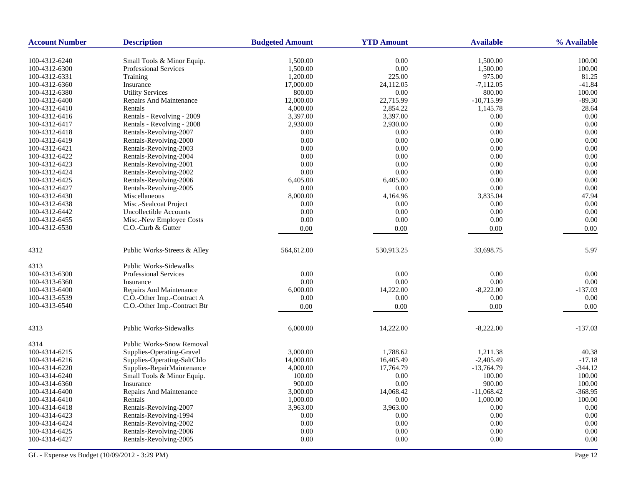| <b>Account Number</b> | <b>Description</b>               | <b>Budgeted Amount</b> | <b>YTD Amount</b> | <b>Available</b> | % Available |
|-----------------------|----------------------------------|------------------------|-------------------|------------------|-------------|
| 100-4312-6240         | Small Tools & Minor Equip.       | 1,500.00               | 0.00              | 1,500.00         | 100.00      |
| 100-4312-6300         | <b>Professional Services</b>     | 1,500.00               | 0.00              | 1,500.00         | 100.00      |
| 100-4312-6331         | Training                         | 1,200.00               | 225.00            | 975.00           | 81.25       |
| 100-4312-6360         | Insurance                        | 17,000.00              | 24,112.05         | $-7,112.05$      | $-41.84$    |
| 100-4312-6380         | <b>Utility Services</b>          | 800.00                 | 0.00              | 800.00           | 100.00      |
| 100-4312-6400         | Repairs And Maintenance          | 12,000.00              | 22,715.99         | $-10,715.99$     | $-89.30$    |
| 100-4312-6410         | Rentals                          | 4,000.00               | 2,854.22          | 1,145.78         | 28.64       |
| 100-4312-6416         | Rentals - Revolving - 2009       | 3,397.00               | 3,397.00          | 0.00             | 0.00        |
| 100-4312-6417         | Rentals - Revolving - 2008       | 2,930.00               | 2,930.00          | 0.00             | 0.00        |
| 100-4312-6418         | Rentals-Revolving-2007           | 0.00                   | 0.00              | 0.00             | 0.00        |
| 100-4312-6419         | Rentals-Revolving-2000           | 0.00                   | 0.00              | 0.00             | 0.00        |
| 100-4312-6421         | Rentals-Revolving-2003           | 0.00                   | 0.00              | 0.00             | 0.00        |
| 100-4312-6422         | Rentals-Revolving-2004           | 0.00                   | 0.00              | 0.00             | 0.00        |
| 100-4312-6423         | Rentals-Revolving-2001           | 0.00                   | 0.00              | 0.00             | 0.00        |
| 100-4312-6424         | Rentals-Revolving-2002           | 0.00                   | 0.00              | 0.00             | 0.00        |
| 100-4312-6425         | Rentals-Revolving-2006           | 6,405.00               | 6,405.00          | 0.00             | 0.00        |
| 100-4312-6427         | Rentals-Revolving-2005           | 0.00                   | 0.00              | 0.00             | 0.00        |
| 100-4312-6430         | Miscellaneous                    | 8,000.00               | 4,164.96          | 3,835.04         | 47.94       |
| 100-4312-6438         | Misc.-Sealcoat Project           | 0.00                   | 0.00              | 0.00             | 0.00        |
| 100-4312-6442         | <b>Uncollectible Accounts</b>    | 0.00                   | 0.00              | 0.00             | 0.00        |
| 100-4312-6455         | Misc.-New Employee Costs         | 0.00                   | 0.00              | 0.00             | 0.00        |
| 100-4312-6530         | C.O.-Curb & Gutter               | 0.00                   | 0.00              | 0.00             | 0.00        |
|                       |                                  |                        |                   |                  |             |
| 4312                  | Public Works-Streets & Alley     | 564,612.00             | 530,913.25        | 33,698.75        | 5.97        |
| 4313                  | <b>Public Works-Sidewalks</b>    |                        |                   |                  |             |
| 100-4313-6300         | <b>Professional Services</b>     | 0.00                   | 0.00              | 0.00             | 0.00        |
| 100-4313-6360         | Insurance                        | 0.00                   | 0.00              | 0.00             | 0.00        |
| 100-4313-6400         | Repairs And Maintenance          | 6,000.00               | 14,222.00         | $-8,222.00$      | $-137.03$   |
| 100-4313-6539         | C.O.-Other Imp.-Contract A       | 0.00                   | 0.00              | 0.00             | 0.00        |
| 100-4313-6540         | C.O.-Other Imp.-Contract Btr     | 0.00                   | 0.00              | 0.00             | 0.00        |
|                       |                                  |                        |                   |                  |             |
| 4313                  | Public Works-Sidewalks           | 6,000.00               | 14,222.00         | $-8,222.00$      | $-137.03$   |
| 4314                  | <b>Public Works-Snow Removal</b> |                        |                   |                  |             |
| 100-4314-6215         | Supplies-Operating-Gravel        | 3,000.00               | 1.788.62          | 1.211.38         | 40.38       |
| 100-4314-6216         | Supplies-Operating-SaltChlo      | 14,000.00              | 16,405.49         | $-2,405.49$      | $-17.18$    |
| 100-4314-6220         | Supplies-RepairMaintenance       | 4,000.00               | 17,764.79         | $-13,764.79$     | $-344.12$   |
| 100-4314-6240         | Small Tools & Minor Equip.       | 100.00                 | 0.00              | 100.00           | 100.00      |
| 100-4314-6360         | Insurance                        | 900.00                 | 0.00              | 900.00           | 100.00      |
| 100-4314-6400         | Repairs And Maintenance          | 3,000.00               | 14,068.42         | $-11,068.42$     | $-368.95$   |
| 100-4314-6410         | Rentals                          | 1,000.00               | 0.00              | 1,000.00         | 100.00      |
| 100-4314-6418         | Rentals-Revolving-2007           | 3,963.00               | 3,963.00          | 0.00             | 0.00        |
| 100-4314-6423         | Rentals-Revolving-1994           | 0.00                   | 0.00              | 0.00             | 0.00        |
| 100-4314-6424         | Rentals-Revolving-2002           | 0.00                   | 0.00              | 0.00             | 0.00        |
| 100-4314-6425         | Rentals-Revolving-2006           | 0.00                   | 0.00              | 0.00             | 0.00        |
| 100-4314-6427         | Rentals-Revolving-2005           | 0.00                   | 0.00              | 0.00             | 0.00        |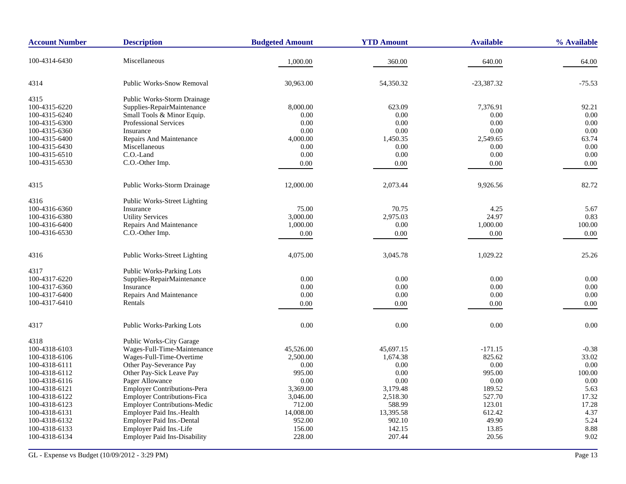| <b>Account Number</b> | <b>Description</b>                  | <b>Budgeted Amount</b> | <b>YTD Amount</b> | <b>Available</b> | % Available |
|-----------------------|-------------------------------------|------------------------|-------------------|------------------|-------------|
| 100-4314-6430         | Miscellaneous                       | 1,000.00               | 360.00            | 640.00           | 64.00       |
| 4314                  | <b>Public Works-Snow Removal</b>    | 30,963.00              | 54,350.32         | $-23,387.32$     | $-75.53$    |
| 4315                  | Public Works-Storm Drainage         |                        |                   |                  |             |
| 100-4315-6220         | Supplies-RepairMaintenance          | 8,000.00               | 623.09            | 7,376.91         | 92.21       |
| 100-4315-6240         | Small Tools & Minor Equip.          | 0.00                   | 0.00              | 0.00             | 0.00        |
| 100-4315-6300         | <b>Professional Services</b>        | 0.00                   | 0.00              | 0.00             | 0.00        |
| 100-4315-6360         | Insurance                           | 0.00                   | 0.00              | 0.00             | 0.00        |
| 100-4315-6400         | <b>Repairs And Maintenance</b>      | 4,000.00               | 1,450.35          | 2,549.65         | 63.74       |
| 100-4315-6430         | Miscellaneous                       | 0.00                   | 0.00              | 0.00             | 0.00        |
| 100-4315-6510         | C.O.-Land                           | 0.00                   | 0.00              | 0.00             | $0.00\,$    |
| 100-4315-6530         | C.O.-Other Imp.                     | 0.00                   | 0.00              | 0.00             | 0.00        |
| 4315                  | <b>Public Works-Storm Drainage</b>  | 12,000.00              | 2,073.44          | 9,926.56         | 82.72       |
| 4316                  | <b>Public Works-Street Lighting</b> |                        |                   |                  |             |
| 100-4316-6360         | Insurance                           | 75.00                  | 70.75             | 4.25             | 5.67        |
| 100-4316-6380         | <b>Utility Services</b>             | 3,000.00               | 2,975.03          | 24.97            | 0.83        |
| 100-4316-6400         | Repairs And Maintenance             | 1,000.00               | 0.00              | 1,000.00         | 100.00      |
| 100-4316-6530         | C.O.-Other Imp.                     | 0.00                   | 0.00              | 0.00             | 0.00        |
| 4316                  | Public Works-Street Lighting        | 4,075.00               | 3,045.78          | 1,029.22         | 25.26       |
| 4317                  | Public Works-Parking Lots           |                        |                   |                  |             |
| 100-4317-6220         | Supplies-RepairMaintenance          | 0.00                   | 0.00              | 0.00             | 0.00        |
| 100-4317-6360         | Insurance                           | 0.00                   | 0.00              | 0.00             | 0.00        |
| 100-4317-6400         | Repairs And Maintenance             | 0.00                   | 0.00              | 0.00             | 0.00        |
| 100-4317-6410         | Rentals                             | 0.00                   | 0.00              | 0.00             | 0.00        |
| 4317                  | <b>Public Works-Parking Lots</b>    | 0.00                   | 0.00              | 0.00             | 0.00        |
|                       |                                     |                        |                   |                  |             |
| 4318                  | <b>Public Works-City Garage</b>     |                        |                   |                  |             |
| 100-4318-6103         | Wages-Full-Time-Maintenance         | 45,526.00              | 45,697.15         | $-171.15$        | $-0.38$     |
| 100-4318-6106         | Wages-Full-Time-Overtime            | 2,500.00               | 1,674.38          | 825.62           | 33.02       |
| 100-4318-6111         | Other Pay-Severance Pay             | 0.00                   | 0.00              | 0.00             | 0.00        |
| 100-4318-6112         | Other Pay-Sick Leave Pay            | 995.00                 | 0.00              | 995.00           | 100.00      |
| 100-4318-6116         | Pager Allowance                     | 0.00                   | 0.00              | 0.00             | $0.00\,$    |
| 100-4318-6121         | <b>Employer Contributions-Pera</b>  | 3,369.00               | 3,179.48          | 189.52           | 5.63        |
| 100-4318-6122         | <b>Employer Contributions-Fica</b>  | 3,046.00               | 2,518.30          | 527.70           | 17.32       |
| 100-4318-6123         | <b>Employer Contributions-Medic</b> | 712.00                 | 588.99            | 123.01           | 17.28       |
| 100-4318-6131         | Employer Paid Ins.-Health           | 14,008.00              | 13,395.58         | 612.42           | 4.37        |
| 100-4318-6132         | <b>Employer Paid Ins.-Dental</b>    | 952.00                 | 902.10            | 49.90            | 5.24        |
| 100-4318-6133         | Employer Paid Ins.-Life             | 156.00                 | 142.15            | 13.85            | 8.88        |
| 100-4318-6134         | <b>Employer Paid Ins-Disability</b> | 228.00                 | 207.44            | 20.56            | 9.02        |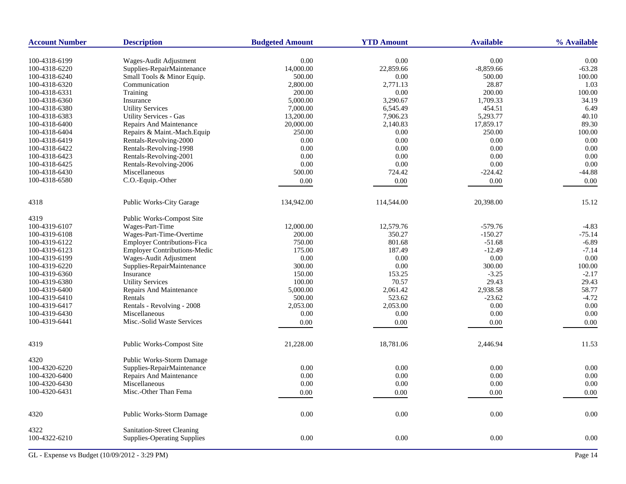| <b>Account Number</b> | <b>Description</b>                  | <b>Budgeted Amount</b> | <b>YTD Amount</b> | <b>Available</b> | % Available |
|-----------------------|-------------------------------------|------------------------|-------------------|------------------|-------------|
| 100-4318-6199         | Wages-Audit Adjustment              | 0.00                   | 0.00              | 0.00             | 0.00        |
| 100-4318-6220         | Supplies-RepairMaintenance          | 14,000.00              | 22,859.66         | $-8,859.66$      | $-63.28$    |
| 100-4318-6240         | Small Tools & Minor Equip.          | 500.00                 | 0.00              | 500.00           | 100.00      |
| 100-4318-6320         | Communication                       | 2,800.00               | 2,771.13          | 28.87            | 1.03        |
| 100-4318-6331         | Training                            | 200.00                 | 0.00              | 200.00           | 100.00      |
| 100-4318-6360         | Insurance                           | 5,000.00               | 3,290.67          | 1,709.33         | 34.19       |
| 100-4318-6380         | <b>Utility Services</b>             | 7,000.00               | 6,545.49          | 454.51           | 6.49        |
| 100-4318-6383         | <b>Utility Services - Gas</b>       | 13,200.00              | 7,906.23          | 5,293.77         | 40.10       |
| 100-4318-6400         | Repairs And Maintenance             | 20,000.00              | 2,140.83          | 17,859.17        | 89.30       |
| 100-4318-6404         | Repairs & Maint.-Mach.Equip         | 250.00                 | 0.00              | 250.00           | 100.00      |
| 100-4318-6419         |                                     |                        | 0.00              |                  | 0.00        |
|                       | Rentals-Revolving-2000              | 0.00<br>0.00           | 0.00              | 0.00<br>0.00     | 0.00        |
| 100-4318-6422         | Rentals-Revolving-1998              |                        |                   |                  |             |
| 100-4318-6423         | Rentals-Revolving-2001              | 0.00                   | 0.00              | 0.00             | 0.00        |
| 100-4318-6425         | Rentals-Revolving-2006              | 0.00                   | 0.00              | $0.00\,$         | 0.00        |
| 100-4318-6430         | Miscellaneous                       | 500.00                 | 724.42            | $-224.42$        | $-44.88$    |
| 100-4318-6580         | C.O.-Equip.-Other                   | 0.00                   | $0.00\,$          | 0.00             | 0.00        |
| 4318                  | Public Works-City Garage            | 134,942.00             | 114,544.00        | 20,398.00        | 15.12       |
| 4319                  | Public Works-Compost Site           |                        |                   |                  |             |
| 100-4319-6107         | Wages-Part-Time                     | 12,000.00              | 12,579.76         | $-579.76$        | $-4.83$     |
| 100-4319-6108         | Wages-Part-Time-Overtime            | 200.00                 | 350.27            | $-150.27$        | $-75.14$    |
| 100-4319-6122         | <b>Employer Contributions-Fica</b>  | 750.00                 | 801.68            | $-51.68$         | $-6.89$     |
| 100-4319-6123         | <b>Employer Contributions-Medic</b> | 175.00                 | 187.49            | $-12.49$         | $-7.14$     |
| 100-4319-6199         | Wages-Audit Adjustment              | $0.00\,$               | 0.00              | 0.00             | 0.00        |
| 100-4319-6220         | Supplies-RepairMaintenance          | 300.00                 | 0.00              | 300.00           | 100.00      |
| 100-4319-6360         | Insurance                           | 150.00                 | 153.25            | $-3.25$          | $-2.17$     |
| 100-4319-6380         | <b>Utility Services</b>             | 100.00                 | 70.57             | 29.43            | 29.43       |
| 100-4319-6400         | Repairs And Maintenance             | 5,000.00               | 2,061.42          | 2,938.58         | 58.77       |
| 100-4319-6410         | Rentals                             | 500.00                 | 523.62            | $-23.62$         | $-4.72$     |
| 100-4319-6417         | Rentals - Revolving - 2008          | 2,053.00               | 2,053.00          | 0.00             | 0.00        |
| 100-4319-6430         | Miscellaneous                       | 0.00                   | 0.00              | 0.00             | 0.00        |
| 100-4319-6441         | Misc.-Solid Waste Services          | 0.00                   | 0.00              | 0.00             | 0.00        |
|                       |                                     |                        |                   |                  |             |
| 4319                  | Public Works-Compost Site           | 21,228.00              | 18,781.06         | 2,446.94         | 11.53       |
| 4320                  | Public Works-Storm Damage           |                        |                   |                  |             |
| 100-4320-6220         | Supplies-RepairMaintenance          | 0.00                   | 0.00              | 0.00             | 0.00        |
| 100-4320-6400         | Repairs And Maintenance             | 0.00                   | 0.00              | 0.00             | 0.00        |
| 100-4320-6430         | Miscellaneous                       | 0.00                   | 0.00              | 0.00             | 0.00        |
| 100-4320-6431         | Misc.-Other Than Fema               | 0.00                   | 0.00              | 0.00             | 0.00        |
| 4320                  | Public Works-Storm Damage           | $0.00\,$               | $0.00\,$          | $0.00\,$         | $0.00\,$    |
| 4322                  | Sanitation-Street Cleaning          |                        |                   |                  |             |
| 100-4322-6210         | <b>Supplies-Operating Supplies</b>  | $0.00\,$               | $0.00\,$          | $0.00\,$         | $0.00\,$    |
|                       |                                     |                        |                   |                  |             |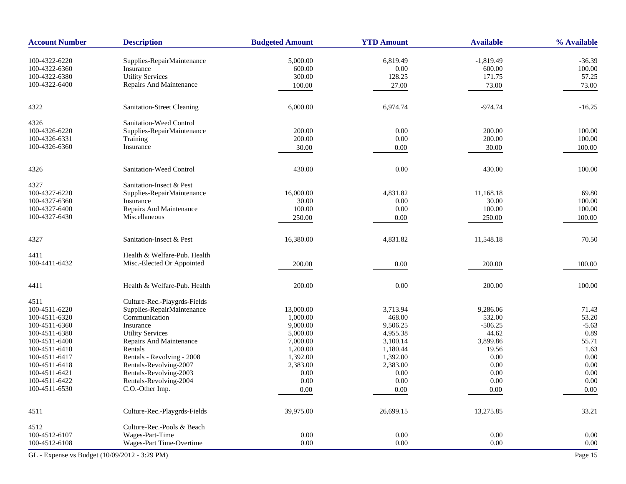| <b>Account Number</b>                         | <b>Description</b>                      | <b>Budgeted Amount</b> | <b>YTD Amount</b>    | <b>Available</b>      | % Available |
|-----------------------------------------------|-----------------------------------------|------------------------|----------------------|-----------------------|-------------|
| 100-4322-6220                                 |                                         |                        |                      |                       | $-36.39$    |
| 100-4322-6360                                 | Supplies-RepairMaintenance<br>Insurance | 5,000.00<br>600.00     | 6,819.49<br>$0.00\,$ | $-1,819.49$<br>600.00 | 100.00      |
| 100-4322-6380                                 | <b>Utility Services</b>                 | 300.00                 | 128.25               | 171.75                | 57.25       |
| 100-4322-6400                                 | Repairs And Maintenance                 |                        |                      |                       |             |
|                                               |                                         | 100.00                 | 27.00                | 73.00                 | 73.00       |
| 4322                                          | Sanitation-Street Cleaning              | 6,000.00               | 6,974.74             | $-974.74$             | $-16.25$    |
| 4326                                          | Sanitation-Weed Control                 |                        |                      |                       |             |
| 100-4326-6220                                 | Supplies-RepairMaintenance              | 200.00                 | 0.00                 | 200.00                | 100.00      |
| 100-4326-6331                                 | Training                                | 200.00                 | $0.00\,$             | 200.00                | 100.00      |
| 100-4326-6360                                 | Insurance                               | 30.00                  | 0.00                 | 30.00                 | 100.00      |
| 4326                                          | Sanitation-Weed Control                 | 430.00                 | 0.00                 | 430.00                | 100.00      |
|                                               |                                         |                        |                      |                       |             |
| 4327                                          | Sanitation-Insect & Pest                |                        |                      |                       |             |
| 100-4327-6220                                 | Supplies-RepairMaintenance              | 16,000.00              | 4,831.82             | 11,168.18             | 69.80       |
| 100-4327-6360                                 | Insurance                               | 30.00                  | 0.00                 | 30.00                 | 100.00      |
| 100-4327-6400                                 | Repairs And Maintenance                 | 100.00                 | 0.00                 | 100.00                | 100.00      |
| 100-4327-6430                                 | Miscellaneous                           | 250.00                 | 0.00                 | 250.00                | 100.00      |
| 4327                                          | Sanitation-Insect & Pest                | 16,380.00              | 4,831.82             | 11,548.18             | 70.50       |
| 4411                                          | Health & Welfare-Pub. Health            |                        |                      |                       |             |
| 100-4411-6432                                 | Misc.-Elected Or Appointed              | 200.00                 | 0.00                 | 200.00                | 100.00      |
| 4411                                          | Health & Welfare-Pub. Health            | 200.00                 | 0.00                 | 200.00                | 100.00      |
| 4511                                          | Culture-Rec.-Playgrds-Fields            |                        |                      |                       |             |
| 100-4511-6220                                 | Supplies-RepairMaintenance              | 13,000.00              | 3,713.94             | 9,286.06              | 71.43       |
| 100-4511-6320                                 | Communication                           | 1,000.00               | 468.00               | 532.00                | 53.20       |
| 100-4511-6360                                 | Insurance                               | 9,000.00               | 9,506.25             | $-506.25$             | $-5.63$     |
| 100-4511-6380                                 | <b>Utility Services</b>                 | 5,000.00               | 4,955.38             | 44.62                 | 0.89        |
| 100-4511-6400                                 | Repairs And Maintenance                 | 7,000.00               | 3,100.14             | 3,899.86              | 55.71       |
| 100-4511-6410                                 | Rentals                                 | 1,200.00               | 1,180.44             | 19.56                 | 1.63        |
| 100-4511-6417                                 | Rentals - Revolving - 2008              | 1,392.00               | 1,392.00             | 0.00                  | 0.00        |
| 100-4511-6418                                 | Rentals-Revolving-2007                  | 2,383.00               | 2,383.00             | 0.00                  | $0.00\,$    |
| 100-4511-6421                                 | Rentals-Revolving-2003                  | 0.00                   | 0.00                 | 0.00                  | 0.00        |
| 100-4511-6422                                 | Rentals-Revolving-2004                  | 0.00                   | 0.00                 | 0.00                  | 0.00        |
| 100-4511-6530                                 | C.O.-Other Imp.                         | $0.00\,$               | $0.00\,$             | 0.00                  | $0.00\,$    |
| 4511                                          | Culture-Rec.-Playgrds-Fields            | 39,975.00              | 26,699.15            | 13,275.85             | 33.21       |
| 4512                                          | Culture-Rec.-Pools & Beach              |                        |                      |                       |             |
| 100-4512-6107                                 | Wages-Part-Time                         | 0.00                   | 0.00                 | 0.00                  | 0.00        |
| 100-4512-6108                                 | Wages-Part Time-Overtime                | 0.00                   | 0.00                 | 0.00                  | 0.00        |
| GL - Expense vs Budget (10/09/2012 - 3:29 PM) |                                         |                        |                      |                       | Page 15     |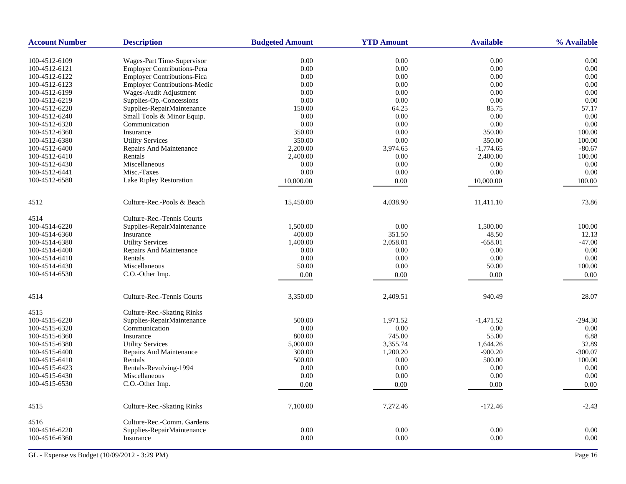| <b>Account Number</b> | <b>Description</b>                  | <b>Budgeted Amount</b> | <b>YTD Amount</b> | <b>Available</b> | % Available |
|-----------------------|-------------------------------------|------------------------|-------------------|------------------|-------------|
| 100-4512-6109         | Wages-Part Time-Supervisor          | 0.00                   | 0.00              | 0.00             | 0.00        |
| 100-4512-6121         | Employer Contributions-Pera         | $0.00\,$               | $0.00\,$          | $0.00\,$         | 0.00        |
| 100-4512-6122         | Employer Contributions-Fica         | 0.00                   | 0.00              | 0.00             | 0.00        |
| 100-4512-6123         | <b>Employer Contributions-Medic</b> | 0.00                   | 0.00              | 0.00             | 0.00        |
| 100-4512-6199         | Wages-Audit Adjustment              | 0.00                   | 0.00              | 0.00             | 0.00        |
| 100-4512-6219         | Supplies-Op.-Concessions            | 0.00                   | 0.00              | 0.00             | 0.00        |
| 100-4512-6220         | Supplies-RepairMaintenance          | 150.00                 | 64.25             | 85.75            | 57.17       |
| 100-4512-6240         | Small Tools & Minor Equip.          | 0.00                   | 0.00              | 0.00             | 0.00        |
| 100-4512-6320         | Communication                       | 0.00                   | 0.00              | 0.00             | 0.00        |
| 100-4512-6360         | Insurance                           | 350.00                 | 0.00              | 350.00           | 100.00      |
| 100-4512-6380         | <b>Utility Services</b>             | 350.00                 | 0.00              | 350.00           | 100.00      |
| 100-4512-6400         | Repairs And Maintenance             | 2,200.00               | 3,974.65          | $-1,774.65$      | $-80.67$    |
| 100-4512-6410         | Rentals                             | 2,400.00               | 0.00              | 2,400.00         | 100.00      |
| 100-4512-6430         | Miscellaneous                       | 0.00                   | 0.00              | 0.00             | 0.00        |
| 100-4512-6441         | Misc.-Taxes                         | 0.00                   | 0.00              | 0.00             | 0.00        |
| 100-4512-6580         | Lake Ripley Restoration             |                        | 0.00              |                  |             |
|                       |                                     | 10,000.00              |                   | 10,000.00        | 100.00      |
| 4512                  | Culture-Rec.-Pools & Beach          | 15,450.00              | 4,038.90          | 11,411.10        | 73.86       |
| 4514                  | Culture-Rec.-Tennis Courts          |                        |                   |                  |             |
| 100-4514-6220         | Supplies-RepairMaintenance          | 1,500.00               | 0.00              | 1,500.00         | 100.00      |
| 100-4514-6360         | Insurance                           | 400.00                 | 351.50            | 48.50            | 12.13       |
| 100-4514-6380         | <b>Utility Services</b>             | 1,400.00               | 2,058.01          | $-658.01$        | $-47.00$    |
| 100-4514-6400         | Repairs And Maintenance             | 0.00                   | 0.00              | 0.00             | 0.00        |
| 100-4514-6410         | Rentals                             | 0.00                   | 0.00              | 0.00             | 0.00        |
| 100-4514-6430         | Miscellaneous                       | 50.00                  | 0.00              | 50.00            | 100.00      |
| 100-4514-6530         | C.O.-Other Imp.                     | 0.00                   | $0.00\,$          | 0.00             | 0.00        |
| 4514                  | Culture-Rec.-Tennis Courts          | 3,350.00               | 2,409.51          | 940.49           | 28.07       |
| 4515                  | Culture-Rec.-Skating Rinks          |                        |                   |                  |             |
| 100-4515-6220         | Supplies-RepairMaintenance          | 500.00                 | 1,971.52          | $-1,471.52$      | $-294.30$   |
| 100-4515-6320         | Communication                       | 0.00                   | $0.00\,$          | $0.00\,$         | 0.00        |
| 100-4515-6360         | Insurance                           | 800.00                 | 745.00            | 55.00            | 6.88        |
| 100-4515-6380         | <b>Utility Services</b>             | 5,000.00               | 3,355.74          | 1,644.26         | 32.89       |
| 100-4515-6400         | Repairs And Maintenance             | 300.00                 | 1,200.20          | $-900.20$        | $-300.07$   |
| 100-4515-6410         | Rentals                             | 500.00                 | 0.00              | 500.00           | 100.00      |
| 100-4515-6423         | Rentals-Revolving-1994              | 0.00                   | 0.00              | 0.00             | 0.00        |
| 100-4515-6430         | Miscellaneous                       | 0.00                   | 0.00              | 0.00             | 0.00        |
| 100-4515-6530         | C.O.-Other Imp.                     | 0.00                   | 0.00              | 0.00             | 0.00        |
|                       |                                     |                        |                   |                  |             |
| 4515                  | Culture-Rec.-Skating Rinks          | 7,100.00               | 7,272.46          | $-172.46$        | $-2.43$     |
| 4516                  | Culture-Rec.-Comm. Gardens          |                        |                   |                  |             |
| 100-4516-6220         | Supplies-RepairMaintenance          | 0.00                   | 0.00              | 0.00             | 0.00        |
| 100-4516-6360         | Insurance                           | 0.00                   | 0.00              | 0.00             | 0.00        |
|                       |                                     |                        |                   |                  |             |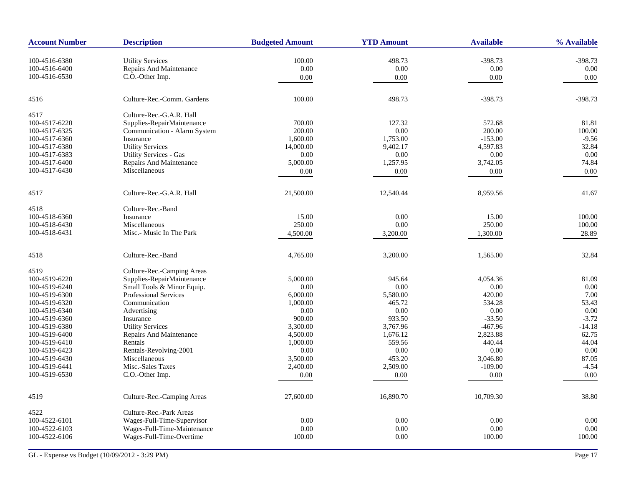| <b>Account Number</b> | <b>Description</b>            | <b>Budgeted Amount</b> | <b>YTD Amount</b> | <b>Available</b> | % Available |
|-----------------------|-------------------------------|------------------------|-------------------|------------------|-------------|
| 100-4516-6380         | <b>Utility Services</b>       | 100.00                 | 498.73            | $-398.73$        | $-398.73$   |
| 100-4516-6400         | Repairs And Maintenance       | 0.00                   | 0.00              | 0.00             | 0.00        |
| 100-4516-6530         | C.O.-Other Imp.               | 0.00                   | 0.00              | 0.00             | 0.00        |
|                       |                               |                        |                   |                  |             |
| 4516                  | Culture-Rec.-Comm. Gardens    | 100.00                 | 498.73            | $-398.73$        | $-398.73$   |
| 4517                  | Culture-Rec.-G.A.R. Hall      |                        |                   |                  |             |
| 100-4517-6220         | Supplies-RepairMaintenance    | 700.00                 | 127.32            | 572.68           | 81.81       |
| 100-4517-6325         | Communication - Alarm System  | 200.00                 | 0.00              | 200.00           | 100.00      |
| 100-4517-6360         | Insurance                     | 1,600.00               | 1,753.00          | $-153.00$        | $-9.56$     |
| 100-4517-6380         | <b>Utility Services</b>       | 14,000.00              | 9,402.17          | 4,597.83         | 32.84       |
| 100-4517-6383         | <b>Utility Services - Gas</b> | 0.00                   | 0.00              | 0.00             | 0.00        |
| 100-4517-6400         | Repairs And Maintenance       | 5,000.00               | 1,257.95          | 3,742.05         | 74.84       |
| 100-4517-6430         | Miscellaneous                 | 0.00                   | 0.00              | 0.00             | 0.00        |
| 4517                  | Culture-Rec.-G.A.R. Hall      | 21,500.00              | 12,540.44         | 8,959.56         | 41.67       |
| 4518                  | Culture-Rec.-Band             |                        |                   |                  |             |
| 100-4518-6360         | Insurance                     | 15.00                  | 0.00              | 15.00            | 100.00      |
| 100-4518-6430         | Miscellaneous                 | 250.00                 | 0.00              | 250.00           | 100.00      |
| 100-4518-6431         | Misc.- Music In The Park      |                        |                   |                  |             |
|                       |                               | 4,500.00               | 3,200.00          | 1,300.00         | 28.89       |
| 4518                  | Culture-Rec.-Band             | 4,765.00               | 3,200.00          | 1,565.00         | 32.84       |
| 4519                  | Culture-Rec.-Camping Areas    |                        |                   |                  |             |
| 100-4519-6220         | Supplies-RepairMaintenance    | 5,000.00               | 945.64            | 4,054.36         | 81.09       |
| 100-4519-6240         | Small Tools & Minor Equip.    | 0.00                   | 0.00              | 0.00             | 0.00        |
| 100-4519-6300         | <b>Professional Services</b>  | 6,000.00               | 5,580.00          | 420.00           | 7.00        |
| 100-4519-6320         | Communication                 | 1,000.00               | 465.72            | 534.28           | 53.43       |
| 100-4519-6340         | Advertising                   | 0.00                   | 0.00              | 0.00             | 0.00        |
| 100-4519-6360         | Insurance                     | 900.00                 | 933.50            | $-33.50$         | $-3.72$     |
| 100-4519-6380         | <b>Utility Services</b>       | 3,300.00               | 3,767.96          | $-467.96$        | $-14.18$    |
| 100-4519-6400         | Repairs And Maintenance       | 4,500.00               | 1,676.12          | 2,823.88         | 62.75       |
| 100-4519-6410         | Rentals                       | 1,000.00               | 559.56            | 440.44           | 44.04       |
| 100-4519-6423         | Rentals-Revolving-2001        | 0.00                   | 0.00              | 0.00             | 0.00        |
| 100-4519-6430         | Miscellaneous                 | 3,500.00               | 453.20            | 3,046.80         | 87.05       |
| 100-4519-6441         | Misc.-Sales Taxes             | 2,400.00               | 2,509.00          | $-109.00$        | $-4.54$     |
| 100-4519-6530         | C.O.-Other Imp.               | 0.00                   | 0.00              | 0.00             | 0.00        |
|                       |                               |                        |                   |                  |             |
| 4519                  | Culture-Rec.-Camping Areas    | 27,600.00              | 16,890.70         | 10,709.30        | 38.80       |
| 4522                  | Culture-Rec.-Park Areas       |                        |                   |                  |             |
| 100-4522-6101         | Wages-Full-Time-Supervisor    | 0.00                   | 0.00              | 0.00             | 0.00        |
| 100-4522-6103         | Wages-Full-Time-Maintenance   | 0.00                   | 0.00              | 0.00             | 0.00        |
| 100-4522-6106         | Wages-Full-Time-Overtime      | 100.00                 | 0.00              | 100.00           | 100.00      |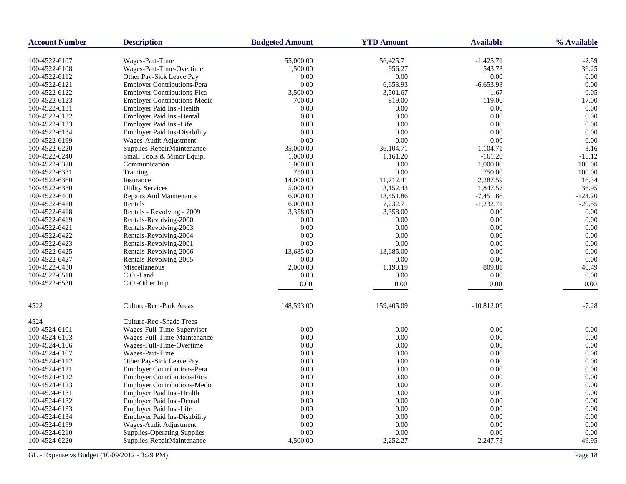| <b>Account Number</b> | <b>Description</b>                  | <b>Budgeted Amount</b> | <b>YTD Amount</b> | <b>Available</b> | % Available |
|-----------------------|-------------------------------------|------------------------|-------------------|------------------|-------------|
| 100-4522-6107         | Wages-Part-Time                     | 55,000.00              | 56,425.71         | $-1,425.71$      | $-2.59$     |
| 100-4522-6108         | Wages-Part-Time-Overtime            | 1,500.00               | 956.27            | 543.73           | 36.25       |
| 100-4522-6112         | Other Pay-Sick Leave Pay            | 0.00                   | 0.00              | 0.00             | 0.00        |
| 100-4522-6121         | <b>Employer Contributions-Pera</b>  | 0.00                   | 6,653.93          | $-6,653.93$      | 0.00        |
| 100-4522-6122         | <b>Employer Contributions-Fica</b>  | 3,500.00               | 3,501.67          | $-1.67$          | $-0.05$     |
| 100-4522-6123         | <b>Employer Contributions-Medic</b> | 700.00                 | 819.00            | $-119.00$        | $-17.00$    |
| 100-4522-6131         | Employer Paid Ins.-Health           | 0.00                   | 0.00              | 0.00             | 0.00        |
| 100-4522-6132         | Employer Paid Ins.-Dental           | 0.00                   | 0.00              | 0.00             | 0.00        |
| 100-4522-6133         | Employer Paid Ins.-Life             | 0.00                   | 0.00              | 0.00             | 0.00        |
| 100-4522-6134         | <b>Employer Paid Ins-Disability</b> | 0.00                   | 0.00              | 0.00             | 0.00        |
| 100-4522-6199         | Wages-Audit Adjustment              | 0.00                   | 0.00              | 0.00             | 0.00        |
| 100-4522-6220         | Supplies-RepairMaintenance          | 35,000.00              | 36,104.71         | $-1,104.71$      | $-3.16$     |
| 100-4522-6240         | Small Tools & Minor Equip.          | 1,000.00               | 1,161.20          | $-161.20$        | $-16.12$    |
| 100-4522-6320         | Communication                       | 1,000.00               | 0.00              | 1,000.00         | 100.00      |
| 100-4522-6331         | Training                            | 750.00                 | 0.00              | 750.00           | 100.00      |
| 100-4522-6360         | Insurance                           | 14,000.00              | 11,712.41         | 2,287.59         | 16.34       |
| 100-4522-6380         | <b>Utility Services</b>             | 5,000.00               | 3,152.43          | 1,847.57         | 36.95       |
| 100-4522-6400         | <b>Repairs And Maintenance</b>      | 6,000.00               | 13,451.86         | $-7,451.86$      | $-124.20$   |
| 100-4522-6410         | Rentals                             | 6,000.00               | 7,232.71          | $-1,232.71$      | $-20.55$    |
| 100-4522-6418         | Rentals - Revolving - 2009          | 3,358.00               | 3,358.00          | 0.00             | 0.00        |
| 100-4522-6419         | Rentals-Revolving-2000              | 0.00                   | 0.00              | 0.00             | 0.00        |
| 100-4522-6421         | Rentals-Revolving-2003              | 0.00                   | 0.00              | 0.00             | 0.00        |
| 100-4522-6422         | Rentals-Revolving-2004              | 0.00                   | 0.00              | 0.00             | 0.00        |
| 100-4522-6423         | Rentals-Revolving-2001              | 0.00                   | 0.00              | 0.00             | 0.00        |
| 100-4522-6425         | Rentals-Revolving-2006              | 13,685.00              | 13,685.00         | 0.00             | 0.00        |
| 100-4522-6427         | Rentals-Revolving-2005              | 0.00                   | 0.00              | 0.00             | 0.00        |
| 100-4522-6430         | Miscellaneous                       | 2,000.00               | 1,190.19          | 809.81           | 40.49       |
| 100-4522-6510         | C.O.-Land                           | 0.00                   | 0.00              | 0.00             | 0.00        |
| 100-4522-6530         | C.O.-Other Imp.                     | 0.00                   | 0.00              | 0.00             | 0.00        |
|                       |                                     |                        |                   |                  |             |
| 4522                  | Culture-Rec.-Park Areas             | 148,593.00             | 159,405.09        | $-10,812.09$     | $-7.28$     |
| 4524                  | Culture-Rec.-Shade Trees            |                        |                   |                  |             |
| 100-4524-6101         | Wages-Full-Time-Supervisor          | 0.00                   | 0.00              | 0.00             | 0.00        |
| 100-4524-6103         | Wages-Full-Time-Maintenance         | 0.00                   | 0.00              | 0.00             | 0.00        |
| 100-4524-6106         | Wages-Full-Time-Overtime            | 0.00                   | 0.00              | 0.00             | 0.00        |
| 100-4524-6107         | Wages-Part-Time                     | 0.00                   | 0.00              | 0.00             | 0.00        |
| 100-4524-6112         | Other Pay-Sick Leave Pay            | $0.00\,$               | 0.00              | 0.00             | 0.00        |
| 100-4524-6121         | <b>Employer Contributions-Pera</b>  | 0.00                   | 0.00              | 0.00             | 0.00        |
| 100-4524-6122         | <b>Employer Contributions-Fica</b>  | 0.00                   | 0.00              | 0.00             | 0.00        |
| 100-4524-6123         | <b>Employer Contributions-Medic</b> | 0.00                   | 0.00              | 0.00             | 0.00        |
| 100-4524-6131         | Employer Paid Ins.-Health           | 0.00                   | 0.00              | 0.00             | 0.00        |
| 100-4524-6132         | Employer Paid Ins.-Dental           | 0.00                   | 0.00              | 0.00             | 0.00        |
| 100-4524-6133         | Employer Paid Ins.-Life             | 0.00                   | 0.00              | 0.00             | 0.00        |
| 100-4524-6134         | <b>Employer Paid Ins-Disability</b> | 0.00                   | 0.00              | 0.00             | 0.00        |
| 100-4524-6199         | Wages-Audit Adjustment              | 0.00                   | 0.00              | 0.00             | 0.00        |
| 100-4524-6210         | <b>Supplies-Operating Supplies</b>  | 0.00                   | 0.00              | 0.00             | 0.00        |
| 100-4524-6220         | Supplies-RepairMaintenance          | 4,500.00               | 2,252.27          | 2,247.73         | 49.95       |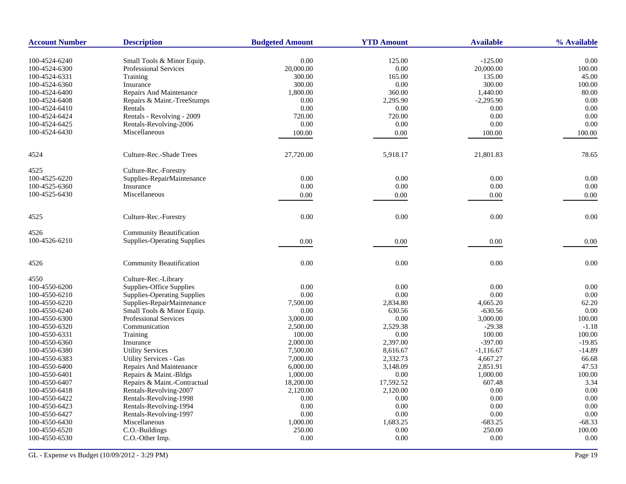| <b>Account Number</b> | <b>Description</b>                 | <b>Budgeted Amount</b> | <b>YTD Amount</b> | <b>Available</b>       | % Available    |
|-----------------------|------------------------------------|------------------------|-------------------|------------------------|----------------|
|                       |                                    |                        |                   |                        |                |
| 100-4524-6240         | Small Tools & Minor Equip.         | 0.00                   | 125.00            | $-125.00$<br>20,000.00 | 0.00<br>100.00 |
| 100-4524-6300         | <b>Professional Services</b>       | 20,000.00              | 0.00              |                        |                |
| 100-4524-6331         | Training                           | 300.00                 | 165.00            | 135.00                 | 45.00          |
| 100-4524-6360         | Insurance                          | 300.00                 | 0.00              | 300.00                 | 100.00         |
| 100-4524-6400         | Repairs And Maintenance            | 1,800.00               | 360.00            | 1,440.00               | 80.00          |
| 100-4524-6408         | Repairs & Maint.-TreeStumps        | 0.00                   | 2,295.90          | $-2,295.90$            | 0.00           |
| 100-4524-6410         | Rentals                            | 0.00                   | 0.00              | 0.00                   | 0.00           |
| 100-4524-6424         | Rentals - Revolving - 2009         | 720.00                 | 720.00            | 0.00                   | 0.00           |
| 100-4524-6425         | Rentals-Revolving-2006             | 0.00                   | 0.00              | 0.00                   | 0.00           |
| 100-4524-6430         | Miscellaneous                      | 100.00                 | 0.00              | 100.00                 | 100.00         |
| 4524                  | Culture-Rec.-Shade Trees           | 27,720.00              | 5,918.17          | 21,801.83              | 78.65          |
| 4525                  | Culture-Rec.-Forestry              |                        |                   |                        |                |
| 100-4525-6220         | Supplies-RepairMaintenance         | 0.00                   | 0.00              | 0.00                   | 0.00           |
| 100-4525-6360         | Insurance                          | 0.00                   | 0.00              | $0.00\,$               | 0.00           |
| 100-4525-6430         | Miscellaneous                      | 0.00                   | 0.00              | 0.00                   | 0.00           |
|                       |                                    |                        |                   |                        |                |
| 4525                  | Culture-Rec.-Forestry              | 0.00                   | 0.00              | 0.00                   | 0.00           |
| 4526                  | <b>Community Beautification</b>    |                        |                   |                        |                |
| 100-4526-6210         | <b>Supplies-Operating Supplies</b> | 0.00                   | 0.00              | 0.00                   | 0.00           |
| 4526                  | <b>Community Beautification</b>    | $0.00\,$               | 0.00              | 0.00                   | 0.00           |
| 4550                  | Culture-Rec.-Library               |                        |                   |                        |                |
| 100-4550-6200         | Supplies-Office Supplies           | 0.00                   | 0.00              | 0.00                   | 0.00           |
| 100-4550-6210         | <b>Supplies-Operating Supplies</b> | 0.00                   | 0.00              | 0.00                   | 0.00           |
| 100-4550-6220         | Supplies-RepairMaintenance         | 7,500.00               | 2,834.80          | 4,665.20               | 62.20          |
| 100-4550-6240         | Small Tools & Minor Equip.         | 0.00                   | 630.56            | $-630.56$              | 0.00           |
| 100-4550-6300         | <b>Professional Services</b>       | 3,000.00               | 0.00              | 3,000.00               | 100.00         |
| 100-4550-6320         | Communication                      | 2,500.00               | 2,529.38          | $-29.38$               | $-1.18$        |
| 100-4550-6331         | Training                           | 100.00                 | 0.00              | 100.00                 | 100.00         |
| 100-4550-6360         | Insurance                          | 2,000.00               | 2,397.00          | $-397.00$              | $-19.85$       |
| 100-4550-6380         | <b>Utility Services</b>            | 7,500.00               | 8,616.67          | $-1,116.67$            | $-14.89$       |
| 100-4550-6383         | <b>Utility Services - Gas</b>      | 7,000.00               | 2,332.73          | 4,667.27               | 66.68          |
| 100-4550-6400         | Repairs And Maintenance            | 6,000.00               | 3,148.09          | 2,851.91               | 47.53          |
| 100-4550-6401         | Repairs & Maint.-Bldgs             | 1,000.00               | 0.00              | 1,000.00               | 100.00         |
| 100-4550-6407         | Repairs & Maint.-Contractual       | 18,200.00              | 17,592.52         | 607.48                 | 3.34           |
| 100-4550-6418         | Rentals-Revolving-2007             | 2,120.00               | 2,120.00          | 0.00                   | 0.00           |
|                       | Rentals-Revolving-1998             | 0.00                   | 0.00              | 0.00                   | 0.00           |
| 100-4550-6422         |                                    |                        |                   |                        |                |
| 100-4550-6423         | Rentals-Revolving-1994             | 0.00                   | 0.00              | 0.00                   | 0.00           |
| 100-4550-6427         | Rentals-Revolving-1997             | 0.00                   | 0.00              | 0.00                   | 0.00           |
| 100-4550-6430         | Miscellaneous                      | 1,000.00               | 1,683.25          | $-683.25$              | $-68.33$       |
| 100-4550-6520         | C.O.-Buildings                     | 250.00                 | 0.00              | 250.00                 | 100.00         |
| 100-4550-6530         | C.O.-Other Imp.                    | $0.00\,$               | 0.00              | $0.00\,$               | 0.00           |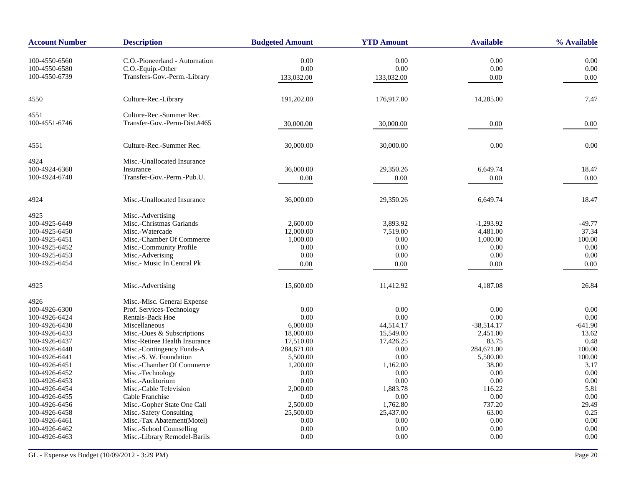| <b>Account Number</b>          | <b>Description</b>                                       | <b>Budgeted Amount</b> | <b>YTD Amount</b> | <b>Available</b> | % Available  |
|--------------------------------|----------------------------------------------------------|------------------------|-------------------|------------------|--------------|
| 100-4550-6560                  | C.O.-Pioneerland - Automation                            | 0.00                   | 0.00              | 0.00             | 0.00         |
| 100-4550-6580                  | C.O.-Equip.-Other                                        | 0.00                   | 0.00              | 0.00             | $0.00\,$     |
| 100-4550-6739                  | Transfers-Gov.-Perm.-Library                             | 133,032.00             | 133,032.00        | 0.00             | 0.00         |
|                                |                                                          |                        |                   |                  |              |
| 4550                           | Culture-Rec.-Library                                     | 191,202.00             | 176,917.00        | 14,285.00        | 7.47         |
| 4551                           | Culture-Rec.-Summer Rec.                                 |                        |                   |                  |              |
| 100-4551-6746                  | Transfer-Gov.-Perm-Dist.#465                             | 30,000.00              | 30,000.00         | 0.00             | 0.00         |
| 4551                           | Culture-Rec.-Summer Rec.                                 | 30,000.00              | 30,000.00         | 0.00             | 0.00         |
| 4924                           | Misc.-Unallocated Insurance                              |                        |                   |                  |              |
| 100-4924-6360                  | Insurance                                                | 36,000.00              | 29,350.26         | 6,649.74         | 18.47        |
| 100-4924-6740                  | Transfer-Gov.-Perm.-Pub.U.                               | 0.00                   | 0.00              | 0.00             | 0.00         |
| 4924                           | Misc.-Unallocated Insurance                              | 36,000.00              | 29,350.26         | 6,649.74         | 18.47        |
| 4925                           | Misc.-Advertising                                        |                        |                   |                  |              |
| 100-4925-6449                  | Misc.-Christmas Garlands                                 | 2,600.00               | 3,893.92          | $-1,293.92$      | $-49.77$     |
| 100-4925-6450                  | Misc.-Watercade                                          | 12,000.00              | 7,519.00          | 4,481.00         | 37.34        |
| 100-4925-6451                  | Misc.-Chamber Of Commerce                                | 1,000.00               | 0.00              | 1,000.00         | 100.00       |
| 100-4925-6452                  | Misc.-Community Profile                                  | 0.00                   | 0.00              | 0.00             | 0.00         |
| 100-4925-6453                  | Misc.-Adverising                                         | 0.00                   | 0.00              | 0.00             | 0.00         |
| 100-4925-6454                  | Misc.- Music In Central Pk                               | 0.00                   | 0.00              | 0.00             | 0.00         |
| 4925                           | Misc.-Advertising                                        | 15,600.00              | 11,412.92         | 4,187.08         | 26.84        |
| 4926                           | Misc.-Misc. General Expense                              |                        |                   |                  |              |
| 100-4926-6300                  | Prof. Services-Technology                                | 0.00                   | 0.00              | 0.00             | 0.00         |
| 100-4926-6424                  | Rentals-Back Hoe                                         | 0.00                   | 0.00              | 0.00             | 0.00         |
| 100-4926-6430                  | Miscellaneous                                            | 6,000.00               | 44,514.17         | $-38,514.17$     | $-641.90$    |
| 100-4926-6433                  | Misc.-Dues & Subscriptions                               | 18,000.00              | 15,549.00         | 2,451.00         | 13.62        |
| 100-4926-6437                  | Misc-Retiree Health Insurance                            | 17,510.00              | 17,426.25         | 83.75            | 0.48         |
| 100-4926-6440                  | Misc.-Contingency Funds-A                                | 284,671.00             | 0.00              | 284,671.00       | 100.00       |
| 100-4926-6441                  | Misc.-S. W. Foundation                                   | 5,500.00               | 0.00              | 5,500.00         | 100.00       |
| 100-4926-6451                  | Misc.-Chamber Of Commerce                                | 1,200.00               | 1,162.00          | 38.00            | 3.17         |
| 100-4926-6452                  | Misc.-Technology                                         | 0.00                   | 0.00              | 0.00             | 0.00         |
| 100-4926-6453                  | Misc.-Auditorium                                         | 0.00                   | 0.00              | 0.00             | 0.00         |
| 100-4926-6454                  | Misc.-Cable Television                                   | 2,000.00               | 1,883.78          | 116.22           | 5.81         |
| 100-4926-6455                  | Cable Franchise                                          | 0.00                   | 0.00              | 0.00             | 0.00         |
| 100-4926-6456                  | Misc.-Gopher State One Call                              | 2,500.00               | 1,762.80          | 737.20           | 29.49        |
| 100-4926-6458                  | Misc.-Safety Consulting                                  | 25,500.00              | 25,437.00         | 63.00            | 0.25         |
| 100-4926-6461                  | Misc.-Tax Abatement(Motel)                               | 0.00                   | 0.00              | 0.00             | 0.00         |
| 100-4926-6462<br>100-4926-6463 | Misc.-School Counselling<br>Misc.-Library Remodel-Barils | 0.00<br>0.00           | 0.00<br>0.00      | 0.00<br>0.00     | 0.00<br>0.00 |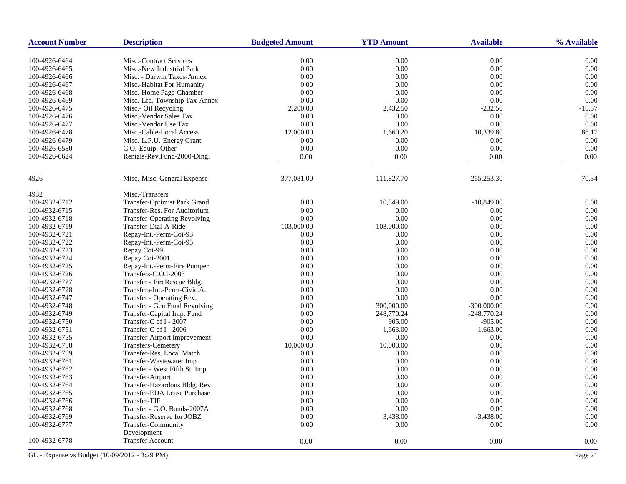| <b>Account Number</b> | <b>Description</b>                             | <b>Budgeted Amount</b> | <b>YTD Amount</b> | <b>Available</b> | % Available |
|-----------------------|------------------------------------------------|------------------------|-------------------|------------------|-------------|
| 100-4926-6464         | Misc.-Contract Services                        | 0.00                   | 0.00              | 0.00             | 0.00        |
| 100-4926-6465         | Misc.-New Industrial Park                      | 0.00                   | 0.00              | 0.00             | 0.00        |
| 100-4926-6466         | Misc. - Darwin Taxes-Annex                     | 0.00                   | 0.00              | 0.00             | 0.00        |
| 100-4926-6467         | Misc.-Habitat For Humanity                     | 0.00                   | 0.00              | 0.00             | 0.00        |
| 100-4926-6468         | Misc.-Home Page-Chamber                        | 0.00                   | 0.00              | 0.00             | 0.00        |
| 100-4926-6469         | Misc.-Lfd. Township Tax-Annex                  | 0.00                   | 0.00              | 0.00             | 0.00        |
| 100-4926-6475         | Misc.- Oil Recycling                           | 2,200.00               | 2,432.50          | $-232.50$        | $-10.57$    |
| 100-4926-6476         | Misc.-Vendor Sales Tax                         | 0.00                   | 0.00              | 0.00             | 0.00        |
| 100-4926-6477         | Misc.-Vendor Use Tax                           | 0.00                   | 0.00              | 0.00             | 0.00        |
| 100-4926-6478         | Misc.-Cable-Local Access                       | 12,000.00              | 1,660.20          | 10,339.80        | 86.17       |
| 100-4926-6479         |                                                | 0.00                   | 0.00              | 0.00             | 0.00        |
| 100-4926-6580         | Misc.-L.P.U.-Energy Grant<br>C.O.-Equip.-Other | 0.00                   | 0.00              | 0.00             | 0.00        |
| 100-4926-6624         | Rentals-Rev.Fund-2000-Ding.                    |                        |                   |                  |             |
|                       |                                                | 0.00                   | 0.00              | 0.00             | 0.00        |
| 4926                  | Misc.-Misc. General Expense                    | 377,081.00             | 111,827.70        | 265,253.30       | 70.34       |
| 4932                  | Misc.-Transfers                                |                        |                   |                  |             |
| 100-4932-6712         | Transfer-Optimist Park Grand                   | 0.00                   | 10,849.00         | $-10,849.00$     | 0.00        |
| 100-4932-6715         | Transfer-Res. For Auditorium                   | 0.00                   | 0.00              | 0.00             | 0.00        |
| 100-4932-6718         | <b>Transfer-Operating Revolving</b>            | 0.00                   | 0.00              | 0.00             | 0.00        |
| 100-4932-6719         | Transfer-Dial-A-Ride                           | 103,000.00             | 103,000.00        | 0.00             | 0.00        |
| 100-4932-6721         | Repay-Int.-Perm-Coi-93                         | 0.00                   | 0.00              | 0.00             | 0.00        |
| 100-4932-6722         | Repay-Int.-Perm-Coi-95                         | 0.00                   | 0.00              | 0.00             | 0.00        |
| 100-4932-6723         | Repay Coi-99                                   | 0.00                   | 0.00              | 0.00             | 0.00        |
| 100-4932-6724         | Repay Coi-2001                                 | 0.00                   | 0.00              | 0.00             | 0.00        |
| 100-4932-6725         | Repay-Int.-Perm-Fire Pumper                    | 0.00                   | 0.00              | 0.00             | 0.00        |
| 100-4932-6726         | Transfers-C.O.I-2003                           | 0.00                   | 0.00              | 0.00             | 0.00        |
| 100-4932-6727         | Transfer - FireRescue Bldg.                    | 0.00                   | 0.00              | 0.00             | 0.00        |
| 100-4932-6728         | Transfers-Int.-Perm-Civic.A.                   | 0.00                   | 0.00              | 0.00             | 0.00        |
| 100-4932-6747         | Transfer - Operating Rev.                      | 0.00                   | 0.00              | 0.00             | 0.00        |
| 100-4932-6748         | Transfer - Gen Fund Revolving                  | 0.00                   | 300,000.00        | $-300,000.00$    | 0.00        |
| 100-4932-6749         | Transfer-Capital Imp. Fund                     | 0.00                   | 248,770.24        | $-248,770.24$    | 0.00        |
| 100-4932-6750         | Transfer-C of I - 2007                         | 0.00                   | 905.00            | $-905.00$        | 0.00        |
| 100-4932-6751         | Transfer-C of I - 2006                         | 0.00                   | 1,663.00          | $-1,663.00$      | 0.00        |
| 100-4932-6755         | Transfer-Airport Improvement                   | 0.00                   | 0.00              | 0.00             | 0.00        |
| 100-4932-6758         | Transfers-Cemetery                             | 10,000.00              | 10,000.00         | 0.00             | 0.00        |
| 100-4932-6759         | Transfer-Res. Local Match                      | 0.00                   | 0.00              | 0.00             | 0.00        |
| 100-4932-6761         | Transfer-Wastewater Imp.                       | 0.00                   | 0.00              | 0.00             | 0.00        |
| 100-4932-6762         | Transfer - West Fifth St. Imp.                 | 0.00                   | 0.00              | 0.00             | 0.00        |
| 100-4932-6763         | Transfer-Airport                               | 0.00                   | 0.00              | 0.00             | 0.00        |
| 100-4932-6764         | Transfer-Hazardous Bldg. Rev                   | 0.00                   | 0.00              | 0.00             | 0.00        |
| 100-4932-6765         | Transfer-EDA Lease Purchase                    | 0.00                   | 0.00              | 0.00             | 0.00        |
| 100-4932-6766         | Transfer-TIF                                   | 0.00                   | 0.00              | 0.00             | 0.00        |
| 100-4932-6768         | Transfer - G.O. Bonds-2007A                    | 0.00                   | 0.00              | 0.00             | 0.00        |
| 100-4932-6769         | Transfer-Reserve for JOBZ                      | 0.00                   | 3,438.00          | $-3,438.00$      | 0.00        |
| 100-4932-6777         | Transfer-Community                             | 0.00                   | 0.00              | 0.00             | 0.00        |
| 100-4932-6778         | Development<br><b>Transfer Account</b>         | 0.00                   | 0.00              | 0.00             | 0.00        |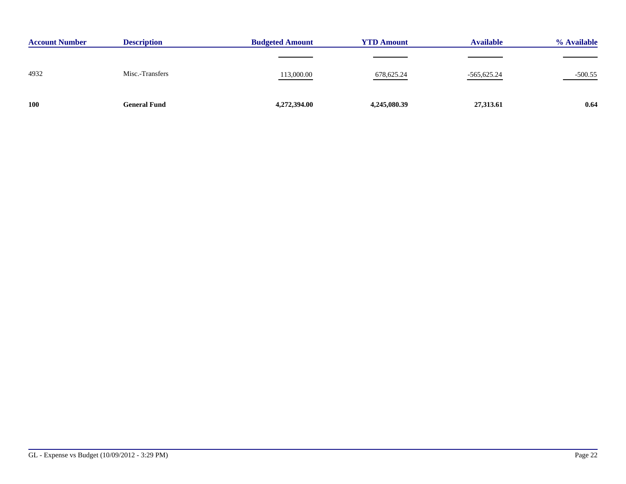| <b>Account Number</b> | <b>Description</b>  | <b>Budgeted Amount</b> | <b>YTD Amount</b> | <b>Available</b> | % Available |
|-----------------------|---------------------|------------------------|-------------------|------------------|-------------|
|                       |                     |                        |                   |                  |             |
| 4932                  | Misc.-Transfers     | 113,000.00             | 678, 625.24       | $-565,625.24$    | $-500.55$   |
| <b>100</b>            | <b>General Fund</b> | 4,272,394.00           | 4,245,080.39      | 27,313.61        | 0.64        |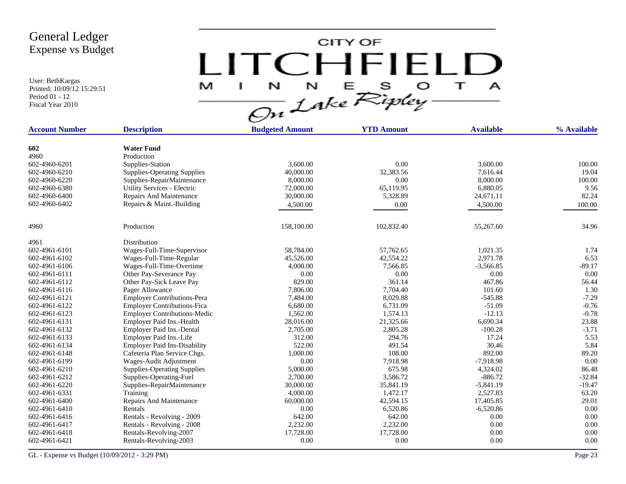User: BethKargas Printed: 10/09/12 15:29:51 Period 01 - 12 Fiscal Year 2010

 $LITCHTFIELD<sub>a</sub>  
\n $\frac{M-T}{\sqrt{2n}}\frac{1}{2abc}\sum_{k}^{N}E_{k}^{S}D_{k}^{S} + \frac{1}{2}$$ 

| <b>Account Number</b> | <b>Description</b>                                    | <b>Budgeted Amount</b> | <b>YTD Amount</b> | <b>Available</b> | % Available   |
|-----------------------|-------------------------------------------------------|------------------------|-------------------|------------------|---------------|
|                       |                                                       |                        |                   |                  |               |
| 602                   | <b>Water Fund</b>                                     |                        |                   |                  |               |
| 4960                  | Production                                            |                        |                   |                  |               |
| 602-4960-6201         | Supplies-Station                                      | 3,600.00               | 0.00              | 3,600.00         | 100.00        |
| 602-4960-6210         | <b>Supplies-Operating Supplies</b>                    | 40,000.00              | 32,383.56         | 7.616.44         | 19.04         |
| 602-4960-6220         | Supplies-RepairMaintenance                            | 8,000.00               | 0.00              | 8,000.00         | 100.00        |
| 602-4960-6380         | Utility Services - Electric                           | 72,000.00              | 65,119.95         | 6,880.05         | 9.56          |
| 602-4960-6400         | Repairs And Maintenance                               | 30,000.00              | 5,328.89          | 24,671.11        | 82.24         |
| 602-4960-6402         | Repairs & Maint.-Building                             | 4,500.00               | 0.00              | 4,500.00         | 100.00        |
| 4960                  | Production                                            | 158,100.00             | 102,832.40        | 55,267.60        | 34.96         |
|                       |                                                       |                        |                   |                  |               |
| 4961<br>602-4961-6101 | Distribution                                          | 58,784.00              | 57,762.65         | 1,021.35         | 1.74          |
| 602-4961-6102         | Wages-Full-Time-Supervisor<br>Wages-Full-Time-Regular | 45,526.00              | 42,554.22         | 2,971.78         | 6.53          |
| 602-4961-6106         |                                                       |                        |                   |                  |               |
|                       | Wages-Full-Time-Overtime                              | 4,000.00               | 7,566.85          | $-3,566.85$      | $-89.17$      |
| 602-4961-6111         | Other Pay-Severance Pay                               | 0.00                   | 0.00              | 0.00             | 0.00          |
| 602-4961-6112         | Other Pay-Sick Leave Pay                              | 829.00                 | 361.14            | 467.86           | 56.44<br>1.30 |
| 602-4961-6116         | Pager Allowance                                       | 7,806.00               | 7,704.40          | 101.60           |               |
| 602-4961-6121         | <b>Employer Contributions-Pera</b>                    | 7,484.00               | 8,029.88          | $-545.88$        | $-7.29$       |
| 602-4961-6122         | <b>Employer Contributions-Fica</b>                    | 6,680.00               | 6,731.09          | $-51.09$         | $-0.76$       |
| 602-4961-6123         | <b>Employer Contributions-Medic</b>                   | 1,562.00               | 1,574.13          | $-12.13$         | $-0.78$       |
| 602-4961-6131         | Employer Paid Ins.-Health                             | 28,016.00              | 21,325.66         | 6,690.34         | 23.88         |
| 602-4961-6132         | Employer Paid Ins.-Dental                             | 2,705.00               | 2,805.28          | $-100.28$        | $-3.71$       |
| 602-4961-6133         | Employer Paid Ins.-Life                               | 312.00                 | 294.76            | 17.24            | 5.53          |
| 602-4961-6134         | <b>Employer Paid Ins-Disability</b>                   | 522.00                 | 491.54            | 30.46            | 5.84          |
| 602-4961-6148         | Cafeteria Plan Service Chgs.                          | 1,000.00               | 108.00            | 892.00           | 89.20         |
| 602-4961-6199         | Wages-Audit Adjustment                                | 0.00                   | 7,918.98          | $-7,918.98$      | 0.00          |
| 602-4961-6210         | <b>Supplies-Operating Supplies</b>                    | 5,000.00               | 675.98            | 4,324.02         | 86.48         |
| 602-4961-6212         | Supplies-Operating-Fuel                               | 2,700.00               | 3,586.72          | $-886.72$        | $-32.84$      |
| 602-4961-6220         | Supplies-RepairMaintenance                            | 30,000.00              | 35,841.19         | $-5,841.19$      | $-19.47$      |
| 602-4961-6331         | Training                                              | 4,000.00               | 1,472.17          | 2,527.83         | 63.20         |
| 602-4961-6400         | Repairs And Maintenance                               | 60,000.00              | 42,594.15         | 17,405.85        | 29.01         |
| 602-4961-6410         | Rentals                                               | 0.00                   | 6,520.86          | $-6,520.86$      | 0.00          |
| 602-4961-6416         | Rentals - Revolving - 2009                            | 642.00                 | 642.00            | 0.00             | 0.00          |
| 602-4961-6417         | Rentals - Revolving - 2008                            | 2,232.00               | 2,232.00          | 0.00             | 0.00          |
| 602-4961-6418         | Rentals-Revolving-2007                                | 17,728.00              | 17,728.00         | 0.00             | 0.00          |
| 602-4961-6421         | Rentals-Revolving-2003                                | 0.00                   | 0.00              | 0.00             | 0.00          |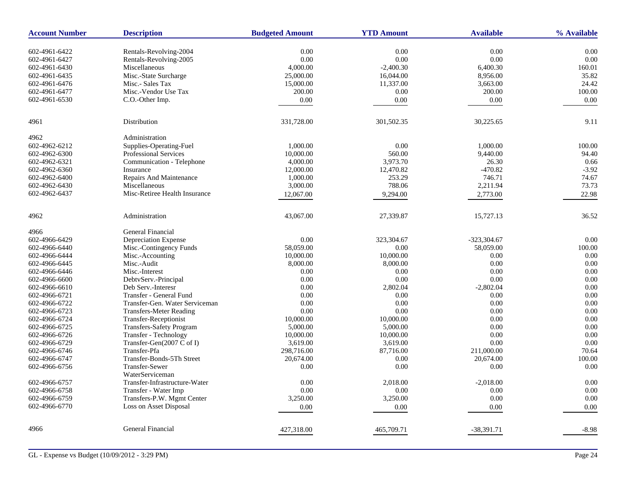| <b>Account Number</b> | <b>Description</b>             | <b>Budgeted Amount</b> | <b>YTD Amount</b> | <b>Available</b> | % Available |
|-----------------------|--------------------------------|------------------------|-------------------|------------------|-------------|
| 602-4961-6422         | Rentals-Revolving-2004         | 0.00                   | 0.00              | 0.00             | 0.00        |
| 602-4961-6427         | Rentals-Revolving-2005         | 0.00                   | 0.00              | 0.00             | 0.00        |
| 602-4961-6430         | Miscellaneous                  | 4,000.00               | $-2,400.30$       | 6,400.30         | 160.01      |
| 602-4961-6435         | Misc.-State Surcharge          | 25,000.00              | 16,044.00         | 8,956.00         | 35.82       |
| 602-4961-6476         | Misc.- Sales Tax               | 15,000.00              | 11,337.00         | 3,663.00         | 24.42       |
| 602-4961-6477         | Misc.-Vendor Use Tax           | 200.00                 | 0.00              | 200.00           | 100.00      |
| 602-4961-6530         | C.O.-Other Imp.                | 0.00                   | 0.00              | 0.00             | 0.00        |
|                       |                                |                        |                   |                  |             |
| 4961                  | Distribution                   | 331,728.00             | 301,502.35        | 30,225.65        | 9.11        |
| 4962                  | Administration                 |                        |                   |                  |             |
| 602-4962-6212         | Supplies-Operating-Fuel        | 1,000.00               | 0.00              | 1,000.00         | 100.00      |
| 602-4962-6300         | Professional Services          | 10,000.00              | 560.00            | 9,440.00         | 94.40       |
| 602-4962-6321         | Communication - Telephone      | 4,000.00               | 3,973.70          | 26.30            | 0.66        |
| 602-4962-6360         | Insurance                      | 12,000.00              | 12,470.82         | $-470.82$        | $-3.92$     |
| 602-4962-6400         | Repairs And Maintenance        | 1,000.00               | 253.29            | 746.71           | 74.67       |
| 602-4962-6430         | Miscellaneous                  | 3,000.00               | 788.06            | 2,211.94         | 73.73       |
| 602-4962-6437         | Misc-Retiree Health Insurance  | 12,067.00              | 9,294.00          | 2,773.00         | 22.98       |
|                       |                                |                        |                   |                  |             |
| 4962                  | Administration                 | 43,067.00              | 27,339.87         | 15,727.13        | 36.52       |
| 4966                  | General Financial              |                        |                   |                  |             |
| 602-4966-6429         | Depreciation Expense           | 0.00                   | 323,304.67        | $-323,304.67$    | 0.00        |
| 602-4966-6440         | Misc.-Contingency Funds        | 58,059.00              | 0.00              | 58,059.00        | 100.00      |
| 602-4966-6444         | Misc.-Accounting               | 10,000.00              | 10,000.00         | 0.00             | 0.00        |
| 602-4966-6445         | Misc.-Audit                    | 8,000.00               | 8,000.00          | 0.00             | 0.00        |
| 602-4966-6446         | Misc.-Interest                 | 0.00                   | 0.00              | 0.00             | 0.00        |
| 602-4966-6600         | DebtvServ.-Principal           | 0.00                   | 0.00              | 0.00             | 0.00        |
| 602-4966-6610         | Deb Serv.-Interesr             | 0.00                   | 2,802.04          | $-2,802.04$      | 0.00        |
| 602-4966-6721         | Transfer - General Fund        | 0.00                   | 0.00              | 0.00             | 0.00        |
| 602-4966-6722         | Transfer-Gen. Water Serviceman | 0.00                   | 0.00              | 0.00             | 0.00        |
| 602-4966-6723         | <b>Transfers-Meter Reading</b> | 0.00                   | 0.00              | 0.00             | 0.00        |
| 602-4966-6724         | Transfer-Receptionist          | 10,000.00              | 10,000.00         | 0.00             | 0.00        |
| 602-4966-6725         | Transfers-Safety Program       | 5,000.00               | 5,000.00          | 0.00             | 0.00        |
| 602-4966-6726         | Transfer - Technology          | 10,000.00              | 10,000.00         | 0.00             | 0.00        |
| 602-4966-6729         | Transfer-Gen(2007 C of I)      | 3,619.00               | 3,619.00          | 0.00             | 0.00        |
| 602-4966-6746         | Transfer-Pfa                   | 298,716.00             | 87,716.00         | 211,000.00       | 70.64       |
| 602-4966-6747         | Transfer-Bonds-5Th Street      | 20,674.00              | 0.00              | 20,674.00        | 100.00      |
| 602-4966-6756         | <b>Transfer-Sewer</b>          | 0.00                   | 0.00              | 0.00             | 0.00        |
|                       | WaterServiceman                |                        |                   |                  |             |
| 602-4966-6757         | Transfer-Infrastructure-Water  | $0.00\,$               | 2,018.00          | $-2,018.00$      | 0.00        |
| 602-4966-6758         | Transfer - Water Imp           | 0.00                   | 0.00              | 0.00             | 0.00        |
| 602-4966-6759         | Transfers-P.W. Mgmt Center     | 3,250.00               | 3,250.00          | 0.00             | 0.00        |
| 602-4966-6770         | Loss on Asset Disposal         | $0.00\,$               | $0.00\,$          | $0.00\,$         | 0.00        |
| 4966                  | General Financial              | 427,318.00             | 465,709.71        | $-38,391.71$     | $-8.98$     |
|                       |                                |                        |                   |                  |             |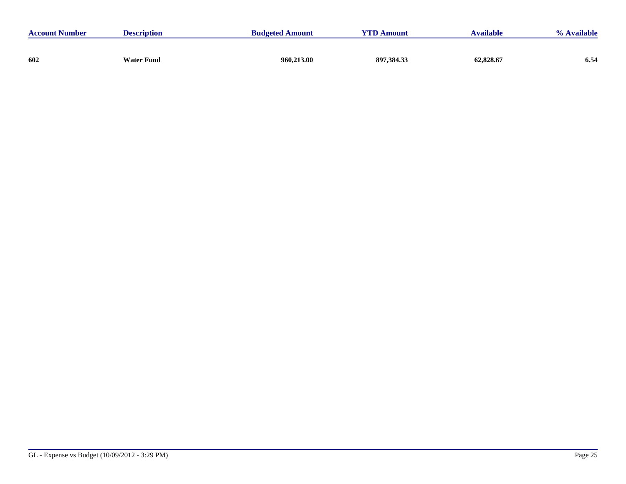| <b>Account Number</b> | <b>Description</b> | <b>Budgeted Amount</b> | <b>YTD Amount</b> | Available | % Available |
|-----------------------|--------------------|------------------------|-------------------|-----------|-------------|
|                       |                    |                        |                   |           |             |
| 602                   | Water Fund         | 960,213.00             | 897,384.33        | 62,828.67 | 6.54        |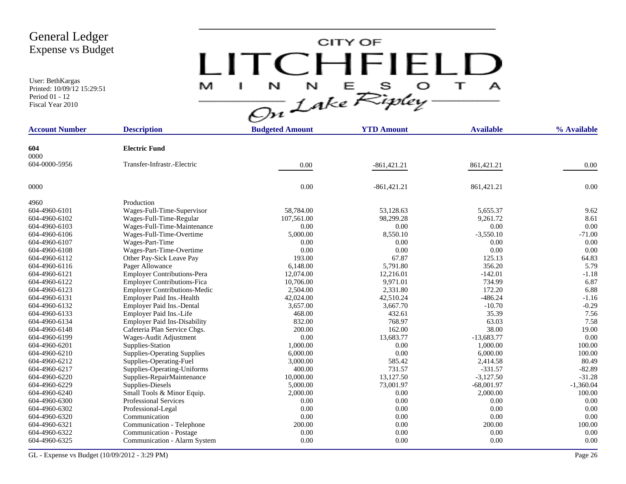User: BethKargas Printed: 10/09/12 15:29:51 Period 01 - 12 Fiscal Year 2010

# $LITCHTFIED\n<sub>M</sub>$

| <b>Account Number</b> | <b>Description</b>                  | <b>Budgeted Amount</b> | <b>YTD Amount</b> | <b>Available</b> | % Available |
|-----------------------|-------------------------------------|------------------------|-------------------|------------------|-------------|
| 604                   | <b>Electric Fund</b>                |                        |                   |                  |             |
| 0000                  |                                     |                        |                   |                  |             |
| 604-0000-5956         | Transfer-Infrastr.-Electric         | 0.00                   | $-861,421.21$     | 861,421.21       | 0.00        |
| 0000                  |                                     | 0.00                   | $-861,421.21$     | 861,421.21       | 0.00        |
| 4960                  | Production                          |                        |                   |                  |             |
| 604-4960-6101         | Wages-Full-Time-Supervisor          | 58,784.00              | 53,128.63         | 5,655.37         | 9.62        |
| 604-4960-6102         | Wages-Full-Time-Regular             | 107,561.00             | 98,299.28         | 9,261.72         | 8.61        |
| 604-4960-6103         | Wages-Full-Time-Maintenance         | 0.00                   | 0.00              | 0.00             | 0.00        |
| 604-4960-6106         | Wages-Full-Time-Overtime            | 5,000.00               | 8,550.10          | $-3,550.10$      | $-71.00$    |
| 604-4960-6107         | Wages-Part-Time                     | 0.00                   | 0.00              | 0.00             | 0.00        |
| 604-4960-6108         | Wages-Part-Time-Overtime            | 0.00                   | 0.00              | 0.00             | 0.00        |
| 604-4960-6112         | Other Pay-Sick Leave Pay            | 193.00                 | 67.87             | 125.13           | 64.83       |
| 604-4960-6116         | Pager Allowance                     | 6,148.00               | 5,791.80          | 356.20           | 5.79        |
| 604-4960-6121         | <b>Employer Contributions-Pera</b>  | 12,074.00              | 12,216.01         | $-142.01$        | $-1.18$     |
| 604-4960-6122         | <b>Employer Contributions-Fica</b>  | 10,706.00              | 9,971.01          | 734.99           | 6.87        |
| 604-4960-6123         | <b>Employer Contributions-Medic</b> | 2,504.00               | 2,331.80          | 172.20           | 6.88        |
| 604-4960-6131         | Employer Paid Ins.-Health           | 42,024.00              | 42,510.24         | $-486.24$        | $-1.16$     |
| 604-4960-6132         | Employer Paid Ins.-Dental           | 3,657.00               | 3,667.70          | $-10.70$         | $-0.29$     |
| 604-4960-6133         | Employer Paid Ins.-Life             | 468.00                 | 432.61            | 35.39            | 7.56        |
| 604-4960-6134         | <b>Employer Paid Ins-Disability</b> | 832.00                 | 768.97            | 63.03            | 7.58        |
| 604-4960-6148         | Cafeteria Plan Service Chgs.        | 200.00                 | 162.00            | 38.00            | 19.00       |
| 604-4960-6199         | Wages-Audit Adjustment              | 0.00                   | 13,683.77         | $-13,683.77$     | 0.00        |
| 604-4960-6201         | Supplies-Station                    | 1,000.00               | 0.00              | 1,000.00         | 100.00      |
| 604-4960-6210         | <b>Supplies-Operating Supplies</b>  | 6,000.00               | 0.00              | 6,000.00         | 100.00      |
| 604-4960-6212         | Supplies-Operating-Fuel             | 3,000.00               | 585.42            | 2,414.58         | 80.49       |
| 604-4960-6217         | Supplies-Operating-Uniforms         | 400.00                 | 731.57            | $-331.57$        | $-82.89$    |
| 604-4960-6220         | Supplies-RepairMaintenance          | 10,000.00              | 13,127.50         | $-3,127.50$      | $-31.28$    |
| 604-4960-6229         | Supplies-Diesels                    | 5,000.00               | 73,001.97         | $-68,001.97$     | $-1,360.04$ |
| 604-4960-6240         | Small Tools & Minor Equip.          | 2,000.00               | 0.00              | 2,000.00         | 100.00      |
| 604-4960-6300         | Professional Services               | 0.00                   | 0.00              | 0.00             | 0.00        |
| 604-4960-6302         | Professional-Legal                  | 0.00                   | 0.00              | 0.00             | 0.00        |
| 604-4960-6320         | Communication                       | 0.00                   | 0.00              | 0.00             | 0.00        |
| 604-4960-6321         | Communication - Telephone           | 200.00                 | 0.00              | 200.00           | 100.00      |
| 604-4960-6322         | Communication - Postage             | 0.00                   | 0.00              | 0.00             | 0.00        |
| 604-4960-6325         | Communication - Alarm System        | 0.00                   | 0.00              | 0.00             | 0.00        |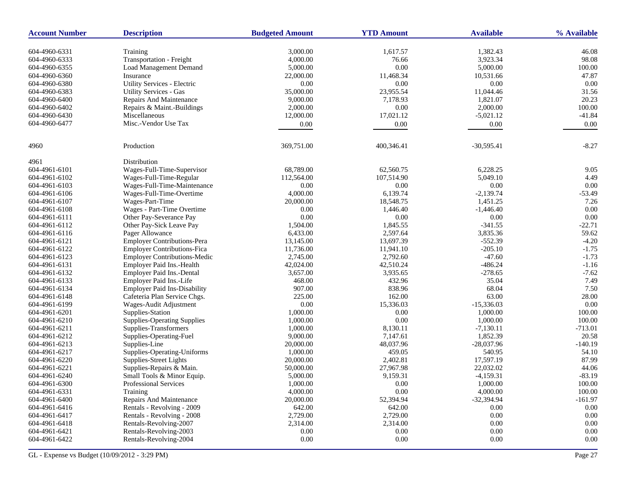| <b>Account Number</b> | <b>Description</b>                  | <b>Budgeted Amount</b> | <b>YTD Amount</b> | <b>Available</b> | % Available |
|-----------------------|-------------------------------------|------------------------|-------------------|------------------|-------------|
| 604-4960-6331         | Training                            | 3,000.00               | 1,617.57          | 1,382.43         | 46.08       |
| 604-4960-6333         | Transportation - Freight            | 4,000.00               | 76.66             | 3,923.34         | 98.08       |
| 604-4960-6355         | <b>Load Management Demand</b>       | 5,000.00               | 0.00              | 5,000.00         | 100.00      |
| 604-4960-6360         | Insurance                           | 22,000.00              | 11,468.34         | 10,531.66        | 47.87       |
| 604-4960-6380         | Utility Services - Electric         | $0.00\,$               | $0.00\,$          | 0.00             | 0.00        |
| 604-4960-6383         | <b>Utility Services - Gas</b>       | 35,000.00              | 23,955.54         | 11,044.46        | 31.56       |
| 604-4960-6400         | Repairs And Maintenance             | 9,000.00               | 7,178.93          | 1,821.07         | 20.23       |
| 604-4960-6402         | Repairs & Maint.-Buildings          | 2,000.00               | $0.00\,$          | 2,000.00         | 100.00      |
| 604-4960-6430         | Miscellaneous                       | 12,000.00              | 17,021.12         | $-5,021.12$      | $-41.84$    |
| 604-4960-6477         | Misc.-Vendor Use Tax                | 0.00                   | 0.00              | $0.00\,$         | 0.00        |
|                       |                                     |                        |                   |                  |             |
| 4960                  | Production                          | 369,751.00             | 400,346.41        | $-30,595.41$     | $-8.27$     |
| 4961                  | Distribution                        |                        |                   |                  |             |
| 604-4961-6101         | Wages-Full-Time-Supervisor          | 68,789.00              | 62,560.75         | 6,228.25         | 9.05        |
| 604-4961-6102         | Wages-Full-Time-Regular             | 112,564.00             | 107,514.90        | 5,049.10         | 4.49        |
| 604-4961-6103         | Wages-Full-Time-Maintenance         | 0.00                   | 0.00              | 0.00             | 0.00        |
| 604-4961-6106         | Wages-Full-Time-Overtime            | 4,000.00               | 6,139.74          | $-2,139.74$      | $-53.49$    |
| 604-4961-6107         | Wages-Part-Time                     | 20,000.00              | 18,548.75         | 1,451.25         | 7.26        |
| 604-4961-6108         | Wages - Part-Time Overtime          | 0.00                   | 1,446.40          | $-1,446.40$      | 0.00        |
| 604-4961-6111         | Other Pay-Severance Pay             | 0.00                   | $0.00\,$          | 0.00             | $0.00\,$    |
| 604-4961-6112         | Other Pay-Sick Leave Pay            | 1,504.00               | 1,845.55          | $-341.55$        | $-22.71$    |
| 604-4961-6116         | Pager Allowance                     | 6,433.00               | 2,597.64          | 3,835.36         | 59.62       |
| 604-4961-6121         | <b>Employer Contributions-Pera</b>  | 13,145.00              | 13,697.39         | $-552.39$        | $-4.20$     |
| 604-4961-6122         | <b>Employer Contributions-Fica</b>  | 11,736.00              | 11,941.10         | $-205.10$        | $-1.75$     |
| 604-4961-6123         | <b>Employer Contributions-Medic</b> | 2,745.00               | 2,792.60          | $-47.60$         | $-1.73$     |
| 604-4961-6131         | Employer Paid Ins.-Health           | 42,024.00              | 42,510.24         | $-486.24$        | $-1.16$     |
| 604-4961-6132         | Employer Paid Ins.-Dental           | 3,657.00               | 3,935.65          | $-278.65$        | $-7.62$     |
| 604-4961-6133         | Employer Paid Ins.-Life             | 468.00                 | 432.96            | 35.04            | 7.49        |
| 604-4961-6134         | <b>Employer Paid Ins-Disability</b> | 907.00                 | 838.96            | 68.04            | 7.50        |
| 604-4961-6148         | Cafeteria Plan Service Chgs.        | 225.00                 | 162.00            | 63.00            | 28.00       |
| 604-4961-6199         | Wages-Audit Adjustment              | 0.00                   | 15,336.03         | $-15,336.03$     | 0.00        |
| 604-4961-6201         | Supplies-Station                    | 1,000.00               | 0.00              | 1,000.00         | 100.00      |
| 604-4961-6210         | <b>Supplies-Operating Supplies</b>  | 1,000.00               | $0.00\,$          | 1,000.00         | 100.00      |
| 604-4961-6211         | Supplies-Transformers               | 1,000.00               | 8,130.11          | $-7,130.11$      | $-713.01$   |
| 604-4961-6212         | Supplies-Operating-Fuel             | 9,000.00               | 7,147.61          | 1,852.39         | 20.58       |
| 604-4961-6213         | Supplies-Line                       | 20,000.00              | 48,037.96         | $-28,037.96$     | $-140.19$   |
| 604-4961-6217         | Supplies-Operating-Uniforms         | 1,000.00               | 459.05            | 540.95           | 54.10       |
| 604-4961-6220         | Supplies-Street Lights              | 20,000.00              | 2,402.81          | 17,597.19        | 87.99       |
| 604-4961-6221         | Supplies-Repairs & Main.            | 50,000.00              | 27,967.98         | 22,032.02        | 44.06       |
| 604-4961-6240         | Small Tools & Minor Equip.          | 5,000.00               | 9,159.31          | $-4,159.31$      | $-83.19$    |
| 604-4961-6300         | Professional Services               | 1,000.00               | 0.00              | 1,000.00         | 100.00      |
| 604-4961-6331         | Training                            | 4,000.00               | $0.00\,$          | 4,000.00         | 100.00      |
| 604-4961-6400         | Repairs And Maintenance             | 20,000.00              | 52,394.94         | $-32,394.94$     | $-161.97$   |
| 604-4961-6416         | Rentals - Revolving - 2009          | 642.00                 | 642.00            | 0.00             | 0.00        |
| 604-4961-6417         | Rentals - Revolving - 2008          | 2,729.00               | 2,729.00          | 0.00             | $0.00\,$    |
| 604-4961-6418         | Rentals-Revolving-2007              | 2,314.00               | 2,314.00          | 0.00             | $0.00\,$    |
| 604-4961-6421         | Rentals-Revolving-2003              | 0.00                   | 0.00              | 0.00             | 0.00        |
| 604-4961-6422         | Rentals-Revolving-2004              | 0.00                   | $0.00\,$          | 0.00             | $0.00\,$    |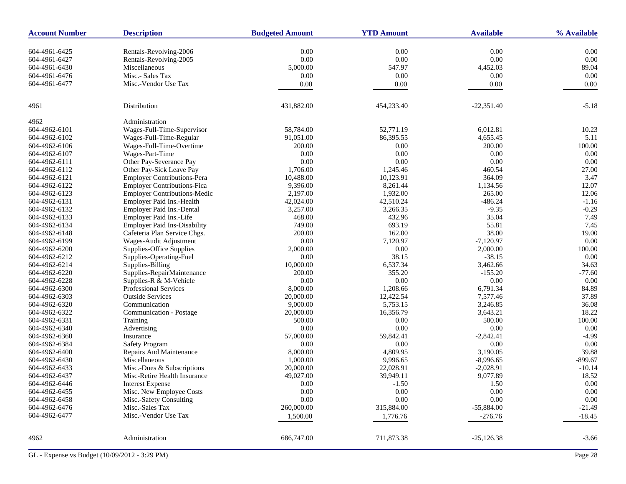| <b>Account Number</b> | <b>Description</b>                  | <b>Budgeted Amount</b> | <b>YTD Amount</b> | <b>Available</b> | % Available |
|-----------------------|-------------------------------------|------------------------|-------------------|------------------|-------------|
| 604-4961-6425         | Rentals-Revolving-2006              | 0.00                   | 0.00              | 0.00             | 0.00        |
| 604-4961-6427         | Rentals-Revolving-2005              | 0.00                   | 0.00              | 0.00             | 0.00        |
| 604-4961-6430         | Miscellaneous                       | 5,000.00               | 547.97            | 4,452.03         | 89.04       |
| 604-4961-6476         | Misc.- Sales Tax                    | 0.00                   | 0.00              | 0.00             | 0.00        |
| 604-4961-6477         | Misc.-Vendor Use Tax                | 0.00                   | 0.00              | 0.00             | 0.00        |
|                       |                                     |                        |                   |                  |             |
| 4961                  | Distribution                        | 431,882.00             | 454,233.40        | $-22,351.40$     | $-5.18$     |
| 4962                  | Administration                      |                        |                   |                  |             |
| 604-4962-6101         | Wages-Full-Time-Supervisor          | 58,784.00              | 52,771.19         | 6,012.81         | 10.23       |
| 604-4962-6102         | Wages-Full-Time-Regular             | 91,051.00              | 86,395.55         | 4,655.45         | 5.11        |
| 604-4962-6106         | Wages-Full-Time-Overtime            | 200.00                 | 0.00              | 200.00           | 100.00      |
| 604-4962-6107         | Wages-Part-Time                     | 0.00                   | 0.00              | 0.00             | 0.00        |
| 604-4962-6111         | Other Pay-Severance Pay             | 0.00                   | 0.00              | 0.00             | 0.00        |
| 604-4962-6112         | Other Pay-Sick Leave Pay            | 1,706.00               | 1,245.46          | 460.54           | 27.00       |
| 604-4962-6121         | <b>Employer Contributions-Pera</b>  | 10,488.00              | 10,123.91         | 364.09           | 3.47        |
| 604-4962-6122         | <b>Employer Contributions-Fica</b>  | 9,396.00               | 8,261.44          | 1,134.56         | 12.07       |
| 604-4962-6123         | <b>Employer Contributions-Medic</b> | 2,197.00               | 1,932.00          | 265.00           | 12.06       |
| 604-4962-6131         | Employer Paid Ins.-Health           | 42,024.00              | 42,510.24         | $-486.24$        | $-1.16$     |
| 604-4962-6132         | Employer Paid Ins.-Dental           | 3,257.00               | 3,266.35          | $-9.35$          | $-0.29$     |
| 604-4962-6133         | Employer Paid Ins.-Life             | 468.00                 | 432.96            | 35.04            | 7.49        |
| 604-4962-6134         | <b>Employer Paid Ins-Disability</b> | 749.00                 | 693.19            | 55.81            | 7.45        |
| 604-4962-6148         | Cafeteria Plan Service Chgs.        | 200.00                 | 162.00            | 38.00            | 19.00       |
| 604-4962-6199         | Wages-Audit Adjustment              | 0.00                   | 7,120.97          | $-7,120.97$      | 0.00        |
| 604-4962-6200         | Supplies-Office Supplies            | 2,000.00               | 0.00              | 2,000.00         | 100.00      |
| 604-4962-6212         | Supplies-Operating-Fuel             | 0.00                   | 38.15             | $-38.15$         | 0.00        |
| 604-4962-6214         | Supplies-Billing                    | 10,000.00              | 6,537.34          | 3,462.66         | 34.63       |
| 604-4962-6220         | Supplies-RepairMaintenance          | 200.00                 | 355.20            | $-155.20$        | $-77.60$    |
| 604-4962-6228         | Supplies-R & M-Vehicle              | 0.00                   | 0.00              | 0.00             | 0.00        |
| 604-4962-6300         | <b>Professional Services</b>        | 8,000.00               | 1,208.66          | 6,791.34         | 84.89       |
| 604-4962-6303         | <b>Outside Services</b>             | 20,000.00              | 12,422.54         | 7,577.46         | 37.89       |
| 604-4962-6320         | Communication                       | 9,000.00               | 5,753.15          | 3,246.85         | 36.08       |
| 604-4962-6322         | Communication - Postage             | 20,000.00              | 16,356.79         | 3,643.21         | 18.22       |
| 604-4962-6331         | Training                            | 500.00                 | 0.00              | 500.00           | 100.00      |
| 604-4962-6340         | Advertising                         | 0.00                   | 0.00              | 0.00             | 0.00        |
| 604-4962-6360         | Insurance                           | 57,000.00              | 59,842.41         | $-2,842.41$      | $-4.99$     |
| 604-4962-6384         | <b>Safety Program</b>               | 0.00                   | 0.00              | 0.00             | 0.00        |
| 604-4962-6400         | Repairs And Maintenance             | 8,000.00               | 4,809.95          | 3.190.05         | 39.88       |
| 604-4962-6430         | Miscellaneous                       | 1,000.00               | 9,996.65          | $-8,996.65$      | $-899.67$   |
| 604-4962-6433         | Misc.-Dues & Subscriptions          | 20,000.00              | 22,028.91         | $-2,028.91$      | $-10.14$    |
| 604-4962-6437         | Misc-Retire Health Insurance        | 49,027.00              | 39,949.11         | 9,077.89         | 18.52       |
| 604-4962-6446         | <b>Interest Expense</b>             | 0.00                   | $-1.50$           | 1.50             | 0.00        |
| 604-4962-6455         | Misc. New Employee Costs            | 0.00                   | $0.00\,$          | 0.00             | 0.00        |
| 604-4962-6458         | Misc.-Safety Consulting             | 0.00                   | 0.00              | 0.00             | 0.00        |
| 604-4962-6476         | Misc.-Sales Tax                     | 260,000.00             | 315,884.00        | $-55,884.00$     | $-21.49$    |
| 604-4962-6477         | Misc.-Vendor Use Tax                | 1,500.00               | 1,776.76          | $-276.76$        | $-18.45$    |
| 4962                  | Administration                      | 686,747.00             | 711,873.38        | $-25,126.38$     | $-3.66$     |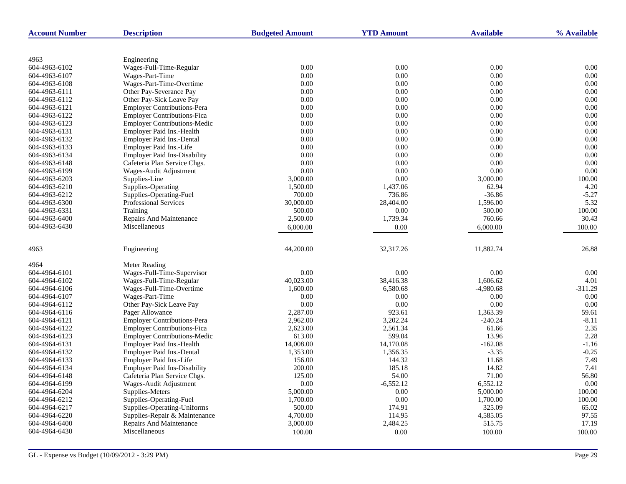| <b>Account Number</b> | <b>Description</b>                  | <b>Budgeted Amount</b> | <b>YTD Amount</b> | <b>Available</b> | % Available |
|-----------------------|-------------------------------------|------------------------|-------------------|------------------|-------------|
|                       |                                     |                        |                   |                  |             |
| 4963                  | Engineering                         |                        |                   |                  |             |
| 604-4963-6102         | Wages-Full-Time-Regular             | 0.00                   | 0.00              | 0.00             | 0.00        |
| 604-4963-6107         | Wages-Part-Time                     | 0.00                   | 0.00              | 0.00             | 0.00        |
| 604-4963-6108         | Wages-Part-Time-Overtime            | 0.00                   | 0.00              | 0.00             | 0.00        |
| 604-4963-6111         | Other Pay-Severance Pay             | 0.00                   | 0.00              | 0.00             | 0.00        |
| 604-4963-6112         | Other Pay-Sick Leave Pay            | 0.00                   | 0.00              | 0.00             | 0.00        |
| 604-4963-6121         | <b>Employer Contributions-Pera</b>  | 0.00                   | 0.00              | 0.00             | 0.00        |
| 604-4963-6122         | <b>Employer Contributions-Fica</b>  | 0.00                   | 0.00              | 0.00             | 0.00        |
| 604-4963-6123         | <b>Employer Contributions-Medic</b> | 0.00                   | 0.00              | 0.00             | 0.00        |
| 604-4963-6131         | Employer Paid Ins.-Health           | 0.00                   | 0.00              | 0.00             | 0.00        |
| 604-4963-6132         | <b>Employer Paid Ins.-Dental</b>    | 0.00                   | 0.00              | 0.00             | 0.00        |
| 604-4963-6133         | Employer Paid Ins.-Life             | 0.00                   | 0.00              | $0.00\,$         | 0.00        |
| 604-4963-6134         | <b>Employer Paid Ins-Disability</b> | 0.00                   | 0.00              | 0.00             | 0.00        |
| 604-4963-6148         | Cafeteria Plan Service Chgs.        | 0.00                   | 0.00              | 0.00             | 0.00        |
| 604-4963-6199         | Wages-Audit Adjustment              | 0.00                   | 0.00              | 0.00             | 0.00        |
| 604-4963-6203         | Supplies-Line                       | 3,000.00               | 0.00              | 3,000.00         | 100.00      |
| 604-4963-6210         | Supplies-Operating                  | 1,500.00               | 1,437.06          | 62.94            | 4.20        |
| 604-4963-6212         | Supplies-Operating-Fuel             | 700.00                 | 736.86            | $-36.86$         | $-5.27$     |
| 604-4963-6300         | <b>Professional Services</b>        | 30,000.00              | 28,404.00         | 1,596.00         | 5.32        |
| 604-4963-6331         | Training                            | 500.00                 | 0.00              | 500.00           | 100.00      |
| 604-4963-6400         | Repairs And Maintenance             | 2,500.00               | 1,739.34          | 760.66           | 30.43       |
| 604-4963-6430         | Miscellaneous                       | 6,000.00               | 0.00              | 6,000.00         | 100.00      |
|                       |                                     |                        |                   |                  |             |
| 4963                  | Engineering                         | 44,200.00              | 32,317.26         | 11,882.74        | 26.88       |
| 4964                  | Meter Reading                       |                        |                   |                  |             |
| 604-4964-6101         | Wages-Full-Time-Supervisor          | 0.00                   | 0.00              | 0.00             | 0.00        |
| 604-4964-6102         | Wages-Full-Time-Regular             | 40,023.00              | 38,416.38         | 1,606.62         | 4.01        |
| 604-4964-6106         | Wages-Full-Time-Overtime            | 1,600.00               | 6,580.68          | $-4,980.68$      | $-311.29$   |
| 604-4964-6107         | Wages-Part-Time                     | 0.00                   | 0.00              | 0.00             | 0.00        |
| 604-4964-6112         | Other Pay-Sick Leave Pay            | 0.00                   | 0.00              | 0.00             | 0.00        |
| 604-4964-6116         | Pager Allowance                     | 2,287.00               | 923.61            | 1,363.39         | 59.61       |
| 604-4964-6121         | <b>Employer Contributions-Pera</b>  | 2,962.00               | 3,202.24          | $-240.24$        | $-8.11$     |
| 604-4964-6122         | <b>Employer Contributions-Fica</b>  | 2,623.00               | 2,561.34          | 61.66            | 2.35        |
| 604-4964-6123         | <b>Employer Contributions-Medic</b> | 613.00                 | 599.04            | 13.96            | 2.28        |
| 604-4964-6131         | Employer Paid Ins.-Health           | 14,008.00              | 14,170.08         | $-162.08$        | $-1.16$     |
| 604-4964-6132         | Employer Paid Ins.-Dental           | 1,353.00               | 1,356.35          | $-3.35$          | $-0.25$     |
| 604-4964-6133         | Employer Paid Ins.-Life             | 156.00                 | 144.32            | 11.68            | 7.49        |
| 604-4964-6134         | <b>Employer Paid Ins-Disability</b> | 200.00                 | 185.18            | 14.82            | 7.41        |
| 604-4964-6148         | Cafeteria Plan Service Chgs.        | 125.00                 | 54.00             | 71.00            | 56.80       |
| 604-4964-6199         | Wages-Audit Adjustment              | 0.00                   | $-6,552.12$       | 6,552.12         | 0.00        |
| 604-4964-6204         | Supplies-Meters                     | 5,000.00               | 0.00              | 5,000.00         | 100.00      |
| 604-4964-6212         | Supplies-Operating-Fuel             | 1,700.00               | 0.00              | 1,700.00         | 100.00      |
| 604-4964-6217         | Supplies-Operating-Uniforms         | 500.00                 | 174.91            | 325.09           | 65.02       |
| 604-4964-6220         | Supplies-Repair & Maintenance       | 4,700.00               | 114.95            | 4,585.05         | 97.55       |
| 604-4964-6400         | <b>Repairs And Maintenance</b>      | 3,000.00               | 2,484.25          | 515.75           | 17.19       |
| 604-4964-6430         | Miscellaneous                       | 100.00                 | 0.00              | 100.00           | 100.00      |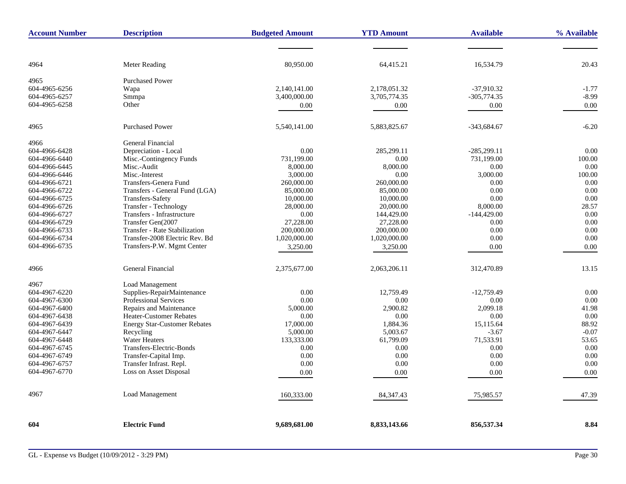| <b>Account Number</b> | <b>Description</b>                  | <b>Budgeted Amount</b> | <b>YTD Amount</b> | <b>Available</b> | % Available |
|-----------------------|-------------------------------------|------------------------|-------------------|------------------|-------------|
|                       |                                     |                        |                   |                  |             |
| 4964                  | <b>Meter Reading</b>                | 80,950.00              | 64,415.21         | 16,534.79        | 20.43       |
| 4965                  | <b>Purchased Power</b>              |                        |                   |                  |             |
| 604-4965-6256         | Wapa                                | 2,140,141.00           | 2,178,051.32      | $-37,910.32$     | $-1.77$     |
| 604-4965-6257         | Smmpa                               | 3,400,000.00           | 3,705,774.35      | $-305,774.35$    | $-8.99$     |
| 604-4965-6258         | Other                               | 0.00                   | 0.00              | 0.00             | 0.00        |
|                       |                                     |                        |                   |                  |             |
| 4965                  | <b>Purchased Power</b>              | 5,540,141.00           | 5,883,825.67      | $-343,684.67$    | $-6.20$     |
| 4966                  | General Financial                   |                        |                   |                  |             |
| 604-4966-6428         | Depreciation - Local                | 0.00                   | 285,299.11        | $-285,299.11$    | 0.00        |
| 604-4966-6440         | Misc.-Contingency Funds             | 731,199.00             | 0.00              | 731,199.00       | 100.00      |
| 604-4966-6445         | Misc.-Audit                         | 8,000.00               | 8,000.00          | 0.00             | 0.00        |
| 604-4966-6446         | Misc.-Interest                      | 3,000.00               | 0.00              | 3,000.00         | 100.00      |
| 604-4966-6721         | Transfers-Genera Fund               | 260,000.00             | 260,000.00        | 0.00             | 0.00        |
| 604-4966-6722         | Transfers - General Fund (LGA)      | 85,000.00              | 85,000.00         | 0.00             | 0.00        |
| 604-4966-6725         | Transfers-Safety                    | 10,000.00              | 10,000.00         | 0.00             | 0.00        |
| 604-4966-6726         | Transfer - Technology               | 28,000.00              | 20,000.00         | 8,000.00         | 28.57       |
| 604-4966-6727         | Transfers - Infrastructure          | 0.00                   | 144,429.00        | $-144,429.00$    | 0.00        |
| 604-4966-6729         | Transfer Gen(2007                   | 27,228.00              | 27,228.00         | 0.00             | 0.00        |
| 604-4966-6733         | Transfer - Rate Stabilization       | 200,000.00             | 200,000.00        | 0.00             | 0.00        |
| 604-4966-6734         | Transfer-2008 Electric Rev. Bd      | 1,020,000.00           | 1,020,000.00      | 0.00             | 0.00        |
| 604-4966-6735         | Transfers-P.W. Mgmt Center          | 3,250.00               | 3,250.00          | 0.00             | 0.00        |
| 4966                  | General Financial                   | 2,375,677.00           | 2,063,206.11      | 312,470.89       | 13.15       |
| 4967                  | Load Management                     |                        |                   |                  |             |
| 604-4967-6220         | Supplies-RepairMaintenance          | 0.00                   | 12.759.49         | $-12.759.49$     | 0.00        |
| 604-4967-6300         | <b>Professional Services</b>        | 0.00                   | 0.00              | 0.00             | 0.00        |
| 604-4967-6400         | Repairs and Maintenance             | 5,000.00               | 2,900.82          | 2,099.18         | 41.98       |
| 604-4967-6438         | Heater-Customer Rebates             | 0.00                   | 0.00              | 0.00             | 0.00        |
| 604-4967-6439         | <b>Energy Star-Customer Rebates</b> | 17,000.00              | 1,884.36          | 15,115.64        | 88.92       |
| 604-4967-6447         | Recycling                           | 5,000.00               | 5,003.67          | $-3.67$          | $-0.07$     |
| 604-4967-6448         | <b>Water Heaters</b>                | 133,333.00             | 61,799.09         | 71,533.91        | 53.65       |
| 604-4967-6745         | Transfers-Electric-Bonds            | 0.00                   | 0.00              | 0.00             | 0.00        |
| 604-4967-6749         | Transfer-Capital Imp.               | 0.00                   | 0.00              | 0.00             | 0.00        |
| 604-4967-6757         | Transfer Infrast. Repl.             | 0.00                   | 0.00              | 0.00             | 0.00        |
| 604-4967-6770         | Loss on Asset Disposal              | 0.00                   | 0.00              | 0.00             | 0.00        |
| 4967                  | Load Management                     | 160,333.00             | 84, 347. 43       | 75,985.57        | 47.39       |
| 604                   | <b>Electric Fund</b>                | 9,689,681.00           | 8,833,143.66      | 856,537.34       | 8.84        |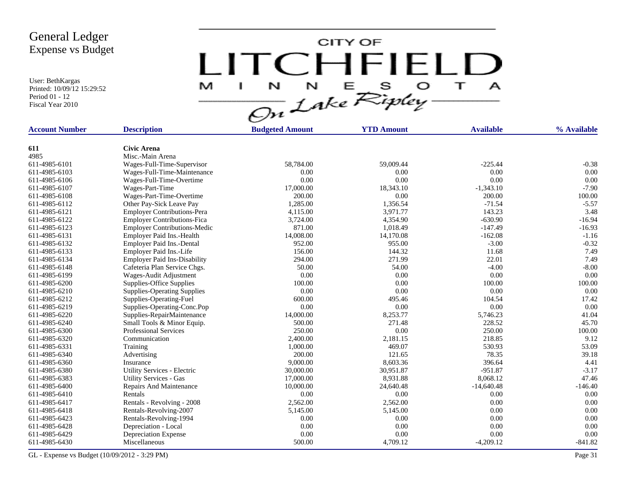User: BethKargas Printed: 10/09/12 15:29:52 Period 01 - 12 Fiscal Year 2010

LITCHFIELD

| <b>Account Number</b> | <b>Description</b>                     | <b>Budgeted Amount</b> | <b>YTD Amount</b> | <b>Available</b> | % Available |
|-----------------------|----------------------------------------|------------------------|-------------------|------------------|-------------|
|                       |                                        |                        |                   |                  |             |
| 611<br>4985           | <b>Civic Arena</b><br>Misc.-Main Arena |                        |                   |                  |             |
| 611-4985-6101         |                                        | 58,784.00              | 59,009.44         | $-225.44$        | $-0.38$     |
| 611-4985-6103         | Wages-Full-Time-Supervisor             | 0.00                   | 0.00              | $0.00\,$         | 0.00        |
|                       | Wages-Full-Time-Maintenance            |                        | 0.00              |                  | 0.00        |
| 611-4985-6106         | Wages-Full-Time-Overtime               | 0.00                   |                   | 0.00             |             |
| 611-4985-6107         | Wages-Part-Time                        | 17,000.00<br>200.00    | 18,343.10<br>0.00 | $-1,343.10$      | $-7.90$     |
| 611-4985-6108         | Wages-Part-Time-Overtime               |                        |                   | 200.00           | 100.00      |
| 611-4985-6112         | Other Pay-Sick Leave Pay               | 1,285.00               | 1,356.54          | $-71.54$         | $-5.57$     |
| 611-4985-6121         | <b>Employer Contributions-Pera</b>     | 4,115.00               | 3,971.77          | 143.23           | 3.48        |
| 611-4985-6122         | <b>Employer Contributions-Fica</b>     | 3,724.00               | 4,354.90          | $-630.90$        | $-16.94$    |
| 611-4985-6123         | <b>Employer Contributions-Medic</b>    | 871.00                 | 1.018.49          | $-147.49$        | $-16.93$    |
| 611-4985-6131         | Employer Paid Ins.-Health              | 14,008.00              | 14,170.08         | $-162.08$        | $-1.16$     |
| 611-4985-6132         | Employer Paid Ins.-Dental              | 952.00                 | 955.00            | $-3.00$          | $-0.32$     |
| 611-4985-6133         | Employer Paid Ins.-Life                | 156.00                 | 144.32            | 11.68            | 7.49        |
| 611-4985-6134         | <b>Employer Paid Ins-Disability</b>    | 294.00                 | 271.99            | 22.01            | 7.49        |
| 611-4985-6148         | Cafeteria Plan Service Chgs.           | 50.00                  | 54.00             | $-4.00$          | $-8.00$     |
| 611-4985-6199         | Wages-Audit Adjustment                 | 0.00                   | 0.00              | 0.00             | 0.00        |
| 611-4985-6200         | Supplies-Office Supplies               | 100.00                 | 0.00              | 100.00           | 100.00      |
| 611-4985-6210         | <b>Supplies-Operating Supplies</b>     | 0.00                   | 0.00              | 0.00             | 0.00        |
| 611-4985-6212         | Supplies-Operating-Fuel                | 600.00                 | 495.46            | 104.54           | 17.42       |
| 611-4985-6219         | Supplies-Operating-Conc.Pop            | 0.00                   | 0.00              | 0.00             | 0.00        |
| 611-4985-6220         | Supplies-RepairMaintenance             | 14,000.00              | 8,253.77          | 5,746.23         | 41.04       |
| 611-4985-6240         | Small Tools & Minor Equip.             | 500.00                 | 271.48            | 228.52           | 45.70       |
| 611-4985-6300         | <b>Professional Services</b>           | 250.00                 | 0.00              | 250.00           | 100.00      |
| 611-4985-6320         | Communication                          | 2,400.00               | 2,181.15          | 218.85           | 9.12        |
| 611-4985-6331         | Training                               | 1,000.00               | 469.07            | 530.93           | 53.09       |
| 611-4985-6340         | Advertising                            | 200.00                 | 121.65            | 78.35            | 39.18       |
| 611-4985-6360         | Insurance                              | 9,000.00               | 8,603.36          | 396.64           | 4.41        |
| 611-4985-6380         | Utility Services - Electric            | 30,000.00              | 30,951.87         | $-951.87$        | $-3.17$     |
| 611-4985-6383         | <b>Utility Services - Gas</b>          | 17,000.00              | 8,931.88          | 8,068.12         | 47.46       |
| 611-4985-6400         | <b>Repairs And Maintenance</b>         | 10,000.00              | 24,640.48         | $-14,640.48$     | $-146.40$   |
| 611-4985-6410         | Rentals                                | 0.00                   | 0.00              | 0.00             | 0.00        |
| 611-4985-6417         | Rentals - Revolving - 2008             | 2,562.00               | 2,562.00          | 0.00             | 0.00        |
| 611-4985-6418         | Rentals-Revolving-2007                 | 5,145.00               | 5,145.00          | 0.00             | 0.00        |
| 611-4985-6423         | Rentals-Revolving-1994                 | 0.00                   | 0.00              | 0.00             | 0.00        |
| 611-4985-6428         | Depreciation - Local                   | 0.00                   | 0.00              | 0.00             | 0.00        |
| 611-4985-6429         | Depreciation Expense                   | 0.00                   | 0.00              | 0.00             | 0.00        |
| 611-4985-6430         | Miscellaneous                          | 500.00                 | 4,709.12          | $-4,209.12$      | $-841.82$   |
|                       |                                        |                        |                   |                  |             |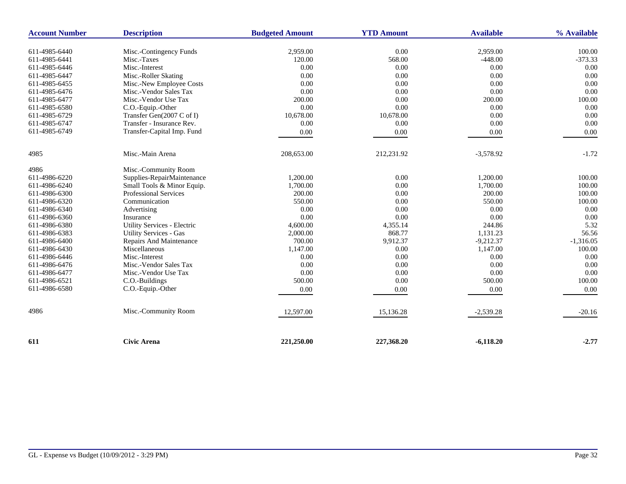| <b>Account Number</b> | <b>Description</b>            | <b>Budgeted Amount</b> | <b>YTD Amount</b> | <b>Available</b> | % Available |
|-----------------------|-------------------------------|------------------------|-------------------|------------------|-------------|
| 611-4985-6440         | Misc.-Contingency Funds       | 2,959.00               | 0.00              | 2,959.00         | 100.00      |
| 611-4985-6441         | Misc.-Taxes                   | 120.00                 | 568.00            | $-448.00$        | $-373.33$   |
| 611-4985-6446         | Misc.-Interest                | 0.00                   | 0.00              | 0.00             | 0.00        |
| 611-4985-6447         | Misc.-Roller Skating          | 0.00                   | 0.00              | 0.00             | 0.00        |
| 611-4985-6455         | Misc.-New Employee Costs      | 0.00                   | 0.00              | 0.00             | 0.00        |
| 611-4985-6476         | Misc.-Vendor Sales Tax        | 0.00                   | 0.00              | 0.00             | 0.00        |
| 611-4985-6477         | Misc.-Vendor Use Tax          | 200.00                 | 0.00              | 200.00           | 100.00      |
| 611-4985-6580         | C.O.-Equip.-Other             | 0.00                   | 0.00              | 0.00             | 0.00        |
| 611-4985-6729         | Transfer Gen(2007 C of I)     | 10,678.00              | 10,678.00         | 0.00             | 0.00        |
| 611-4985-6747         | Transfer - Insurance Rev.     | 0.00                   | 0.00              | 0.00             | 0.00        |
| 611-4985-6749         | Transfer-Capital Imp. Fund    | 0.00                   | 0.00              | 0.00             | 0.00        |
|                       |                               |                        |                   |                  |             |
| 4985                  | Misc.-Main Arena              | 208,653.00             | 212,231.92        | $-3,578.92$      | $-1.72$     |
| 4986                  | Misc.-Community Room          |                        |                   |                  |             |
| 611-4986-6220         | Supplies-RepairMaintenance    | 1,200.00               | 0.00              | 1,200.00         | 100.00      |
| 611-4986-6240         | Small Tools & Minor Equip.    | 1,700.00               | 0.00              | 1,700.00         | 100.00      |
| 611-4986-6300         | Professional Services         | 200.00                 | 0.00              | 200.00           | 100.00      |
| 611-4986-6320         | Communication                 | 550.00                 | 0.00              | 550.00           | 100.00      |
| 611-4986-6340         | Advertising                   | 0.00                   | 0.00              | 0.00             | 0.00        |
| 611-4986-6360         | Insurance                     | 0.00                   | $0.00\,$          | 0.00             | 0.00        |
| 611-4986-6380         | Utility Services - Electric   | 4,600.00               | 4,355.14          | 244.86           | 5.32        |
| 611-4986-6383         | <b>Utility Services - Gas</b> | 2,000.00               | 868.77            | 1,131.23         | 56.56       |
| 611-4986-6400         | Repairs And Maintenance       | 700.00                 | 9,912.37          | $-9,212.37$      | $-1,316.05$ |
| 611-4986-6430         | Miscellaneous                 | 1,147.00               | 0.00              | 1,147.00         | 100.00      |
| 611-4986-6446         | Misc.-Interest                | 0.00                   | 0.00              | 0.00             | 0.00        |
| 611-4986-6476         | Misc.-Vendor Sales Tax        | 0.00                   | 0.00              | 0.00             | 0.00        |
| 611-4986-6477         | Misc.-Vendor Use Tax          | 0.00                   | 0.00              | 0.00             | 0.00        |
| 611-4986-6521         | C.O.-Buildings                | 500.00                 | 0.00              | 500.00           | 100.00      |
| 611-4986-6580         | C.O.-Equip.-Other             | 0.00                   | 0.00              | 0.00             | 0.00        |
| 4986                  | Misc.-Community Room          |                        |                   | $-2,539.28$      | $-20.16$    |
|                       |                               | 12,597.00              | 15,136.28         |                  |             |
| 611                   | <b>Civic Arena</b>            | 221,250.00             | 227,368.20        | $-6,118.20$      | $-2.77$     |
|                       |                               |                        |                   |                  |             |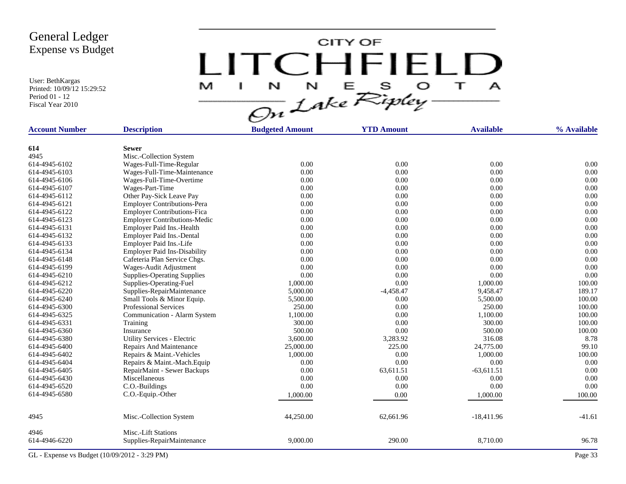User: BethKargas Printed: 10/09/12 15:29:52 Period 01 - 12 Fiscal Year 2010

LITCHFIELD

| <b>Account Number</b>          | <b>Description</b>                                | <b>Budgeted Amount</b> | <b>YTD Amount</b> | <b>Available</b> | % Available  |
|--------------------------------|---------------------------------------------------|------------------------|-------------------|------------------|--------------|
|                                |                                                   |                        |                   |                  |              |
| 614<br>4945                    | <b>Sewer</b>                                      |                        |                   |                  |              |
| 614-4945-6102                  | Misc.-Collection System                           | 0.00                   | 0.00              | 0.00             | 0.00         |
| 614-4945-6103                  | Wages-Full-Time-Regular                           | 0.00                   | 0.00              | 0.00             | 0.00         |
| 614-4945-6106                  | Wages-Full-Time-Maintenance                       | 0.00                   | 0.00              | 0.00             | 0.00         |
|                                | Wages-Full-Time-Overtime                          |                        |                   |                  |              |
| 614-4945-6107<br>614-4945-6112 | Wages-Part-Time                                   | 0.00<br>0.00           | 0.00<br>0.00      | 0.00<br>0.00     | 0.00<br>0.00 |
| 614-4945-6121                  | Other Pay-Sick Leave Pay                          | 0.00                   | 0.00              | 0.00             | 0.00         |
| 614-4945-6122                  | <b>Employer Contributions-Pera</b>                | 0.00                   | 0.00              | 0.00             | 0.00         |
|                                | <b>Employer Contributions-Fica</b>                |                        |                   |                  |              |
| 614-4945-6123                  | <b>Employer Contributions-Medic</b>               | 0.00                   | 0.00              | 0.00             | 0.00         |
| 614-4945-6131                  | Employer Paid Ins.-Health                         | 0.00                   | 0.00              | 0.00             | 0.00         |
| 614-4945-6132                  | Employer Paid Ins.-Dental                         | 0.00                   | 0.00              | 0.00             | 0.00         |
| 614-4945-6133                  | Employer Paid Ins.-Life                           | 0.00                   | 0.00              | 0.00             | 0.00         |
| 614-4945-6134                  | <b>Employer Paid Ins-Disability</b>               | 0.00                   | 0.00              | 0.00             | 0.00         |
| 614-4945-6148                  | Cafeteria Plan Service Chgs.                      | 0.00                   | 0.00              | 0.00             | 0.00         |
| 614-4945-6199                  | Wages-Audit Adjustment                            | 0.00                   | 0.00              | 0.00             | 0.00         |
| 614-4945-6210                  | <b>Supplies-Operating Supplies</b>                | 0.00                   | 0.00              | 0.00             | 0.00         |
| 614-4945-6212                  | Supplies-Operating-Fuel                           | 1,000.00               | 0.00              | 1,000.00         | 100.00       |
| 614-4945-6220                  | Supplies-RepairMaintenance                        | 5,000.00               | $-4,458.47$       | 9,458.47         | 189.17       |
| 614-4945-6240                  | Small Tools & Minor Equip.                        | 5,500.00               | 0.00              | 5,500.00         | 100.00       |
| 614-4945-6300                  | <b>Professional Services</b>                      | 250.00                 | 0.00              | 250.00           | 100.00       |
| 614-4945-6325                  | Communication - Alarm System                      | 1,100.00               | 0.00              | 1,100.00         | 100.00       |
| 614-4945-6331                  | Training                                          | 300.00                 | 0.00              | 300.00           | 100.00       |
| 614-4945-6360                  | Insurance                                         | 500.00                 | 0.00              | 500.00           | 100.00       |
| 614-4945-6380                  | <b>Utility Services - Electric</b>                | 3,600.00               | 3,283.92          | 316.08           | 8.78         |
| 614-4945-6400                  | Repairs And Maintenance                           | 25,000.00              | 225.00            | 24,775.00        | 99.10        |
| 614-4945-6402                  | Repairs & Maint.-Vehicles                         | 1,000.00               | 0.00              | 1,000.00         | 100.00       |
| 614-4945-6404                  | Repairs & Maint.-Mach.Equip                       | 0.00                   | 0.00              | 0.00             | 0.00         |
| 614-4945-6405                  | RepairMaint - Sewer Backups                       | 0.00                   | 63,611.51         | $-63,611.51$     | 0.00         |
| 614-4945-6430                  | Miscellaneous                                     | 0.00                   | 0.00              | 0.00             | 0.00         |
| 614-4945-6520                  | C.O.-Buildings                                    | 0.00                   | 0.00              | 0.00             | 0.00         |
| 614-4945-6580                  | C.O.-Equip.-Other                                 | 1,000.00               | 0.00              | 1,000.00         | 100.00       |
| 4945                           | Misc.-Collection System                           | 44,250.00              | 62,661.96         | $-18,411.96$     | $-41.61$     |
| 4946<br>614-4946-6220          | Misc.-Lift Stations<br>Supplies-RepairMaintenance | 9,000.00               | 290.00            | 8,710.00         | 96.78        |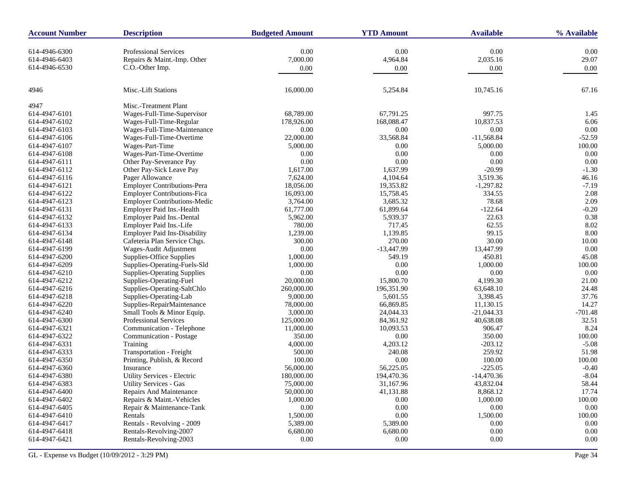| <b>Account Number</b> | <b>Description</b>                  | <b>Budgeted Amount</b> | <b>YTD Amount</b> | <b>Available</b> | % Available |
|-----------------------|-------------------------------------|------------------------|-------------------|------------------|-------------|
| 614-4946-6300         | <b>Professional Services</b>        | 0.00                   | 0.00              | 0.00             | 0.00        |
| 614-4946-6403         | Repairs & Maint.-Imp. Other         | 7,000.00               | 4,964.84          | 2,035.16         | 29.07       |
| 614-4946-6530         | C.O.-Other Imp.                     | 0.00                   | 0.00              | 0.00             | 0.00        |
|                       |                                     |                        |                   |                  |             |
| 4946                  | Misc.-Lift Stations                 | 16,000.00              | 5,254.84          | 10,745.16        | 67.16       |
| 4947                  | Misc.-Treatment Plant               |                        |                   |                  |             |
| 614-4947-6101         | Wages-Full-Time-Supervisor          | 68,789.00              | 67,791.25         | 997.75           | 1.45        |
| 614-4947-6102         | Wages-Full-Time-Regular             | 178,926.00             | 168,088.47        | 10,837.53        | 6.06        |
| 614-4947-6103         | Wages-Full-Time-Maintenance         | 0.00                   | 0.00              | 0.00             | 0.00        |
| 614-4947-6106         | Wages-Full-Time-Overtime            | 22,000.00              | 33,568.84         | $-11,568.84$     | $-52.59$    |
| 614-4947-6107         | Wages-Part-Time                     | 5,000.00               | 0.00              | 5,000.00         | 100.00      |
| 614-4947-6108         | Wages-Part-Time-Overtime            | 0.00                   | 0.00              | 0.00             | 0.00        |
| 614-4947-6111         | Other Pay-Severance Pay             | 0.00                   | 0.00              | 0.00             | 0.00        |
| 614-4947-6112         | Other Pay-Sick Leave Pay            | 1,617.00               | 1,637.99          | $-20.99$         | $-1.30$     |
| 614-4947-6116         | Pager Allowance                     | 7,624.00               | 4,104.64          | 3,519.36         | 46.16       |
| 614-4947-6121         | <b>Employer Contributions-Pera</b>  | 18,056.00              | 19,353.82         | $-1,297.82$      | $-7.19$     |
| 614-4947-6122         | <b>Employer Contributions-Fica</b>  | 16,093.00              | 15,758.45         | 334.55           | 2.08        |
| 614-4947-6123         | <b>Employer Contributions-Medic</b> | 3,764.00               | 3,685.32          | 78.68            | 2.09        |
| 614-4947-6131         | Employer Paid Ins.-Health           | 61,777.00              | 61,899.64         | $-122.64$        | $-0.20$     |
| 614-4947-6132         | Employer Paid Ins.-Dental           | 5,962.00               | 5,939.37          | 22.63            | 0.38        |
| 614-4947-6133         | Employer Paid Ins.-Life             | 780.00                 | 717.45            | 62.55            | 8.02        |
| 614-4947-6134         | <b>Employer Paid Ins-Disability</b> | 1,239.00               | 1,139.85          | 99.15            | 8.00        |
| 614-4947-6148         | Cafeteria Plan Service Chgs.        | 300.00                 | 270.00            | 30.00            | 10.00       |
| 614-4947-6199         | Wages-Audit Adjustment              | 0.00                   | $-13,447.99$      | 13,447.99        | 0.00        |
| 614-4947-6200         | Supplies-Office Supplies            | 1,000.00               | 549.19            | 450.81           | 45.08       |
| 614-4947-6209         | Supplies-Operating-Fuels-Sld        | 1,000.00               | 0.00              | 1,000.00         | 100.00      |
| 614-4947-6210         | <b>Supplies-Operating Supplies</b>  | 0.00                   | 0.00              | 0.00             | 0.00        |
| 614-4947-6212         | Supplies-Operating-Fuel             | 20,000.00              | 15,800.70         | 4,199.30         | 21.00       |
| 614-4947-6216         | Supplies-Operating-SaltChlo         | 260,000.00             | 196,351.90        | 63,648.10        | 24.48       |
| 614-4947-6218         | Supplies-Operating-Lab              | 9,000.00               | 5,601.55          | 3,398.45         | 37.76       |
| 614-4947-6220         | Supplies-RepairMaintenance          | 78,000.00              | 66,869.85         | 11,130.15        | 14.27       |
| 614-4947-6240         | Small Tools & Minor Equip.          | 3,000.00               | 24,044.33         | $-21,044.33$     | $-701.48$   |
| 614-4947-6300         | Professional Services               | 125,000.00             | 84,361.92         | 40,638.08        | 32.51       |
| 614-4947-6321         | Communication - Telephone           | 11,000.00              | 10,093.53         | 906.47           | 8.24        |
| 614-4947-6322         | Communication - Postage             | 350.00                 | 0.00              | 350.00           | 100.00      |
| 614-4947-6331         | Training                            | 4,000.00               | 4,203.12          | $-203.12$        | $-5.08$     |
| 614-4947-6333         | Transportation - Freight            | 500.00                 | 240.08            | 259.92           | 51.98       |
| 614-4947-6350         | Printing, Publish, & Record         | 100.00                 | 0.00              | 100.00           | 100.00      |
| 614-4947-6360         | Insurance                           | 56,000.00              | 56,225.05         | $-225.05$        | $-0.40$     |
| 614-4947-6380         | Utility Services - Electric         | 180,000.00             | 194,470.36        | $-14,470.36$     | $-8.04$     |
| 614-4947-6383         | Utility Services - Gas              | 75,000.00              | 31,167.96         | 43,832.04        | 58.44       |
| 614-4947-6400         | Repairs And Maintenance             | 50,000.00              | 41,131.88         | 8,868.12         | 17.74       |
| 614-4947-6402         | Repairs & Maint.-Vehicles           | 1,000.00               | $0.00\,$          | 1,000.00         | 100.00      |
| 614-4947-6405         | Repair & Maintenance-Tank           | 0.00                   | 0.00              | 0.00             | 0.00        |
| 614-4947-6410         | Rentals                             | 1,500.00               | $0.00\,$          | 1,500.00         | 100.00      |
| 614-4947-6417         | Rentals - Revolving - 2009          | 5,389.00               | 5,389.00          | 0.00             | $0.00\,$    |
| 614-4947-6418         | Rentals-Revolving-2007              | 6,680.00               | 6,680.00          | 0.00             | 0.00        |
| 614-4947-6421         | Rentals-Revolving-2003              | $0.00\,$               | 0.00              | 0.00             | 0.00        |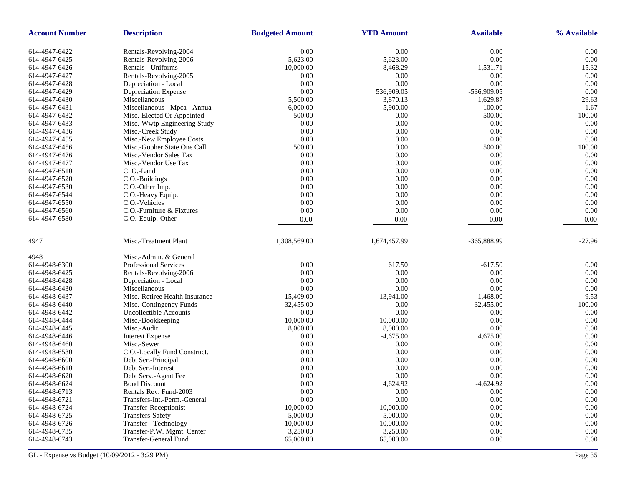| <b>Account Number</b> | <b>Description</b>             | <b>Budgeted Amount</b> | <b>YTD Amount</b> | <b>Available</b> | % Available    |
|-----------------------|--------------------------------|------------------------|-------------------|------------------|----------------|
| 614-4947-6422         | Rentals-Revolving-2004         | 0.00                   | 0.00              | 0.00             | 0.00           |
| 614-4947-6425         | Rentals-Revolving-2006         | 5,623.00               | 5,623.00          | 0.00             | 0.00           |
| 614-4947-6426         | Rentals - Uniforms             | 10,000.00              | 8,468.29          | 1,531.71         | 15.32          |
| 614-4947-6427         | Rentals-Revolving-2005         | 0.00                   | 0.00              | 0.00             | 0.00           |
| 614-4947-6428         | Depreciation - Local           | 0.00                   | 0.00              | 0.00             | 0.00           |
| 614-4947-6429         | Depreciation Expense           | 0.00                   | 536,909.05        | -536,909.05      | 0.00           |
| 614-4947-6430         | Miscellaneous                  | 5,500.00               | 3,870.13          | 1,629.87         | 29.63          |
| 614-4947-6431         | Miscellaneous - Mpca - Annua   | 6,000.00               | 5,900.00          | 100.00           | 1.67           |
| 614-4947-6432         | Misc.-Elected Or Appointed     | 500.00                 | $0.00\,$          | 500.00           | 100.00         |
| 614-4947-6433         | Misc.-Wwtp Engineering Study   | 0.00                   | 0.00              | 0.00             | 0.00           |
| 614-4947-6436         | Misc.-Creek Study              | 0.00                   | 0.00              | 0.00             | 0.00           |
| 614-4947-6455         | Misc.-New Employee Costs       | 0.00                   | $0.00\,$          | 0.00             | 0.00           |
| 614-4947-6456         | Misc.-Gopher State One Call    | 500.00                 | 0.00              | 500.00           | 100.00         |
| 614-4947-6476         | Misc.-Vendor Sales Tax         | 0.00                   | 0.00              | 0.00             | 0.00           |
| 614-4947-6477         | Misc.-Vendor Use Tax           | 0.00                   | $0.00\,$          | 0.00             | 0.00           |
| 614-4947-6510         | C. O.-Land                     | 0.00                   | 0.00              | 0.00             | 0.00           |
| 614-4947-6520         | C.O.-Buildings                 | 0.00                   | 0.00              | 0.00             | 0.00           |
| 614-4947-6530         | C.O.-Other Imp.                | 0.00                   | 0.00              | 0.00             | 0.00           |
| 614-4947-6544         | C.O.-Heavy Equip.              | 0.00                   | 0.00              | 0.00             | 0.00           |
| 614-4947-6550         | C.O.-Vehicles                  | 0.00                   | 0.00              | 0.00             | 0.00           |
| 614-4947-6560         | C.O.-Furniture & Fixtures      | 0.00                   | 0.00              | 0.00             | 0.00           |
| 614-4947-6580         | C.O.-Equip.-Other              | 0.00                   | 0.00              | 0.00             | 0.00           |
|                       |                                |                        |                   |                  |                |
| 4947                  | Misc.-Treatment Plant          | 1,308,569.00           | 1,674,457.99      | -365,888.99      | $-27.96$       |
| 4948                  | Misc.-Admin. & General         |                        |                   |                  |                |
| 614-4948-6300         | <b>Professional Services</b>   | 0.00                   | 617.50            | $-617.50$        | 0.00           |
| 614-4948-6425         | Rentals-Revolving-2006         | 0.00                   | 0.00              | 0.00             | 0.00           |
| 614-4948-6428         | Depreciation - Local           | 0.00                   | 0.00              | 0.00             | 0.00           |
| 614-4948-6430         | Miscellaneous                  | 0.00                   | 0.00              | 0.00             | 0.00           |
| 614-4948-6437         | Misc.-Retiree Health Insurance | 15,409.00              | 13,941.00         | 1,468.00         | 9.53           |
| 614-4948-6440         | Misc.-Contingency Funds        | 32,455.00              | 0.00              | 32,455.00        | 100.00         |
| 614-4948-6442         | <b>Uncollectible Accounts</b>  | 0.00                   | 0.00              | 0.00             | 0.00           |
| 614-4948-6444         | Misc.-Bookkeeping              | 10,000.00              | 10,000.00         | 0.00             | 0.00           |
| 614-4948-6445         | Misc.-Audit                    | 8,000.00               | 8,000.00          | 0.00             | 0.00           |
| 614-4948-6446         | <b>Interest Expense</b>        | 0.00                   | $-4,675.00$       | 4,675.00         | 0.00           |
| 614-4948-6460         | Misc.-Sewer                    | 0.00                   | 0.00              | 0.00             | 0.00           |
| 614-4948-6530         | C.O.-Locally Fund Construct.   | 0.00                   | 0.00              | 0.00             | 0.00           |
| 614-4948-6600         | Debt Ser.-Principal            | 0.00                   | 0.00              | 0.00             | 0.00           |
| 614-4948-6610         | Debt Ser.-Interest             | 0.00                   | 0.00              | 0.00             | 0.00           |
| 614-4948-6620         | Debt Serv.-Agent Fee           | 0.00                   | 0.00              | 0.00             | 0.00           |
| 614-4948-6624         | <b>Bond Discount</b>           | 0.00                   | 4,624.92          | -4,624.92        | $0.00^{\circ}$ |
| 614-4948-6713         | Rentals Rev. Fund-2003         | 0.00                   | 0.00              | 0.00             | 0.00           |
| 614-4948-6721         | Transfers-Int.-Perm.-General   | 0.00                   | $0.00\,$          | 0.00             | 0.00           |
| 614-4948-6724         | Transfer-Receptionist          | 10,000.00              | 10,000.00         | 0.00             | 0.00           |
| 614-4948-6725         | Transfers-Safety               | 5,000.00               | 5,000.00          | 0.00             | 0.00           |
| 614-4948-6726         | Transfer - Technology          | 10,000.00              | 10,000.00         | 0.00             | $0.00\,$       |
| 614-4948-6735         | Transfer-P.W. Mgmt. Center     | 3,250.00               | 3,250.00          | 0.00             | 0.00           |
| 614-4948-6743         | Transfer-General Fund          | 65,000.00              | 65,000.00         | 0.00             | 0.00           |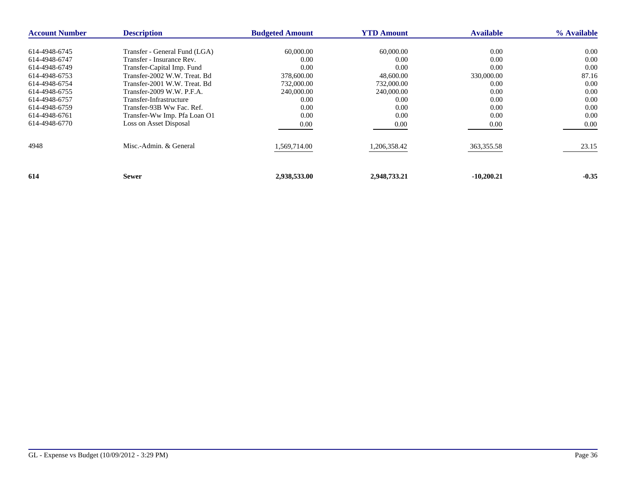| <b>Account Number</b> | <b>Description</b>            | <b>Budgeted Amount</b> | <b>YTD Amount</b> | <b>Available</b> | % Available |
|-----------------------|-------------------------------|------------------------|-------------------|------------------|-------------|
| 614-4948-6745         | Transfer - General Fund (LGA) | 60,000.00              | 60,000.00         | 0.00             | 0.00        |
| 614-4948-6747         | Transfer - Insurance Rev.     | 0.00                   | 0.00              | 0.00             | 0.00        |
| 614-4948-6749         | Transfer-Capital Imp. Fund    | 0.00                   | 0.00              | 0.00             | 0.00        |
| 614-4948-6753         | Transfer-2002 W.W. Treat. Bd  | 378,600.00             | 48,600.00         | 330,000.00       | 87.16       |
| 614-4948-6754         | Transfer-2001 W.W. Treat. Bd  | 732,000.00             | 732,000.00        | 0.00             | 0.00        |
| 614-4948-6755         | Transfer-2009 W.W. P.F.A.     | 240,000.00             | 240,000.00        | 0.00             | 0.00        |
| 614-4948-6757         | Transfer-Infrastructure       | 0.00                   | 0.00              | 0.00             | 0.00        |
| 614-4948-6759         | Transfer-93B Ww Fac. Ref.     | 0.00                   | 0.00              | 0.00             | 0.00        |
| 614-4948-6761         | Transfer-Ww Imp. Pfa Loan O1  | 0.00                   | 0.00              | 0.00             | 0.00        |
| 614-4948-6770         | Loss on Asset Disposal        | 0.00                   | 0.00              | 0.00             | 0.00        |
| 4948                  | Misc.-Admin. & General        | 1,569,714.00           | 1,206,358.42      | 363,355.58       | 23.15       |
| 614                   | <b>Sewer</b>                  | 2,938,533.00           | 2,948,733.21      | $-10,200.21$     | $-0.35$     |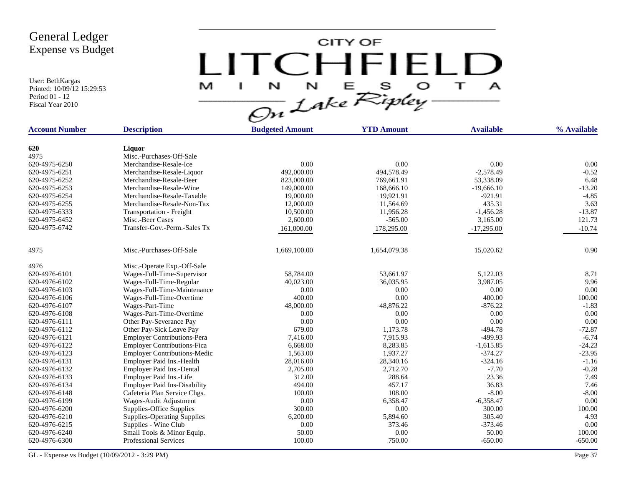User: BethKargas Printed: 10/09/12 15:29:53 Period 01 - 12 Fiscal Year 2010



| <b>Account Number</b> | <b>Description</b>                  | <b>Budgeted Amount</b> | <b>YTD Amount</b> | <b>Available</b> | % Available |
|-----------------------|-------------------------------------|------------------------|-------------------|------------------|-------------|
|                       |                                     |                        |                   |                  |             |
| 620                   | Liquor                              |                        |                   |                  |             |
| 4975                  | Misc.-Purchases-Off-Sale            |                        |                   |                  |             |
| 620-4975-6250         | Merchandise-Resale-Ice              | 0.00                   | 0.00              | 0.00             | 0.00        |
| 620-4975-6251         | Merchandise-Resale-Liquor           | 492,000.00             | 494,578.49        | $-2,578.49$      | $-0.52$     |
| 620-4975-6252         | Merchandise-Resale-Beer             | 823,000.00             | 769,661.91        | 53,338.09        | 6.48        |
| 620-4975-6253         | Merchandise-Resale-Wine             | 149,000.00             | 168,666.10        | $-19,666.10$     | $-13.20$    |
| 620-4975-6254         | Merchandise-Resale-Taxable          | 19,000.00              | 19,921.91         | $-921.91$        | $-4.85$     |
| 620-4975-6255         | Merchandise-Resale-Non-Tax          | 12,000.00              | 11,564.69         | 435.31           | 3.63        |
| 620-4975-6333         | <b>Transportation - Freight</b>     | 10,500.00              | 11,956.28         | $-1,456.28$      | $-13.87$    |
| 620-4975-6452         | Misc.-Beer Cases                    | 2,600.00               | $-565.00$         | 3,165.00         | 121.73      |
| 620-4975-6742         | Transfer-Gov.-Perm.-Sales Tx        | 161,000.00             | 178,295.00        | $-17,295.00$     | $-10.74$    |
| 4975                  | Misc.-Purchases-Off-Sale            | 1,669,100.00           | 1,654,079.38      | 15,020.62        | 0.90        |
| 4976                  | Misc.-Operate Exp.-Off-Sale         |                        |                   |                  |             |
| 620-4976-6101         | Wages-Full-Time-Supervisor          | 58,784.00              | 53.661.97         | 5,122.03         | 8.71        |
| 620-4976-6102         | Wages-Full-Time-Regular             | 40,023.00              | 36,035.95         | 3,987.05         | 9.96        |
| 620-4976-6103         | Wages-Full-Time-Maintenance         | 0.00                   | 0.00              | 0.00             | 0.00        |
| 620-4976-6106         | Wages-Full-Time-Overtime            | 400.00                 | 0.00              | 400.00           | 100.00      |
| 620-4976-6107         | Wages-Part-Time                     | 48,000.00              | 48,876.22         | $-876.22$        | $-1.83$     |
| 620-4976-6108         | Wages-Part-Time-Overtime            | 0.00                   | 0.00              | 0.00             | 0.00        |
| 620-4976-6111         | Other Pay-Severance Pay             | 0.00                   | 0.00              | 0.00             | 0.00        |
| 620-4976-6112         | Other Pay-Sick Leave Pay            | 679.00                 | 1,173.78          | $-494.78$        | $-72.87$    |
| 620-4976-6121         | <b>Employer Contributions-Pera</b>  | 7,416.00               | 7,915.93          | -499.93          | $-6.74$     |
| 620-4976-6122         | <b>Employer Contributions-Fica</b>  | 6,668.00               | 8,283.85          | $-1,615.85$      | $-24.23$    |
| 620-4976-6123         | <b>Employer Contributions-Medic</b> | 1,563.00               | 1.937.27          | $-374.27$        | $-23.95$    |
| 620-4976-6131         | Employer Paid Ins.-Health           | 28,016.00              | 28,340.16         | $-324.16$        | $-1.16$     |
| 620-4976-6132         | Employer Paid Ins.-Dental           | 2,705.00               | 2,712.70          | $-7.70$          | $-0.28$     |
| 620-4976-6133         | Employer Paid Ins.-Life             | 312.00                 | 288.64            | 23.36            | 7.49        |
| 620-4976-6134         | <b>Employer Paid Ins-Disability</b> | 494.00                 | 457.17            | 36.83            | 7.46        |
| 620-4976-6148         | Cafeteria Plan Service Chgs.        | 100.00                 | 108.00            | $-8.00$          | $-8.00$     |
| 620-4976-6199         | Wages-Audit Adjustment              | 0.00                   | 6,358.47          | $-6,358.47$      | 0.00        |
| 620-4976-6200         | Supplies-Office Supplies            | 300.00                 | 0.00              | 300.00           | 100.00      |
| 620-4976-6210         | <b>Supplies-Operating Supplies</b>  | 6,200.00               | 5,894.60          | 305.40           | 4.93        |
| 620-4976-6215         | Supplies - Wine Club                | 0.00                   | 373.46            | $-373.46$        | 0.00        |
| 620-4976-6240         | Small Tools & Minor Equip.          | 50.00                  | 0.00              | 50.00            | 100.00      |
| 620-4976-6300         | <b>Professional Services</b>        | 100.00                 | 750.00            | $-650.00$        | $-650.00$   |
|                       |                                     |                        |                   |                  |             |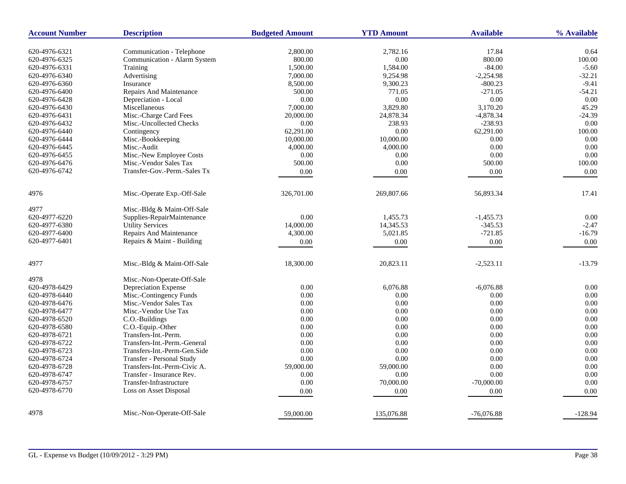| <b>Account Number</b>          | <b>Description</b>                       | <b>Budgeted Amount</b> | <b>YTD Amount</b> | <b>Available</b> | % Available   |
|--------------------------------|------------------------------------------|------------------------|-------------------|------------------|---------------|
| 620-4976-6321                  | Communication - Telephone                | 2,800.00               | 2,782.16          | 17.84            | 0.64          |
|                                |                                          |                        |                   | 800.00           | 100.00        |
| 620-4976-6325<br>620-4976-6331 | Communication - Alarm System<br>Training | 800.00<br>1,500.00     | 0.00<br>1,584.00  | $-84.00$         | $-5.60$       |
| 620-4976-6340                  | Advertising                              | 7,000.00               | 9,254.98          | $-2,254.98$      | $-32.21$      |
| 620-4976-6360                  |                                          |                        |                   |                  | $-9.41$       |
|                                | Insurance                                | 8,500.00               | 9,300.23          | $-800.23$        | $-54.21$      |
| 620-4976-6400                  | Repairs And Maintenance                  | 500.00                 | 771.05            | $-271.05$        |               |
| 620-4976-6428                  | Depreciation - Local                     | 0.00                   | 0.00              | 0.00             | 0.00<br>45.29 |
| 620-4976-6430                  | Miscellaneous                            | 7,000.00               | 3,829.80          | 3,170.20         |               |
| 620-4976-6431                  | Misc.-Charge Card Fees                   | 20,000.00              | 24,878.34         | $-4,878.34$      | $-24.39$      |
| 620-4976-6432                  | Misc.-Uncollected Checks                 | 0.00                   | 238.93            | $-238.93$        | 0.00          |
| 620-4976-6440                  | Contingency                              | 62,291.00              | 0.00              | 62,291.00        | 100.00        |
| 620-4976-6444                  | Misc.-Bookkeeping                        | 10,000.00              | 10,000.00         | 0.00             | 0.00          |
| 620-4976-6445                  | Misc.-Audit                              | 4,000.00               | 4,000.00          | 0.00             | 0.00          |
| 620-4976-6455                  | Misc.-New Employee Costs                 | 0.00                   | 0.00              | 0.00             | 0.00          |
| 620-4976-6476                  | Misc.-Vendor Sales Tax                   | 500.00                 | 0.00              | 500.00           | 100.00        |
| 620-4976-6742                  | Transfer-Gov.-Perm.-Sales Tx             | 0.00                   | 0.00              | 0.00             | 0.00          |
| 4976                           | Misc.-Operate Exp.-Off-Sale              | 326,701.00             | 269,807.66        | 56,893.34        | 17.41         |
| 4977                           | Misc.-Bldg & Maint-Off-Sale              |                        |                   |                  |               |
| 620-4977-6220                  | Supplies-RepairMaintenance               | 0.00                   | 1,455.73          | $-1,455.73$      | 0.00          |
| 620-4977-6380                  | <b>Utility Services</b>                  | 14,000.00              | 14,345.53         | $-345.53$        | $-2.47$       |
| 620-4977-6400                  | Repairs And Maintenance                  | 4,300.00               | 5,021.85          | $-721.85$        | $-16.79$      |
| 620-4977-6401                  | Repairs & Maint - Building               | 0.00                   | $0.00\,$          | 0.00             | 0.00          |
|                                |                                          |                        |                   |                  |               |
| 4977                           | Misc.-Bldg & Maint-Off-Sale              | 18,300.00              | 20,823.11         | $-2,523.11$      | $-13.79$      |
| 4978                           | Misc.-Non-Operate-Off-Sale               |                        |                   |                  |               |
| 620-4978-6429                  | Depreciation Expense                     | 0.00                   | 6,076.88          | $-6,076.88$      | 0.00          |
| 620-4978-6440                  | Misc.-Contingency Funds                  | 0.00                   | 0.00              | 0.00             | 0.00          |
| 620-4978-6476                  | Misc.-Vendor Sales Tax                   | 0.00                   | 0.00              | 0.00             | 0.00          |
| 620-4978-6477                  | Misc.-Vendor Use Tax                     | 0.00                   | $0.00\,$          | 0.00             | 0.00          |
| 620-4978-6520                  | C.O.-Buildings                           | 0.00                   | 0.00              | 0.00             | 0.00          |
| 620-4978-6580                  | C.O.-Equip.-Other                        | 0.00                   | $0.00\,$          | 0.00             | 0.00          |
| 620-4978-6721                  | Transfers-Int.-Perm.                     | 0.00                   | $0.00\,$          | 0.00             | 0.00          |
| 620-4978-6722                  | Transfers-Int.-Perm.-General             | 0.00                   | 0.00              | 0.00             | 0.00          |
| 620-4978-6723                  | Transfers-Int.-Perm-Gen.Side             | 0.00                   | 0.00              | 0.00             | 0.00          |
| 620-4978-6724                  | Transfer - Personal Study                | 0.00                   | 0.00              | 0.00             | 0.00          |
| 620-4978-6728                  | Transfers-Int.-Perm-Civic A.             | 59,000.00              | 59,000.00         | 0.00             | 0.00          |
| 620-4978-6747                  | Transfer - Insurance Rev.                | 0.00                   | 0.00              | 0.00             | 0.00          |
| 620-4978-6757                  | Transfer-Infrastructure                  | 0.00                   | 70,000.00         | $-70,000.00$     | 0.00          |
| 620-4978-6770                  | Loss on Asset Disposal                   | 0.00                   | 0.00              | 0.00             | 0.00          |
| 4978                           | Misc.-Non-Operate-Off-Sale               |                        |                   |                  |               |
|                                |                                          | 59,000.00              | 135,076.88        | $-76,076.88$     | $-128.94$     |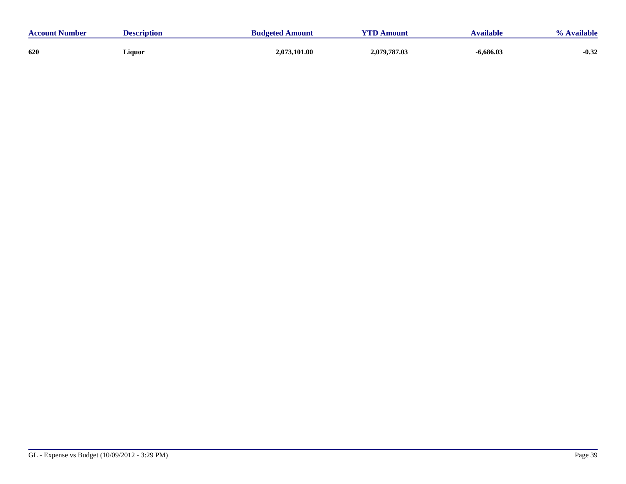| <b>Account Number</b> | <b>Description</b> | <b>Budgeted Amount</b> | <b>UTD</b><br>Amount | Available   | Available |
|-----------------------|--------------------|------------------------|----------------------|-------------|-----------|
| 620                   | Liquor             | 2,073,101.00           | 2,079,787.03         | $-6,686.03$ | $-0.32$   |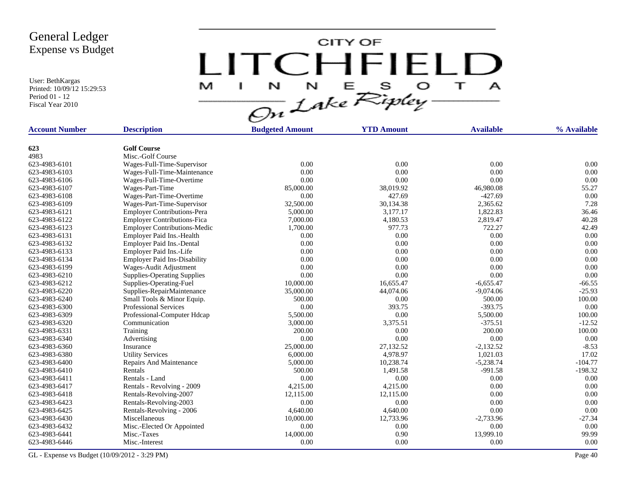User: BethKargas Printed: 10/09/12 15:29:53 Period 01 - 12 Fiscal Year 2010

LITCHFIELD

| <b>Account Number</b> | <b>Description</b>                        | <b>Budgeted Amount</b> | <b>YTD Amount</b> | <b>Available</b> | % Available |
|-----------------------|-------------------------------------------|------------------------|-------------------|------------------|-------------|
|                       |                                           |                        |                   |                  |             |
| 623                   | <b>Golf Course</b>                        |                        |                   |                  |             |
| 4983                  | Misc.-Golf Course                         |                        |                   |                  |             |
| 623-4983-6101         | Wages-Full-Time-Supervisor                | 0.00                   | 0.00              | 0.00             | 0.00        |
| 623-4983-6103         | Wages-Full-Time-Maintenance               | 0.00                   | 0.00              | 0.00             | 0.00        |
| 623-4983-6106         | Wages-Full-Time-Overtime                  | 0.00                   | 0.00              | 0.00             | 0.00        |
| 623-4983-6107         | Wages-Part-Time                           | 85,000.00              | 38,019.92         | 46,980.08        | 55.27       |
| 623-4983-6108         | Wages-Part-Time-Overtime                  | 0.00                   | 427.69            | $-427.69$        | 0.00        |
| 623-4983-6109         | Wages-Part-Time-Supervisor                | 32,500.00              | 30,134.38         | 2,365.62         | 7.28        |
| 623-4983-6121         | <b>Employer Contributions-Pera</b>        | 5,000.00               | 3,177.17          | 1,822.83         | 36.46       |
| 623-4983-6122         | <b>Employer Contributions-Fica</b>        | 7,000.00               | 4,180.53          | 2,819.47         | 40.28       |
| 623-4983-6123         | <b>Employer Contributions-Medic</b>       | 1,700.00               | 977.73            | 722.27           | 42.49       |
| 623-4983-6131         | Employer Paid Ins.-Health                 | 0.00                   | 0.00              | 0.00             | 0.00        |
| 623-4983-6132         | Employer Paid Ins.-Dental                 | 0.00                   | 0.00              | 0.00             | 0.00        |
| 623-4983-6133         | Employer Paid Ins.-Life                   | 0.00                   | 0.00              | 0.00             | 0.00        |
| 623-4983-6134         | <b>Employer Paid Ins-Disability</b>       | 0.00                   | 0.00              | 0.00             | 0.00        |
| 623-4983-6199         | Wages-Audit Adjustment                    | 0.00                   | 0.00              | 0.00             | 0.00        |
| 623-4983-6210         | <b>Supplies-Operating Supplies</b>        | 0.00                   | 0.00              | 0.00             | 0.00        |
| 623-4983-6212         | Supplies-Operating-Fuel                   | 10,000.00              | 16,655.47         | $-6,655.47$      | $-66.55$    |
| 623-4983-6220         | Supplies-RepairMaintenance                | 35,000.00              | 44,074.06         | $-9.074.06$      | $-25.93$    |
| 623-4983-6240         | Small Tools & Minor Equip.                | 500.00                 | 0.00              | 500.00           | 100.00      |
| 623-4983-6300         | <b>Professional Services</b>              | 0.00                   | 393.75            | $-393.75$        | 0.00        |
| 623-4983-6309         | Professional-Computer Hdcap               | 5,500.00               | 0.00              | 5,500.00         | 100.00      |
| 623-4983-6320         | Communication                             | 3,000.00               | 3,375.51          | $-375.51$        | $-12.52$    |
| 623-4983-6331         | Training                                  | 200.00                 | 0.00              | 200.00           | 100.00      |
| 623-4983-6340         | Advertising                               | 0.00                   | 0.00              | 0.00             | 0.00        |
| 623-4983-6360         | Insurance                                 | 25,000.00              | 27,132.52         | $-2,132.52$      | $-8.53$     |
| 623-4983-6380         | <b>Utility Services</b>                   | 6,000.00               | 4,978.97          | 1,021.03         | 17.02       |
| 623-4983-6400         | Repairs And Maintenance                   | 5,000.00               | 10,238.74         | $-5,238.74$      | $-104.77$   |
| 623-4983-6410         | Rentals                                   | 500.00                 | 1,491.58          | $-991.58$        | $-198.32$   |
| 623-4983-6411         | Rentals - Land                            | 0.00                   | 0.00              | 0.00             | 0.00        |
| 623-4983-6417         | Rentals - Revolving - 2009                | 4,215.00               | 4,215.00          | 0.00             | 0.00        |
| 623-4983-6418         | Rentals-Revolving-2007                    | 12,115.00              | 12,115.00         | 0.00             | 0.00        |
| 623-4983-6423         | Rentals-Revolving-2003                    | $0.00\,$               | 0.00              | 0.00             | 0.00        |
| 623-4983-6425         | Rentals-Revolving - 2006                  | 4,640.00               | 4,640.00          | 0.00             | 0.00        |
| 623-4983-6430         | Miscellaneous                             | 10,000.00              | 12,733.96         | $-2,733.96$      | $-27.34$    |
| 623-4983-6432         |                                           | 0.00                   | 0.00              | 0.00             | 0.00        |
| 623-4983-6441         | Misc.-Elected Or Appointed<br>Misc.-Taxes | 14,000.00              | 0.90              | 13,999.10        | 99.99       |
|                       |                                           |                        |                   |                  |             |
| 623-4983-6446         | Misc.-Interest                            | 0.00                   | 0.00              | 0.00             | 0.00        |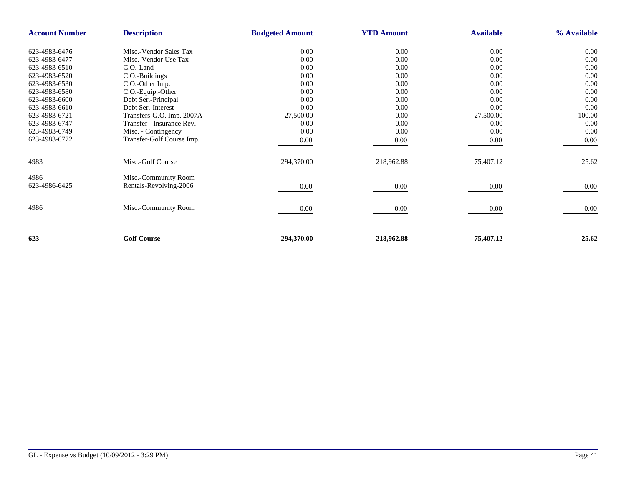| <b>Account Number</b> | <b>Description</b>        | <b>Budgeted Amount</b> | <b>YTD Amount</b> | <b>Available</b> | % Available |
|-----------------------|---------------------------|------------------------|-------------------|------------------|-------------|
| 623-4983-6476         | Misc.-Vendor Sales Tax    | 0.00                   | 0.00              | 0.00             | 0.00        |
| 623-4983-6477         | Misc.-Vendor Use Tax      | 0.00                   | 0.00              | 0.00             | 0.00        |
| 623-4983-6510         | C.O.-Land                 | 0.00                   | 0.00              | 0.00             | 0.00        |
| 623-4983-6520         | C.O.-Buildings            | 0.00                   | 0.00              | 0.00             | 0.00        |
| 623-4983-6530         | C.O.-Other Imp.           | 0.00                   | 0.00              | 0.00             | 0.00        |
| 623-4983-6580         | C.O.-Equip.-Other         | 0.00                   | 0.00              | 0.00             | 0.00        |
| 623-4983-6600         | Debt Ser.-Principal       | 0.00                   | 0.00              | 0.00             | 0.00        |
| 623-4983-6610         | Debt Ser.-Interest        | 0.00                   | 0.00              | 0.00             | 0.00        |
| 623-4983-6721         | Transfers-G.O. Imp. 2007A | 27,500.00              | 0.00              | 27,500.00        | 100.00      |
| 623-4983-6747         | Transfer - Insurance Rev. | 0.00                   | 0.00              | 0.00             | 0.00        |
| 623-4983-6749         |                           | 0.00                   | 0.00              | 0.00             | 0.00        |
| 623-4983-6772         | Misc. - Contingency       |                        |                   |                  |             |
|                       | Transfer-Golf Course Imp. | 0.00                   | 0.00              | $0.00\,$         | 0.00        |
| 4983                  | Misc.-Golf Course         | 294,370.00             | 218,962.88        | 75,407.12        | 25.62       |
| 4986                  | Misc.-Community Room      |                        |                   |                  |             |
| 623-4986-6425         | Rentals-Revolving-2006    | 0.00                   | 0.00              | $0.00\,$         | 0.00        |
|                       |                           |                        |                   |                  |             |
| 4986                  | Misc.-Community Room      | 0.00                   | 0.00              | $0.00\,$         | 0.00        |
|                       |                           |                        |                   |                  |             |
| 623                   | <b>Golf Course</b>        | 294,370.00             | 218,962.88        | 75,407.12        | 25.62       |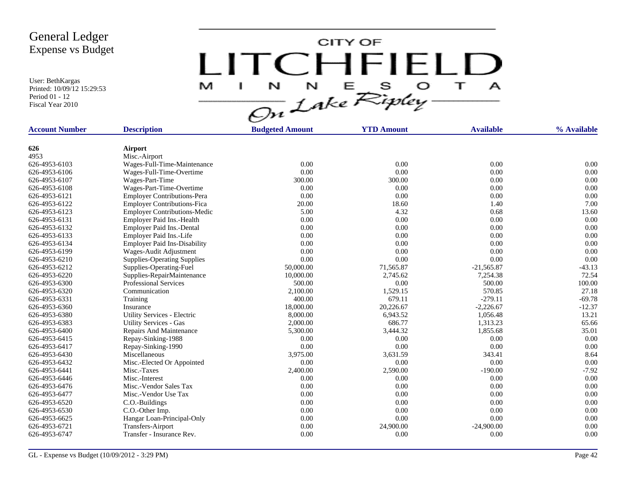User: BethKargas Printed: 10/09/12 15:29:53 Period 01 - 12 Fiscal Year 2010



| <b>Account Number</b> | <b>Description</b>                  | <b>Budgeted Amount</b> | <b>YTD Amount</b> | <b>Available</b> | % Available |
|-----------------------|-------------------------------------|------------------------|-------------------|------------------|-------------|
| 626                   | <b>Airport</b>                      |                        |                   |                  |             |
| 4953                  | Misc.-Airport                       |                        |                   |                  |             |
| 626-4953-6103         | Wages-Full-Time-Maintenance         | 0.00                   | 0.00              | 0.00             | 0.00        |
| 626-4953-6106         | Wages-Full-Time-Overtime            | 0.00                   | 0.00              | 0.00             | 0.00        |
| 626-4953-6107         | Wages-Part-Time                     | 300.00                 | 300.00            | 0.00             | 0.00        |
| 626-4953-6108         | Wages-Part-Time-Overtime            | 0.00                   | 0.00              | 0.00             | 0.00        |
| 626-4953-6121         | <b>Employer Contributions-Pera</b>  | 0.00                   | 0.00              | 0.00             | 0.00        |
| 626-4953-6122         | <b>Employer Contributions-Fica</b>  | 20.00                  | 18.60             | 1.40             | 7.00        |
| 626-4953-6123         | <b>Employer Contributions-Medic</b> | 5.00                   | 4.32              | 0.68             | 13.60       |
| 626-4953-6131         | Employer Paid Ins.-Health           | 0.00                   | 0.00              | 0.00             | 0.00        |
| 626-4953-6132         | Employer Paid Ins.-Dental           | 0.00                   | 0.00              | 0.00             | 0.00        |
| 626-4953-6133         | Employer Paid Ins.-Life             | 0.00                   | 0.00              | 0.00             | 0.00        |
| 626-4953-6134         | <b>Employer Paid Ins-Disability</b> | 0.00                   | 0.00              | 0.00             | 0.00        |
| 626-4953-6199         | Wages-Audit Adjustment              | 0.00                   | 0.00              | 0.00             | 0.00        |
| 626-4953-6210         | <b>Supplies-Operating Supplies</b>  | 0.00                   | 0.00              | 0.00             | 0.00        |
| 626-4953-6212         | Supplies-Operating-Fuel             | 50,000.00              | 71,565.87         | $-21,565.87$     | $-43.13$    |
| 626-4953-6220         | Supplies-RepairMaintenance          | 10,000.00              | 2,745.62          | 7,254.38         | 72.54       |
| 626-4953-6300         | <b>Professional Services</b>        | 500.00                 | 0.00              | 500.00           | 100.00      |
| 626-4953-6320         | Communication                       | 2,100.00               | 1,529.15          | 570.85           | 27.18       |
| 626-4953-6331         | Training                            | 400.00                 | 679.11            | $-279.11$        | $-69.78$    |
| 626-4953-6360         | Insurance                           | 18,000.00              | 20,226.67         | $-2,226.67$      | $-12.37$    |
| 626-4953-6380         | Utility Services - Electric         | 8,000.00               | 6,943.52          | 1,056.48         | 13.21       |
| 626-4953-6383         | <b>Utility Services - Gas</b>       | 2,000.00               | 686.77            | 1,313.23         | 65.66       |
| 626-4953-6400         | Repairs And Maintenance             | 5,300.00               | 3,444.32          | 1,855.68         | 35.01       |
| 626-4953-6415         | Repay-Sinking-1988                  | 0.00                   | 0.00              | 0.00             | 0.00        |
| 626-4953-6417         | Repay-Sinking-1990                  | 0.00                   | 0.00              | 0.00             | 0.00        |
| 626-4953-6430         | Miscellaneous                       | 3,975.00               | 3,631.59          | 343.41           | 8.64        |
| 626-4953-6432         | Misc.-Elected Or Appointed          | 0.00                   | 0.00              | 0.00             | 0.00        |
| 626-4953-6441         | Misc.-Taxes                         | 2,400.00               | 2,590.00          | $-190.00$        | $-7.92$     |
| 626-4953-6446         | Misc.-Interest                      | 0.00                   | 0.00              | 0.00             | 0.00        |
| 626-4953-6476         | Misc.-Vendor Sales Tax              | 0.00                   | 0.00              | 0.00             | 0.00        |
| 626-4953-6477         | Misc.-Vendor Use Tax                | 0.00                   | 0.00              | 0.00             | 0.00        |
| 626-4953-6520         | C.O.-Buildings                      | 0.00                   | 0.00              | 0.00             | 0.00        |
| 626-4953-6530         | C.O.-Other Imp.                     | 0.00                   | 0.00              | 0.00             | 0.00        |
| 626-4953-6625         | Hangar Loan-Principal-Only          | 0.00                   | 0.00              | 0.00             | 0.00        |
| 626-4953-6721         | Transfers-Airport                   | 0.00                   | 24,900.00         | $-24,900.00$     | 0.00        |
| 626-4953-6747         | Transfer - Insurance Rev.           | 0.00                   | 0.00              | 0.00             | 0.00        |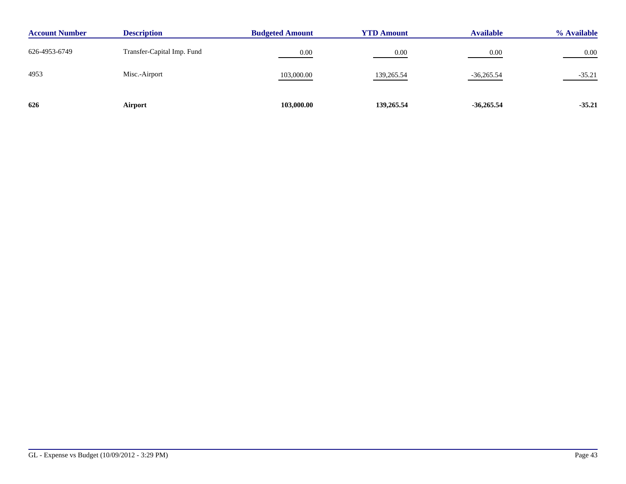| <b>Account Number</b> | <b>Description</b>         | <b>Budgeted Amount</b> | <b>YTD Amount</b> | <b>Available</b> | % Available |
|-----------------------|----------------------------|------------------------|-------------------|------------------|-------------|
| 626-4953-6749         | Transfer-Capital Imp. Fund | 0.00                   | 0.00              | 0.00             | $0.00\,$    |
| 4953                  | Misc.-Airport              | 103,000.00             | 139,265.54        | $-36,265.54$     | $-35.21$    |
| 626                   | Airport                    | 103,000.00             | 139,265.54        | $-36,265.54$     | $-35.21$    |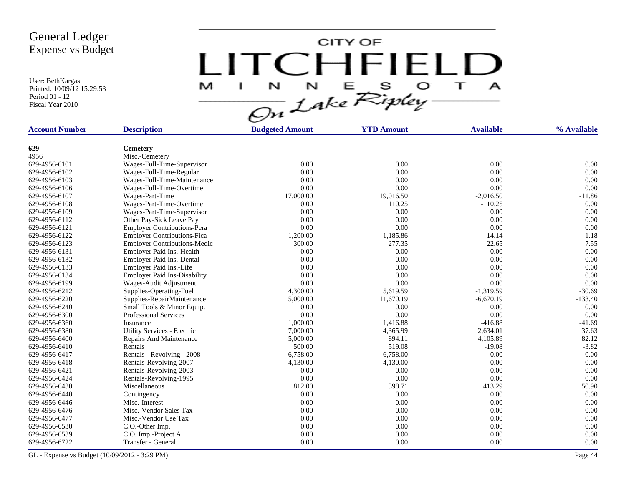User: BethKargas Printed: 10/09/12 15:29:53 Period 01 - 12 Fiscal Year 2010

LITCHFIELD

| <b>Account Number</b> | <b>Description</b>                                      | <b>Budgeted Amount</b> | <b>YTD Amount</b> | <b>Available</b> | % Available |
|-----------------------|---------------------------------------------------------|------------------------|-------------------|------------------|-------------|
|                       |                                                         |                        |                   |                  |             |
| 629<br>4956           | <b>Cemetery</b><br>Misc.-Cemetery                       |                        |                   |                  |             |
| 629-4956-6101         | Wages-Full-Time-Supervisor                              | 0.00                   | 0.00              | 0.00             | 0.00        |
| 629-4956-6102         |                                                         | 0.00                   | 0.00              | 0.00             | 0.00        |
| 629-4956-6103         | Wages-Full-Time-Regular                                 | 0.00                   | 0.00              | 0.00             | 0.00        |
| 629-4956-6106         | Wages-Full-Time-Maintenance<br>Wages-Full-Time-Overtime | 0.00                   | 0.00              | 0.00             | 0.00        |
| 629-4956-6107         |                                                         |                        | 19,016.50         | $-2,016.50$      | $-11.86$    |
| 629-4956-6108         | Wages-Part-Time                                         | 17,000.00<br>0.00      | 110.25            | $-110.25$        | 0.00        |
|                       | Wages-Part-Time-Overtime                                |                        |                   |                  |             |
| 629-4956-6109         | Wages-Part-Time-Supervisor                              | 0.00                   | 0.00              | 0.00             | 0.00        |
| 629-4956-6112         | Other Pay-Sick Leave Pay                                | 0.00                   | 0.00              | 0.00             | 0.00        |
| 629-4956-6121         | <b>Employer Contributions-Pera</b>                      | 0.00                   | 0.00              | 0.00             | 0.00        |
| 629-4956-6122         | <b>Employer Contributions-Fica</b>                      | 1,200.00               | 1,185.86          | 14.14            | 1.18        |
| 629-4956-6123         | <b>Employer Contributions-Medic</b>                     | 300.00                 | 277.35            | 22.65            | 7.55        |
| 629-4956-6131         | Employer Paid Ins.-Health                               | 0.00                   | 0.00              | 0.00             | 0.00        |
| 629-4956-6132         | Employer Paid Ins.-Dental                               | 0.00                   | 0.00              | 0.00             | 0.00        |
| 629-4956-6133         | Employer Paid Ins.-Life                                 | 0.00                   | 0.00              | 0.00             | 0.00        |
| 629-4956-6134         | <b>Employer Paid Ins-Disability</b>                     | 0.00                   | 0.00              | 0.00             | 0.00        |
| 629-4956-6199         | Wages-Audit Adjustment                                  | 0.00                   | 0.00              | 0.00             | 0.00        |
| 629-4956-6212         | Supplies-Operating-Fuel                                 | 4,300.00               | 5,619.59          | $-1,319.59$      | $-30.69$    |
| 629-4956-6220         | Supplies-RepairMaintenance                              | 5,000.00               | 11.670.19         | $-6,670.19$      | $-133.40$   |
| 629-4956-6240         | Small Tools & Minor Equip.                              | 0.00                   | 0.00              | 0.00             | 0.00        |
| 629-4956-6300         | <b>Professional Services</b>                            | 0.00                   | 0.00              | 0.00             | 0.00        |
| 629-4956-6360         | Insurance                                               | 1,000.00               | 1,416.88          | $-416.88$        | $-41.69$    |
| 629-4956-6380         | Utility Services - Electric                             | 7,000.00               | 4,365.99          | 2,634.01         | 37.63       |
| 629-4956-6400         | Repairs And Maintenance                                 | 5,000.00               | 894.11            | 4,105.89         | 82.12       |
| 629-4956-6410         | Rentals                                                 | 500.00                 | 519.08            | $-19.08$         | $-3.82$     |
| 629-4956-6417         | Rentals - Revolving - 2008                              | 6,758.00               | 6,758.00          | 0.00             | 0.00        |
| 629-4956-6418         | Rentals-Revolving-2007                                  | 4,130.00               | 4,130.00          | 0.00             | 0.00        |
| 629-4956-6421         | Rentals-Revolving-2003                                  | 0.00                   | 0.00              | 0.00             | 0.00        |
| 629-4956-6424         | Rentals-Revolving-1995                                  | 0.00                   | 0.00              | 0.00             | 0.00        |
| 629-4956-6430         | Miscellaneous                                           | 812.00                 | 398.71            | 413.29           | 50.90       |
| 629-4956-6440         | Contingency                                             | 0.00                   | 0.00              | 0.00             | 0.00        |
| 629-4956-6446         | Misc.-Interest                                          | 0.00                   | 0.00              | 0.00             | 0.00        |
| 629-4956-6476         | Misc.-Vendor Sales Tax                                  | 0.00                   | 0.00              | 0.00             | 0.00        |
| 629-4956-6477         | Misc.-Vendor Use Tax                                    | 0.00                   | 0.00              | 0.00             | 0.00        |
| 629-4956-6530         | C.O.-Other Imp.                                         | 0.00                   | 0.00              | 0.00             | 0.00        |
| 629-4956-6539         | C.O. Imp.-Project A                                     | 0.00                   | 0.00              | 0.00             | 0.00        |
| 629-4956-6722         | Transfer - General                                      | 0.00                   | 0.00              | 0.00             | 0.00        |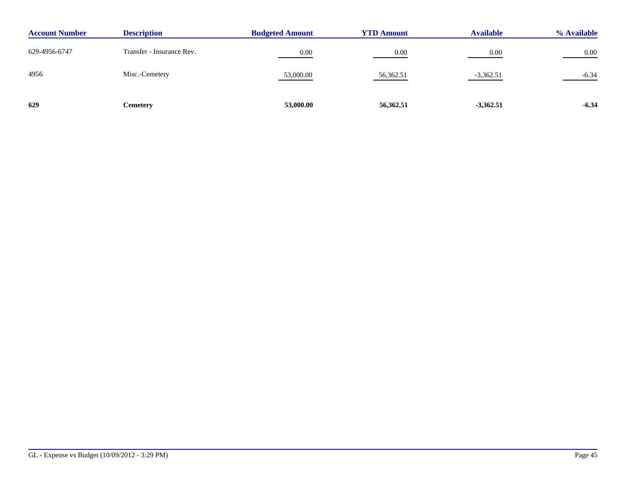| <b>Account Number</b> | <b>Description</b>        | <b>Budgeted Amount</b> | <b>YTD Amount</b> | <b>Available</b> | % Available |
|-----------------------|---------------------------|------------------------|-------------------|------------------|-------------|
| 629-4956-6747         | Transfer - Insurance Rev. | 0.00                   | 0.00              | 0.00             | 0.00        |
| 4956                  | Misc.-Cemetery            | 53,000.00              | 56,362.51         | $-3,362.51$      | $-6.34$     |
| 629                   | Cemetery                  | 53,000.00              | 56,362.51         | $-3,362.51$      | $-6.34$     |